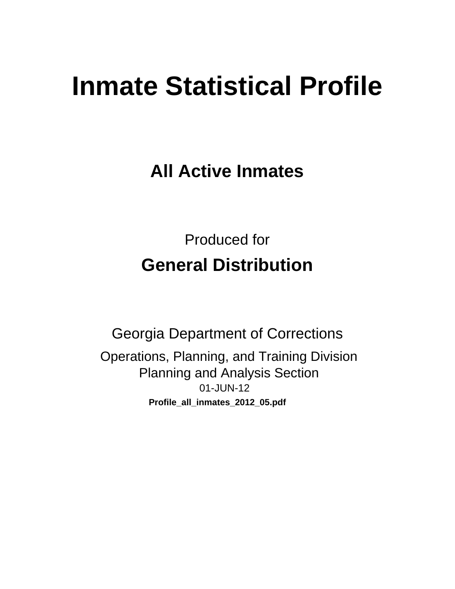# **Inmate Statistical Profile**

**All Active Inmates** 

**Produced for General Distribution** 

**Georgia Department of Corrections** Operations, Planning, and Training Division **Planning and Analysis Section** 01-JUN-12 Profile\_all\_inmates\_2012\_05.pdf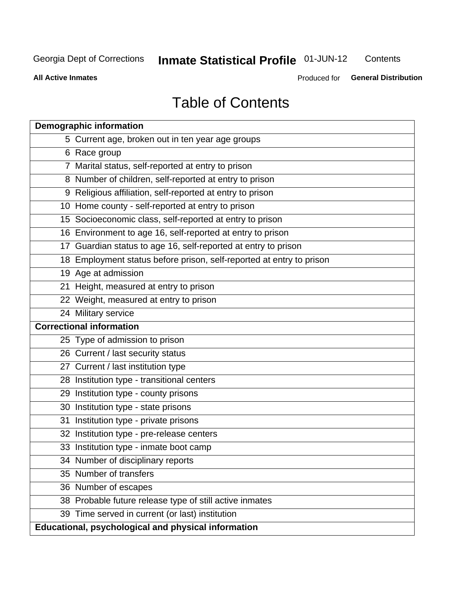#### **Inmate Statistical Profile 01-JUN-12** Contents

**All Active Inmates** 

Produced for General Distribution

# **Table of Contents**

| <b>Demographic information</b>                                       |
|----------------------------------------------------------------------|
| 5 Current age, broken out in ten year age groups                     |
| 6 Race group                                                         |
| 7 Marital status, self-reported at entry to prison                   |
| 8 Number of children, self-reported at entry to prison               |
| 9 Religious affiliation, self-reported at entry to prison            |
| 10 Home county - self-reported at entry to prison                    |
| 15 Socioeconomic class, self-reported at entry to prison             |
| 16 Environment to age 16, self-reported at entry to prison           |
| 17 Guardian status to age 16, self-reported at entry to prison       |
| 18 Employment status before prison, self-reported at entry to prison |
| 19 Age at admission                                                  |
| 21 Height, measured at entry to prison                               |
| 22 Weight, measured at entry to prison                               |
| 24 Military service                                                  |
| <b>Correctional information</b>                                      |
| 25 Type of admission to prison                                       |
| 26 Current / last security status                                    |
| 27 Current / last institution type                                   |
| 28 Institution type - transitional centers                           |
| 29 Institution type - county prisons                                 |
| 30 Institution type - state prisons                                  |
| 31 Institution type - private prisons                                |
| 32 Institution type - pre-release centers                            |
| 33 Institution type - inmate boot camp                               |
| 34 Number of disciplinary reports                                    |
| 35 Number of transfers                                               |
| 36 Number of escapes                                                 |
| 38 Probable future release type of still active inmates              |
| 39 Time served in current (or last) institution                      |
| Educational, psychological and physical information                  |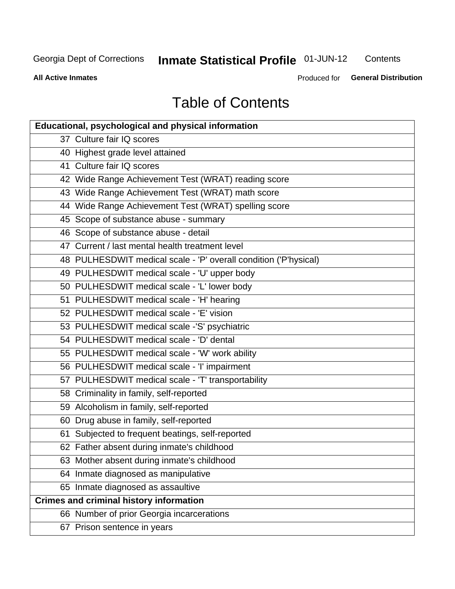# **Inmate Statistical Profile 01-JUN-12**

Contents

**All Active Inmates** 

Produced for General Distribution

# **Table of Contents**

| Educational, psychological and physical information              |
|------------------------------------------------------------------|
| 37 Culture fair IQ scores                                        |
| 40 Highest grade level attained                                  |
| 41 Culture fair IQ scores                                        |
| 42 Wide Range Achievement Test (WRAT) reading score              |
| 43 Wide Range Achievement Test (WRAT) math score                 |
| 44 Wide Range Achievement Test (WRAT) spelling score             |
| 45 Scope of substance abuse - summary                            |
| 46 Scope of substance abuse - detail                             |
| 47 Current / last mental health treatment level                  |
| 48 PULHESDWIT medical scale - 'P' overall condition ('P'hysical) |
| 49 PULHESDWIT medical scale - 'U' upper body                     |
| 50 PULHESDWIT medical scale - 'L' lower body                     |
| 51 PULHESDWIT medical scale - 'H' hearing                        |
| 52 PULHESDWIT medical scale - 'E' vision                         |
| 53 PULHESDWIT medical scale -'S' psychiatric                     |
| 54 PULHESDWIT medical scale - 'D' dental                         |
| 55 PULHESDWIT medical scale - 'W' work ability                   |
| 56 PULHESDWIT medical scale - 'I' impairment                     |
| 57 PULHESDWIT medical scale - 'T' transportability               |
| 58 Criminality in family, self-reported                          |
| 59 Alcoholism in family, self-reported                           |
| 60 Drug abuse in family, self-reported                           |
| 61 Subjected to frequent beatings, self-reported                 |
| 62 Father absent during inmate's childhood                       |
| 63 Mother absent during inmate's childhood                       |
| 64 Inmate diagnosed as manipulative                              |
| 65 Inmate diagnosed as assaultive                                |
| <b>Crimes and criminal history information</b>                   |
| 66 Number of prior Georgia incarcerations                        |
| 67 Prison sentence in years                                      |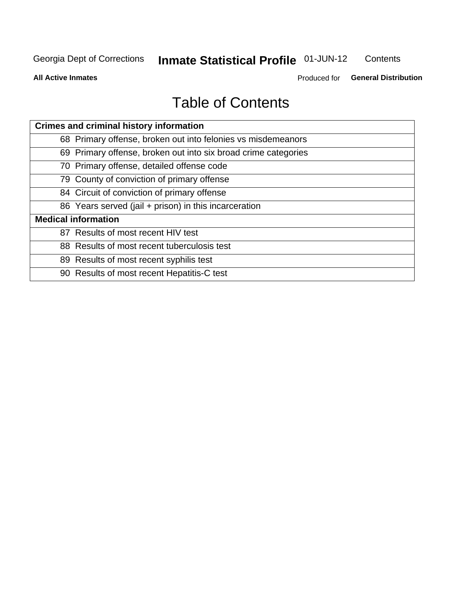# **Inmate Statistical Profile 01-JUN-12**

Contents

**All Active Inmates** 

Produced for General Distribution

# **Table of Contents**

| <b>Crimes and criminal history information</b>                 |
|----------------------------------------------------------------|
| 68 Primary offense, broken out into felonies vs misdemeanors   |
| 69 Primary offense, broken out into six broad crime categories |
| 70 Primary offense, detailed offense code                      |
| 79 County of conviction of primary offense                     |
| 84 Circuit of conviction of primary offense                    |
| 86 Years served (jail + prison) in this incarceration          |
| <b>Medical information</b>                                     |
| 87 Results of most recent HIV test                             |
| 88 Results of most recent tuberculosis test                    |
| 89 Results of most recent syphilis test                        |
| 90 Results of most recent Hepatitis-C test                     |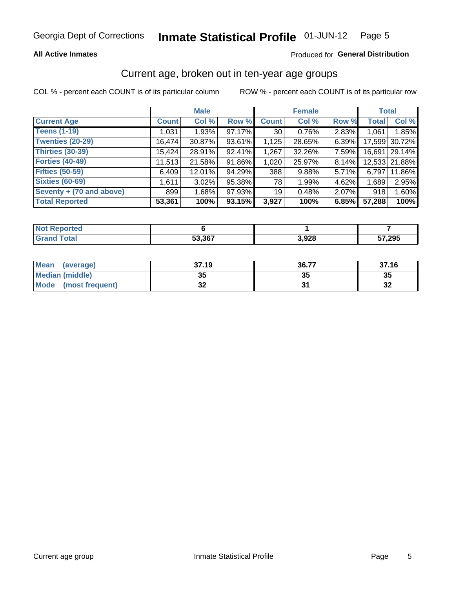### **All Active Inmates**

## Produced for General Distribution

# Current age, broken out in ten-year age groups

COL % - percent each COUNT is of its particular column

|                          |              | <b>Male</b> |        |                 | <b>Female</b> |       |              | <b>Total</b>  |
|--------------------------|--------------|-------------|--------|-----------------|---------------|-------|--------------|---------------|
| <b>Current Age</b>       | <b>Count</b> | Col %       | Row %  | <b>Count</b>    | Col %         | Row % | <b>Total</b> | Col %         |
| <b>Teens (1-19)</b>      | 1,031        | 1.93%       | 97.17% | 30              | 0.76%         | 2.83% | 1,061        | 1.85%         |
| <b>Twenties (20-29)</b>  | 16,474       | $30.87\%$   | 93.61% | 1,125           | 28.65%        | 6.39% | 17,599       | 30.72%        |
| <b>Thirties (30-39)</b>  | 15,424       | 28.91%      | 92.41% | 1,267           | 32.26%        | 7.59% | 16,691       | 29.14%        |
| <b>Forties (40-49)</b>   | 11,513       | 21.58%      | 91.86% | 1,020           | 25.97%        | 8.14% |              | 12,533 21.88% |
| <b>Fifties (50-59)</b>   | 6,409        | 12.01%      | 94.29% | 388             | 9.88%         | 5.71% | 6,797        | 11.86%        |
| <b>Sixties (60-69)</b>   | 1.611        | 3.02%       | 95.38% | 78 I            | 1.99%         | 4.62% | 1,689        | 2.95%         |
| Seventy + (70 and above) | 899          | 1.68%       | 97.93% | 19 <sub>1</sub> | 0.48%         | 2.07% | 918          | 1.60%         |
| <b>Total Reported</b>    | 53,361       | 100%        | 93.15% | 3,927           | 100%          | 6.85% | 57,288       | 100%          |

| <b>Not Repo</b><br><b>Address</b> |        |                |        |
|-----------------------------------|--------|----------------|--------|
| <b>Total</b>                      | 53,367 | פכם ג<br>J,JZO | 57,295 |

| <b>Mean</b><br>(average)       | 37.19    | 36.77 | 37.16                      |
|--------------------------------|----------|-------|----------------------------|
| Median (middle)                | 25<br>vu | JJ    | 35                         |
| <b>Mode</b><br>(most frequent) | n,<br>◡▴ |       | $\ddot{\phantom{0}}$<br>⊾ت |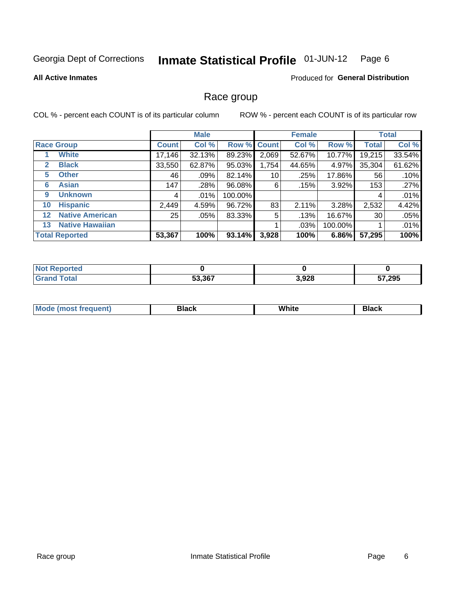#### Inmate Statistical Profile 01-JUN-12 Page 6

### **All Active Inmates**

### **Produced for General Distribution**

# Race group

COL % - percent each COUNT is of its particular column

|              |                        |              | <b>Male</b> |         |                 | <b>Female</b> |         |              | <b>Total</b> |
|--------------|------------------------|--------------|-------------|---------|-----------------|---------------|---------|--------------|--------------|
|              | <b>Race Group</b>      | <b>Count</b> | Col %       |         | Row % Count     | Col %         | Row %   | <b>Total</b> | Col %        |
|              | <b>White</b>           | 17,146       | 32.13%      | 89.23%  | 2,069           | 52.67%        | 10.77%  | 19,215       | 33.54%       |
| $\mathbf{2}$ | <b>Black</b>           | 33,550       | 62.87%      | 95.03%  | 1,754           | 44.65%        | 4.97%   | 35,304       | 61.62%       |
| 5.           | <b>Other</b>           | 46           | .09%        | 82.14%  | 10 <sup>1</sup> | .25%          | 17.86%  | 56           | .10%         |
| 6            | <b>Asian</b>           | 147          | .28%        | 96.08%  | 6               | .15%          | 3.92%   | 153          | .27%         |
| 9            | <b>Unknown</b>         | 4            | .01%        | 100.00% |                 |               |         | 4            | .01%         |
| 10           | <b>Hispanic</b>        | 2,449        | 4.59%       | 96.72%  | 83              | 2.11%         | 3.28%   | 2,532        | 4.42%        |
| $12 \,$      | <b>Native American</b> | 25           | .05%        | 83.33%  | 5               | .13%          | 16.67%  | 30           | .05%         |
| 13           | <b>Native Hawaiian</b> |              |             |         |                 | .03%          | 100.00% |              | .01%         |
|              | <b>Total Reported</b>  | 53,367       | 100%        | 93.14%  | 3,928           | 100%          | 6.86%   | 57,295       | 100%         |

| <b>orted</b><br>. IN A |        |       |        |
|------------------------|--------|-------|--------|
| <b>otal</b>            | 53,367 | 3,928 | 57,295 |

| Mode (<br>most freduent) | ⊃lack | White | ا تا 1 |
|--------------------------|-------|-------|--------|
|                          |       |       |        |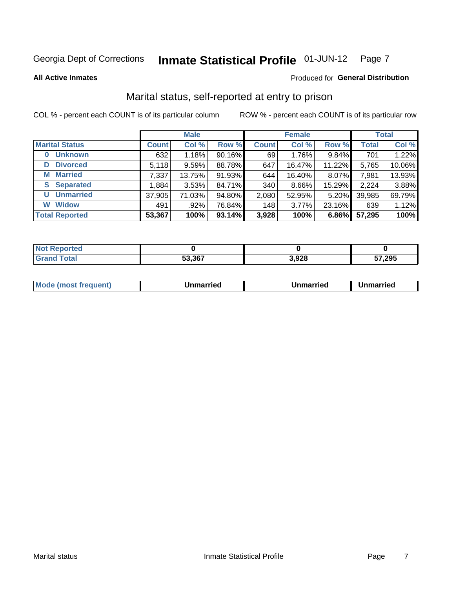#### Inmate Statistical Profile 01-JUN-12 Page 7

**All Active Inmates** 

### Produced for General Distribution

# Marital status, self-reported at entry to prison

COL % - percent each COUNT is of its particular column

|                            |              | <b>Male</b> |        |              | <b>Female</b> |        |              | <b>Total</b> |
|----------------------------|--------------|-------------|--------|--------------|---------------|--------|--------------|--------------|
| <b>Marital Status</b>      | <b>Count</b> | Col %       | Row %  | <b>Count</b> | Col %         | Row %  | <b>Total</b> | Col %        |
| <b>Unknown</b><br>$\bf{0}$ | 632          | 1.18%       | 90.16% | 69           | 1.76%         | 9.84%  | 701          | 1.22%        |
| <b>Divorced</b><br>D       | 5,118        | 9.59%       | 88.78% | 647          | 16.47%        | 11.22% | 5,765        | 10.06%       |
| <b>Married</b><br>М        | 7,337        | 13.75%      | 91.93% | 644          | 16.40%        | 8.07%  | 7,981        | 13.93%       |
| <b>Separated</b><br>S.     | 1,884        | 3.53%       | 84.71% | 340          | 8.66%         | 15.29% | 2,224        | 3.88%        |
| <b>Unmarried</b><br>U      | 37,905       | 71.03%      | 94.80% | 2,080        | 52.95%        | 5.20%  | 39,985       | 69.79%       |
| <b>Widow</b><br>W          | 491          | .92%        | 76.84% | 148          | 3.77%         | 23.16% | 639          | 1.12%        |
| <b>Total Reported</b>      | 53,367       | 100%        | 93.14% | 3,928        | 100%          | 6.86%  | 57,295       | 100%         |

| <b>Not Repo</b><br>ੋਾorted |        |       |               |
|----------------------------|--------|-------|---------------|
| <b>Total</b>               | 53.367 | 3,928 | 57,295<br>JI. |

|--|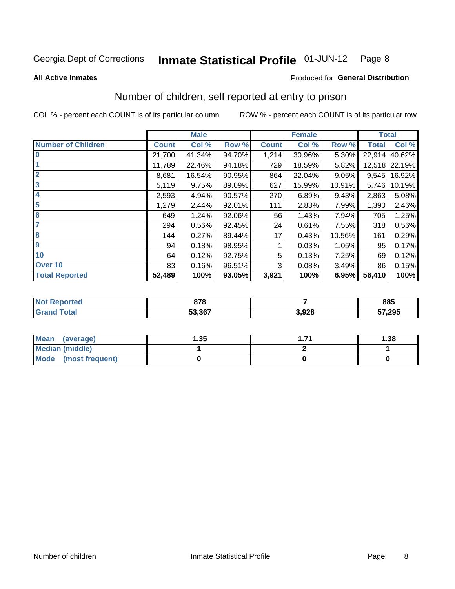#### Inmate Statistical Profile 01-JUN-12 Page 8

### **All Active Inmates**

# **Produced for General Distribution**

# Number of children, self reported at entry to prison

COL % - percent each COUNT is of its particular column

|                           |              | <b>Male</b> |        |              | <b>Female</b> |        | <b>Total</b> |               |
|---------------------------|--------------|-------------|--------|--------------|---------------|--------|--------------|---------------|
| <b>Number of Children</b> | <b>Count</b> | Col %       | Row %  | <b>Count</b> | Col %         | Row %  | <b>Total</b> | Col %         |
| $\overline{0}$            | 21,700       | 41.34%      | 94.70% | 1,214        | 30.96%        | 5.30%  | 22,914       | 40.62%        |
|                           | 11,789       | 22.46%      | 94.18% | 729          | 18.59%        | 5.82%  |              | 12,518 22.19% |
| $\overline{2}$            | 8,681        | 16.54%      | 90.95% | 864          | 22.04%        | 9.05%  | 9,545        | 16.92%        |
| $\overline{\mathbf{3}}$   | 5,119        | 9.75%       | 89.09% | 627          | 15.99%        | 10.91% | 5,746        | 10.19%        |
| 4                         | 2,593        | 4.94%       | 90.57% | 270          | 6.89%         | 9.43%  | 2,863        | 5.08%         |
| 5                         | 1,279        | 2.44%       | 92.01% | 111          | 2.83%         | 7.99%  | 1,390        | 2.46%         |
| 6                         | 649          | 1.24%       | 92.06% | 56           | 1.43%         | 7.94%  | 705          | 1.25%         |
| 7                         | 294          | 0.56%       | 92.45% | 24           | 0.61%         | 7.55%  | 318          | 0.56%         |
| 8                         | 144          | 0.27%       | 89.44% | 17           | 0.43%         | 10.56% | 161          | 0.29%         |
| 9                         | 94           | 0.18%       | 98.95% |              | 0.03%         | 1.05%  | 95           | 0.17%         |
| 10                        | 64           | 0.12%       | 92.75% | 5            | 0.13%         | 7.25%  | 69           | 0.12%         |
| Over 10                   | 83           | 0.16%       | 96.51% | 3            | 0.08%         | 3.49%  | 86           | 0.15%         |
| <b>Total Reported</b>     | 52,489       | 100%        | 93.05% | 3,921        | 100%          | 6.95%  | 56,410       | 100%          |

| $\sim$<br>. . |       | 885    |
|---------------|-------|--------|
| 53.367        | 3,928 | 57,295 |

| <b>Mean</b><br>(average)       | .35 | 1.38 |  |  |
|--------------------------------|-----|------|--|--|
| Median (middle)                |     |      |  |  |
| <b>Mode</b><br>(most frequent) |     |      |  |  |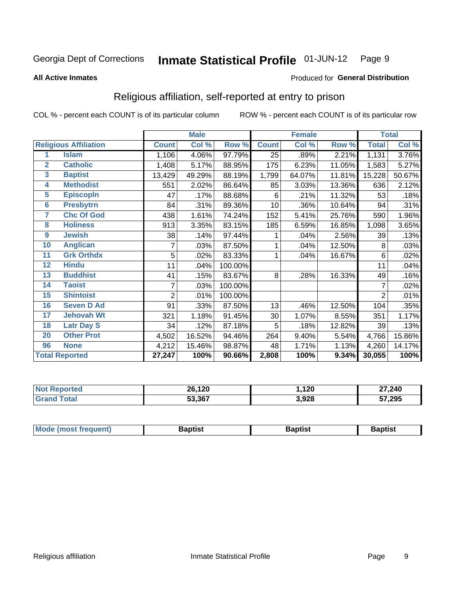#### Inmate Statistical Profile 01-JUN-12 Page 9

### **All Active Inmates**

### Produced for General Distribution

# Religious affiliation, self-reported at entry to prison

COL % - percent each COUNT is of its particular column

|                 |                              |                | <b>Male</b> |         |                 | <b>Female</b> |        |                | <b>Total</b> |
|-----------------|------------------------------|----------------|-------------|---------|-----------------|---------------|--------|----------------|--------------|
|                 | <b>Religious Affiliation</b> | <b>Count</b>   | Col %       | Row %   | <b>Count</b>    | Col %         | Row %  | <b>Total</b>   | Col %        |
| 1               | <b>Islam</b>                 | 1,106          | 4.06%       | 97.79%  | 25              | .89%          | 2.21%  | 1,131          | 3.76%        |
| $\overline{2}$  | <b>Catholic</b>              | 1,408          | 5.17%       | 88.95%  | 175             | 6.23%         | 11.05% | 1,583          | 5.27%        |
| $\mathbf{3}$    | <b>Baptist</b>               | 13,429         | 49.29%      | 88.19%  | 1,799           | 64.07%        | 11.81% | 15,228         | 50.67%       |
| 4               | <b>Methodist</b>             | 551            | 2.02%       | 86.64%  | 85              | 3.03%         | 13.36% | 636            | 2.12%        |
| 5               | <b>EpiscopIn</b>             | 47             | .17%        | 88.68%  | 6               | .21%          | 11.32% | 53             | .18%         |
| $6\phantom{a}$  | <b>Presbytrn</b>             | 84             | .31%        | 89.36%  | 10 <sup>1</sup> | .36%          | 10.64% | 94             | .31%         |
| 7               | <b>Chc Of God</b>            | 438            | 1.61%       | 74.24%  | 152             | 5.41%         | 25.76% | 590            | 1.96%        |
| 8               | <b>Holiness</b>              | 913            | 3.35%       | 83.15%  | 185             | 6.59%         | 16.85% | 1,098          | 3.65%        |
| 9               | <b>Jewish</b>                | 38             | .14%        | 97.44%  |                 | .04%          | 2.56%  | 39             | .13%         |
| 10              | <b>Anglican</b>              |                | .03%        | 87.50%  |                 | .04%          | 12.50% | 8              | .03%         |
| 11              | <b>Grk Orthdx</b>            | 5              | .02%        | 83.33%  |                 | .04%          | 16.67% | 6              | .02%         |
| 12              | <b>Hindu</b>                 | 11             | .04%        | 100.00% |                 |               |        | 11             | .04%         |
| 13              | <b>Buddhist</b>              | 41             | .15%        | 83.67%  | 8               | .28%          | 16.33% | 49             | .16%         |
| 14              | <b>Taoist</b>                | 7              | .03%        | 100.00% |                 |               |        | 7              | .02%         |
| 15              | <b>Shintoist</b>             | $\overline{2}$ | .01%        | 100.00% |                 |               |        | $\overline{2}$ | .01%         |
| 16              | <b>Seven D Ad</b>            | 91             | .33%        | 87.50%  | 13              | .46%          | 12.50% | 104            | .35%         |
| 17 <sub>2</sub> | <b>Jehovah Wt</b>            | 321            | 1.18%       | 91.45%  | 30              | 1.07%         | 8.55%  | 351            | 1.17%        |
| 18              | <b>Latr Day S</b>            | 34             | .12%        | 87.18%  | 5               | .18%          | 12.82% | 39             | .13%         |
| 20              | <b>Other Prot</b>            | 4,502          | 16.52%      | 94.46%  | 264             | 9.40%         | 5.54%  | 4,766          | 15.86%       |
| 96              | <b>None</b>                  | 4,212          | 15.46%      | 98.87%  | 48              | 1.71%         | 1.13%  | 4,260          | 14.17%       |
|                 | <b>Total Reported</b>        | 27,247         | 100%        | 90.66%  | 2,808           | 100%          | 9.34%  | 30,055         | 100%         |

| 26,120 | 120   | 27,240 |
|--------|-------|--------|
| 53,367 | 3,928 | 57,295 |

| Mode (most frequent) | <b>3aptist</b> | 3aptist | <b>Baptist</b> |
|----------------------|----------------|---------|----------------|
|                      |                |         |                |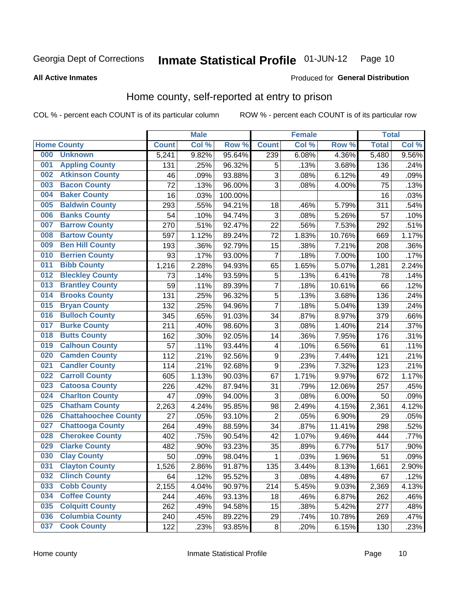#### Inmate Statistical Profile 01-JUN-12 Page 10

**All Active Inmates** 

### Produced for General Distribution

# Home county, self-reported at entry to prison

COL % - percent each COUNT is of its particular column

|     |                             |              | <b>Male</b> |                  |                  | <b>Female</b> |        | <b>Total</b> |       |
|-----|-----------------------------|--------------|-------------|------------------|------------------|---------------|--------|--------------|-------|
|     | <b>Home County</b>          | <b>Count</b> | Col %       | Row <sup>%</sup> | <b>Count</b>     | Col %         | Row %  | <b>Total</b> | Col % |
| 000 | <b>Unknown</b>              | 5,241        | 9.82%       | 95.64%           | 239              | 6.08%         | 4.36%  | 5,480        | 9.56% |
| 001 | <b>Appling County</b>       | 131          | .25%        | 96.32%           | 5                | .13%          | 3.68%  | 136          | .24%  |
| 002 | <b>Atkinson County</b>      | 46           | .09%        | 93.88%           | 3                | .08%          | 6.12%  | 49           | .09%  |
| 003 | <b>Bacon County</b>         | 72           | .13%        | 96.00%           | 3                | .08%          | 4.00%  | 75           | .13%  |
| 004 | <b>Baker County</b>         | 16           | .03%        | 100.00%          |                  |               |        | 16           | .03%  |
| 005 | <b>Baldwin County</b>       | 293          | .55%        | 94.21%           | 18               | .46%          | 5.79%  | 311          | .54%  |
| 006 | <b>Banks County</b>         | 54           | .10%        | 94.74%           | 3                | .08%          | 5.26%  | 57           | .10%  |
| 007 | <b>Barrow County</b>        | 270          | .51%        | 92.47%           | 22               | .56%          | 7.53%  | 292          | .51%  |
| 008 | <b>Bartow County</b>        | 597          | 1.12%       | 89.24%           | 72               | 1.83%         | 10.76% | 669          | 1.17% |
| 009 | <b>Ben Hill County</b>      | 193          | .36%        | 92.79%           | 15               | .38%          | 7.21%  | 208          | .36%  |
| 010 | <b>Berrien County</b>       | 93           | .17%        | 93.00%           | 7                | .18%          | 7.00%  | 100          | .17%  |
| 011 | <b>Bibb County</b>          | 1,216        | 2.28%       | 94.93%           | 65               | 1.65%         | 5.07%  | 1,281        | 2.24% |
| 012 | <b>Bleckley County</b>      | 73           | .14%        | 93.59%           | 5                | .13%          | 6.41%  | 78           | .14%  |
| 013 | <b>Brantley County</b>      | 59           | .11%        | 89.39%           | $\overline{7}$   | .18%          | 10.61% | 66           | .12%  |
| 014 | <b>Brooks County</b>        | 131          | .25%        | 96.32%           | 5                | .13%          | 3.68%  | 136          | .24%  |
| 015 | <b>Bryan County</b>         | 132          | .25%        | 94.96%           | $\overline{7}$   | .18%          | 5.04%  | 139          | .24%  |
| 016 | <b>Bulloch County</b>       | 345          | .65%        | 91.03%           | 34               | .87%          | 8.97%  | 379          | .66%  |
| 017 | <b>Burke County</b>         | 211          | .40%        | 98.60%           | 3                | .08%          | 1.40%  | 214          | .37%  |
| 018 | <b>Butts County</b>         | 162          | .30%        | 92.05%           | 14               | .36%          | 7.95%  | 176          | .31%  |
| 019 | <b>Calhoun County</b>       | 57           | .11%        | 93.44%           | 4                | .10%          | 6.56%  | 61           | .11%  |
| 020 | <b>Camden County</b>        | 112          | .21%        | 92.56%           | $\boldsymbol{9}$ | .23%          | 7.44%  | 121          | .21%  |
| 021 | <b>Candler County</b>       | 114          | .21%        | 92.68%           | 9                | .23%          | 7.32%  | 123          | .21%  |
| 022 | <b>Carroll County</b>       | 605          | 1.13%       | 90.03%           | 67               | 1.71%         | 9.97%  | 672          | 1.17% |
| 023 | <b>Catoosa County</b>       | 226          | .42%        | 87.94%           | 31               | .79%          | 12.06% | 257          | .45%  |
| 024 | <b>Charlton County</b>      | 47           | .09%        | 94.00%           | 3                | .08%          | 6.00%  | 50           | .09%  |
| 025 | <b>Chatham County</b>       | 2,263        | 4.24%       | 95.85%           | 98               | 2.49%         | 4.15%  | 2,361        | 4.12% |
| 026 | <b>Chattahoochee County</b> | 27           | .05%        | 93.10%           | $\overline{2}$   | .05%          | 6.90%  | 29           | .05%  |
| 027 | <b>Chattooga County</b>     | 264          | .49%        | 88.59%           | 34               | .87%          | 11.41% | 298          | .52%  |
| 028 | <b>Cherokee County</b>      | 402          | .75%        | 90.54%           | 42               | 1.07%         | 9.46%  | 444          | .77%  |
| 029 | <b>Clarke County</b>        | 482          | .90%        | 93.23%           | 35               | .89%          | 6.77%  | 517          | .90%  |
| 030 | <b>Clay County</b>          | 50           | .09%        | 98.04%           | 1                | .03%          | 1.96%  | 51           | .09%  |
| 031 | <b>Clayton County</b>       | 1,526        | 2.86%       | 91.87%           | 135              | 3.44%         | 8.13%  | 1,661        | 2.90% |
| 032 | <b>Clinch County</b>        | 64           | .12%        | 95.52%           | 3                | .08%          | 4.48%  | 67           | .12%  |
| 033 | <b>Cobb County</b>          | 2,155        | 4.04%       | 90.97%           | 214              | 5.45%         | 9.03%  | 2,369        | 4.13% |
| 034 | <b>Coffee County</b>        | 244          | .46%        | 93.13%           | 18               | .46%          | 6.87%  | 262          | .46%  |
| 035 | <b>Colquitt County</b>      | 262          | .49%        | 94.58%           | 15               | .38%          | 5.42%  | 277          | .48%  |
| 036 | <b>Columbia County</b>      | 240          | .45%        | 89.22%           | 29               | .74%          | 10.78% | 269          | .47%  |
| 037 | <b>Cook County</b>          | 122          | .23%        | 93.85%           | $\bf 8$          | .20%          | 6.15%  | 130          | .23%  |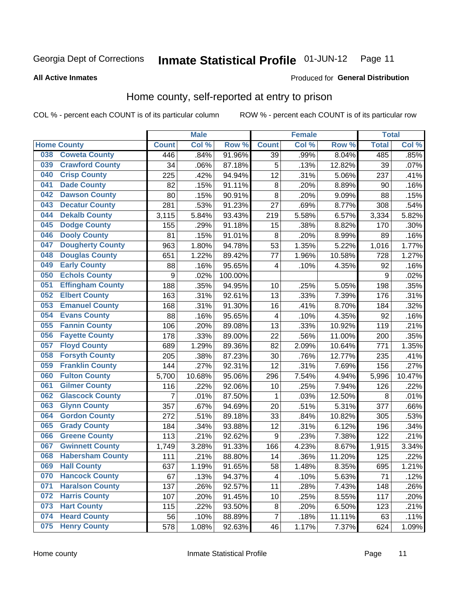#### Inmate Statistical Profile 01-JUN-12 Page 11

### **All Active Inmates**

# Produced for General Distribution

# Home county, self-reported at entry to prison

COL % - percent each COUNT is of its particular column

|     |                         |              | <b>Male</b> |         |                         | <b>Female</b> |        | <b>Total</b> |         |
|-----|-------------------------|--------------|-------------|---------|-------------------------|---------------|--------|--------------|---------|
|     | <b>Home County</b>      | <b>Count</b> | Col %       | Row %   | <b>Count</b>            | Col %         | Row %  | <b>Total</b> | Col %   |
| 038 | <b>Coweta County</b>    | 446          | .84%        | 91.96%  | $\overline{39}$         | .99%          | 8.04%  | 485          | $.85\%$ |
| 039 | <b>Crawford County</b>  | 34           | .06%        | 87.18%  | 5                       | .13%          | 12.82% | 39           | .07%    |
| 040 | <b>Crisp County</b>     | 225          | .42%        | 94.94%  | 12                      | .31%          | 5.06%  | 237          | .41%    |
| 041 | <b>Dade County</b>      | 82           | .15%        | 91.11%  | 8                       | .20%          | 8.89%  | 90           | .16%    |
| 042 | <b>Dawson County</b>    | 80           | .15%        | 90.91%  | 8                       | .20%          | 9.09%  | 88           | .15%    |
| 043 | <b>Decatur County</b>   | 281          | .53%        | 91.23%  | 27                      | .69%          | 8.77%  | 308          | .54%    |
| 044 | <b>Dekalb County</b>    | 3,115        | 5.84%       | 93.43%  | 219                     | 5.58%         | 6.57%  | 3,334        | 5.82%   |
| 045 | <b>Dodge County</b>     | 155          | .29%        | 91.18%  | 15                      | .38%          | 8.82%  | 170          | .30%    |
| 046 | <b>Dooly County</b>     | 81           | .15%        | 91.01%  | 8                       | .20%          | 8.99%  | 89           | .16%    |
| 047 | <b>Dougherty County</b> | 963          | 1.80%       | 94.78%  | 53                      | 1.35%         | 5.22%  | 1,016        | 1.77%   |
| 048 | <b>Douglas County</b>   | 651          | 1.22%       | 89.42%  | 77                      | 1.96%         | 10.58% | 728          | 1.27%   |
| 049 | <b>Early County</b>     | 88           | .16%        | 95.65%  | $\overline{\mathbf{4}}$ | .10%          | 4.35%  | 92           | .16%    |
| 050 | <b>Echols County</b>    | 9            | .02%        | 100.00% |                         |               |        | 9            | .02%    |
| 051 | <b>Effingham County</b> | 188          | .35%        | 94.95%  | 10                      | .25%          | 5.05%  | 198          | .35%    |
| 052 | <b>Elbert County</b>    | 163          | .31%        | 92.61%  | 13                      | .33%          | 7.39%  | 176          | .31%    |
| 053 | <b>Emanuel County</b>   | 168          | .31%        | 91.30%  | 16                      | .41%          | 8.70%  | 184          | .32%    |
| 054 | <b>Evans County</b>     | 88           | .16%        | 95.65%  | $\overline{\mathbf{4}}$ | .10%          | 4.35%  | 92           | .16%    |
| 055 | <b>Fannin County</b>    | 106          | .20%        | 89.08%  | 13                      | .33%          | 10.92% | 119          | .21%    |
| 056 | <b>Fayette County</b>   | 178          | .33%        | 89.00%  | 22                      | .56%          | 11.00% | 200          | .35%    |
| 057 | <b>Floyd County</b>     | 689          | 1.29%       | 89.36%  | 82                      | 2.09%         | 10.64% | 771          | 1.35%   |
| 058 | <b>Forsyth County</b>   | 205          | .38%        | 87.23%  | 30                      | .76%          | 12.77% | 235          | .41%    |
| 059 | <b>Franklin County</b>  | 144          | .27%        | 92.31%  | 12                      | .31%          | 7.69%  | 156          | .27%    |
| 060 | <b>Fulton County</b>    | 5,700        | 10.68%      | 95.06%  | 296                     | 7.54%         | 4.94%  | 5,996        | 10.47%  |
| 061 | <b>Gilmer County</b>    | 116          | .22%        | 92.06%  | 10                      | .25%          | 7.94%  | 126          | .22%    |
| 062 | <b>Glascock County</b>  | 7            | .01%        | 87.50%  | 1                       | .03%          | 12.50% | 8            | .01%    |
| 063 | <b>Glynn County</b>     | 357          | .67%        | 94.69%  | 20                      | .51%          | 5.31%  | 377          | .66%    |
| 064 | <b>Gordon County</b>    | 272          | .51%        | 89.18%  | 33                      | .84%          | 10.82% | 305          | .53%    |
| 065 | <b>Grady County</b>     | 184          | .34%        | 93.88%  | 12                      | .31%          | 6.12%  | 196          | .34%    |
| 066 | <b>Greene County</b>    | 113          | .21%        | 92.62%  | 9                       | .23%          | 7.38%  | 122          | .21%    |
| 067 | <b>Gwinnett County</b>  | 1,749        | 3.28%       | 91.33%  | 166                     | 4.23%         | 8.67%  | 1,915        | 3.34%   |
| 068 | <b>Habersham County</b> | 111          | .21%        | 88.80%  | 14                      | .36%          | 11.20% | 125          | .22%    |
| 069 | <b>Hall County</b>      | 637          | 1.19%       | 91.65%  | 58                      | 1.48%         | 8.35%  | 695          | 1.21%   |
| 070 | <b>Hancock County</b>   | 67           | .13%        | 94.37%  | 4                       | .10%          | 5.63%  | 71           | .12%    |
| 071 | <b>Haralson County</b>  | 137          | .26%        | 92.57%  | 11                      | .28%          | 7.43%  | 148          | .26%    |
| 072 | <b>Harris County</b>    | 107          | .20%        | 91.45%  | 10                      | .25%          | 8.55%  | 117          | .20%    |
| 073 | <b>Hart County</b>      | 115          | .22%        | 93.50%  | 8                       | .20%          | 6.50%  | 123          | .21%    |
| 074 | <b>Heard County</b>     | 56           | .10%        | 88.89%  | $\overline{7}$          | .18%          | 11.11% | 63           | .11%    |
| 075 | <b>Henry County</b>     | 578          | 1.08%       | 92.63%  | 46                      | 1.17%         | 7.37%  | 624          | 1.09%   |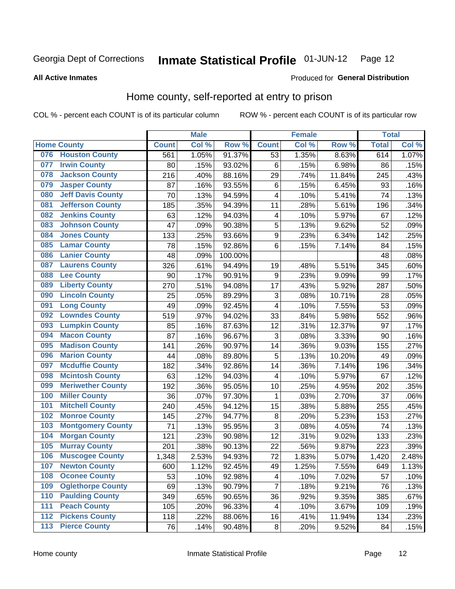#### Inmate Statistical Profile 01-JUN-12 Page 12

**All Active Inmates** 

### Produced for General Distribution

# Home county, self-reported at entry to prison

COL % - percent each COUNT is of its particular column

|     |                          |                    | <b>Male</b> |         |                         | <b>Female</b> |        | <b>Total</b> |       |
|-----|--------------------------|--------------------|-------------|---------|-------------------------|---------------|--------|--------------|-------|
|     | <b>Home County</b>       | <b>Count</b>       | Col %       | Row %   | <b>Count</b>            | Col %         | Row %  | <b>Total</b> | Col % |
| 076 | <b>Houston County</b>    | 561                | 1.05%       | 91.37%  | $\overline{53}$         | 1.35%         | 8.63%  | 614          | 1.07% |
| 077 | <b>Irwin County</b>      | 80                 | .15%        | 93.02%  | $\,6$                   | .15%          | 6.98%  | 86           | .15%  |
| 078 | <b>Jackson County</b>    | 216                | .40%        | 88.16%  | 29                      | .74%          | 11.84% | 245          | .43%  |
| 079 | <b>Jasper County</b>     | 87                 | .16%        | 93.55%  | $\,6$                   | .15%          | 6.45%  | 93           | .16%  |
| 080 | <b>Jeff Davis County</b> | 70                 | .13%        | 94.59%  | $\overline{\mathbf{4}}$ | .10%          | 5.41%  | 74           | .13%  |
| 081 | <b>Jefferson County</b>  | 185                | .35%        | 94.39%  | 11                      | .28%          | 5.61%  | 196          | .34%  |
| 082 | <b>Jenkins County</b>    | 63                 | .12%        | 94.03%  | $\overline{\mathbf{4}}$ | .10%          | 5.97%  | 67           | .12%  |
| 083 | <b>Johnson County</b>    | 47                 | .09%        | 90.38%  | 5                       | .13%          | 9.62%  | 52           | .09%  |
| 084 | <b>Jones County</b>      | 133                | .25%        | 93.66%  | 9                       | .23%          | 6.34%  | 142          | .25%  |
| 085 | <b>Lamar County</b>      | 78                 | .15%        | 92.86%  | 6                       | .15%          | 7.14%  | 84           | .15%  |
| 086 | <b>Lanier County</b>     | 48                 | .09%        | 100.00% |                         |               |        | 48           | .08%  |
| 087 | <b>Laurens County</b>    | 326                | .61%        | 94.49%  | 19                      | .48%          | 5.51%  | 345          | .60%  |
| 088 | <b>Lee County</b>        | 90                 | .17%        | 90.91%  | $\boldsymbol{9}$        | .23%          | 9.09%  | 99           | .17%  |
| 089 | <b>Liberty County</b>    | 270                | .51%        | 94.08%  | 17                      | .43%          | 5.92%  | 287          | .50%  |
| 090 | <b>Lincoln County</b>    | 25                 | .05%        | 89.29%  | $\mathbf{3}$            | .08%          | 10.71% | 28           | .05%  |
| 091 | <b>Long County</b>       | 49                 | .09%        | 92.45%  | $\overline{\mathbf{4}}$ | .10%          | 7.55%  | 53           | .09%  |
| 092 | <b>Lowndes County</b>    | 519                | .97%        | 94.02%  | 33                      | .84%          | 5.98%  | 552          | .96%  |
| 093 | <b>Lumpkin County</b>    | 85                 | .16%        | 87.63%  | 12                      | .31%          | 12.37% | 97           | .17%  |
| 094 | <b>Macon County</b>      | 87                 | .16%        | 96.67%  | $\overline{3}$          | .08%          | 3.33%  | 90           | .16%  |
| 095 | <b>Madison County</b>    | 141                | .26%        | 90.97%  | 14                      | .36%          | 9.03%  | 155          | .27%  |
| 096 | <b>Marion County</b>     | 44                 | .08%        | 89.80%  | 5                       | .13%          | 10.20% | 49           | .09%  |
| 097 | <b>Mcduffie County</b>   | 182                | .34%        | 92.86%  | 14                      | .36%          | 7.14%  | 196          | .34%  |
| 098 | <b>Mcintosh County</b>   | 63                 | .12%        | 94.03%  | $\overline{4}$          | .10%          | 5.97%  | 67           | .12%  |
| 099 | <b>Meriwether County</b> | 192                | .36%        | 95.05%  | 10                      | .25%          | 4.95%  | 202          | .35%  |
| 100 | <b>Miller County</b>     | 36                 | .07%        | 97.30%  | 1                       | .03%          | 2.70%  | 37           | .06%  |
| 101 | <b>Mitchell County</b>   | 240                | .45%        | 94.12%  | 15                      | .38%          | 5.88%  | 255          | .45%  |
| 102 | <b>Monroe County</b>     | 145                | .27%        | 94.77%  | $\bf 8$                 | .20%          | 5.23%  | 153          | .27%  |
| 103 | <b>Montgomery County</b> | 71                 | .13%        | 95.95%  | 3                       | .08%          | 4.05%  | 74           | .13%  |
| 104 | <b>Morgan County</b>     | 121                | .23%        | 90.98%  | 12                      | .31%          | 9.02%  | 133          | .23%  |
| 105 | <b>Murray County</b>     | 201                | .38%        | 90.13%  | 22                      | .56%          | 9.87%  | 223          | .39%  |
| 106 | <b>Muscogee County</b>   | $\overline{1,}348$ | 2.53%       | 94.93%  | 72                      | 1.83%         | 5.07%  | 1,420        | 2.48% |
| 107 | <b>Newton County</b>     | 600                | 1.12%       | 92.45%  | 49                      | 1.25%         | 7.55%  | 649          | 1.13% |
| 108 | <b>Oconee County</b>     | 53                 | .10%        | 92.98%  | 4                       | .10%          | 7.02%  | 57           | .10%  |
| 109 | <b>Oglethorpe County</b> | 69                 | .13%        | 90.79%  | 7                       | .18%          | 9.21%  | 76           | .13%  |
| 110 | <b>Paulding County</b>   | 349                | .65%        | 90.65%  | 36                      | .92%          | 9.35%  | 385          | .67%  |
| 111 | <b>Peach County</b>      | 105                | .20%        | 96.33%  | 4                       | .10%          | 3.67%  | 109          | .19%  |
| 112 | <b>Pickens County</b>    | 118                | .22%        | 88.06%  | 16                      | .41%          | 11.94% | 134          | .23%  |
| 113 | <b>Pierce County</b>     | 76                 | .14%        | 90.48%  | $\bf 8$                 | .20%          | 9.52%  | 84           | .15%  |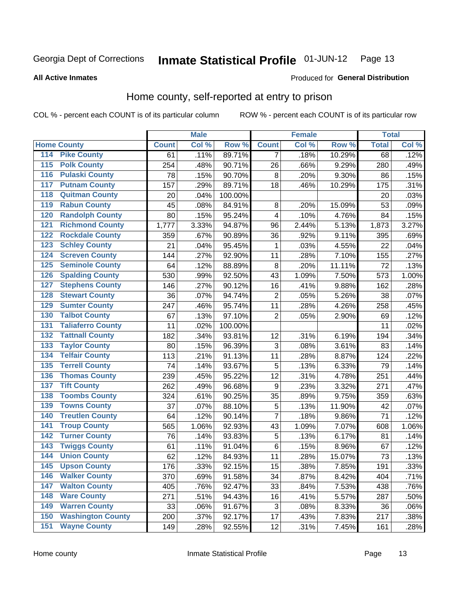#### Inmate Statistical Profile 01-JUN-12 Page 13

**All Active Inmates** 

### Produced for General Distribution

# Home county, self-reported at entry to prison

COL % - percent each COUNT is of its particular column

|                  |                          |              | <b>Male</b> |                  |                | <b>Female</b> |        | <b>Total</b> |       |
|------------------|--------------------------|--------------|-------------|------------------|----------------|---------------|--------|--------------|-------|
|                  | <b>Home County</b>       | <b>Count</b> | Col %       | Row <sup>%</sup> | <b>Count</b>   | Col %         | Row %  | <b>Total</b> | Col % |
| 114              | <b>Pike County</b>       | 61           | .11%        | 89.71%           | 7              | .18%          | 10.29% | 68           | .12%  |
| 115              | <b>Polk County</b>       | 254          | .48%        | 90.71%           | 26             | .66%          | 9.29%  | 280          | .49%  |
| 116              | <b>Pulaski County</b>    | 78           | .15%        | 90.70%           | $\bf 8$        | .20%          | 9.30%  | 86           | .15%  |
| 117              | <b>Putnam County</b>     | 157          | .29%        | 89.71%           | 18             | .46%          | 10.29% | 175          | .31%  |
| 118              | <b>Quitman County</b>    | 20           | .04%        | 100.00%          |                |               |        | 20           | .03%  |
| 119              | <b>Rabun County</b>      | 45           | .08%        | 84.91%           | $\bf 8$        | .20%          | 15.09% | 53           | .09%  |
| 120              | <b>Randolph County</b>   | 80           | .15%        | 95.24%           | 4              | .10%          | 4.76%  | 84           | .15%  |
| 121              | <b>Richmond County</b>   | 1,777        | 3.33%       | 94.87%           | 96             | 2.44%         | 5.13%  | 1,873        | 3.27% |
| 122              | <b>Rockdale County</b>   | 359          | .67%        | 90.89%           | 36             | .92%          | 9.11%  | 395          | .69%  |
| 123              | <b>Schley County</b>     | 21           | .04%        | 95.45%           | 1              | .03%          | 4.55%  | 22           | .04%  |
| 124              | <b>Screven County</b>    | 144          | .27%        | 92.90%           | 11             | .28%          | 7.10%  | 155          | .27%  |
| 125              | <b>Seminole County</b>   | 64           | .12%        | 88.89%           | 8              | .20%          | 11.11% | 72           | .13%  |
| 126              | <b>Spalding County</b>   | 530          | .99%        | 92.50%           | 43             | 1.09%         | 7.50%  | 573          | 1.00% |
| 127              | <b>Stephens County</b>   | 146          | .27%        | 90.12%           | 16             | .41%          | 9.88%  | 162          | .28%  |
| 128              | <b>Stewart County</b>    | 36           | .07%        | 94.74%           | $\overline{c}$ | .05%          | 5.26%  | 38           | .07%  |
| 129              | <b>Sumter County</b>     | 247          | .46%        | 95.74%           | 11             | .28%          | 4.26%  | 258          | .45%  |
| 130              | <b>Talbot County</b>     | 67           | .13%        | 97.10%           | $\overline{2}$ | .05%          | 2.90%  | 69           | .12%  |
| 131              | <b>Taliaferro County</b> | 11           | .02%        | 100.00%          |                |               |        | 11           | .02%  |
| 132              | <b>Tattnall County</b>   | 182          | .34%        | 93.81%           | 12             | .31%          | 6.19%  | 194          | .34%  |
| 133              | <b>Taylor County</b>     | 80           | .15%        | 96.39%           | 3              | .08%          | 3.61%  | 83           | .14%  |
| 134              | <b>Telfair County</b>    | 113          | .21%        | 91.13%           | 11             | .28%          | 8.87%  | 124          | .22%  |
| $\overline{135}$ | <b>Terrell County</b>    | 74           | .14%        | 93.67%           | 5              | .13%          | 6.33%  | 79           | .14%  |
| 136              | <b>Thomas County</b>     | 239          | .45%        | 95.22%           | 12             | .31%          | 4.78%  | 251          | .44%  |
| 137              | <b>Tift County</b>       | 262          | .49%        | 96.68%           | 9              | .23%          | 3.32%  | 271          | .47%  |
| 138              | <b>Toombs County</b>     | 324          | .61%        | 90.25%           | 35             | .89%          | 9.75%  | 359          | .63%  |
| 139              | <b>Towns County</b>      | 37           | .07%        | 88.10%           | 5              | .13%          | 11.90% | 42           | .07%  |
| 140              | <b>Treutlen County</b>   | 64           | .12%        | 90.14%           | 7              | .18%          | 9.86%  | 71           | .12%  |
| 141              | <b>Troup County</b>      | 565          | 1.06%       | 92.93%           | 43             | 1.09%         | 7.07%  | 608          | 1.06% |
| $\overline{142}$ | <b>Turner County</b>     | 76           | .14%        | 93.83%           | 5              | .13%          | 6.17%  | 81           | .14%  |
| 143              | <b>Twiggs County</b>     | 61           | .11%        | 91.04%           | $\,6$          | .15%          | 8.96%  | 67           | .12%  |
| 144              | <b>Union County</b>      | 62           | .12%        | 84.93%           | 11             | .28%          | 15.07% | 73           | .13%  |
| 145              | <b>Upson County</b>      | 176          | .33%        | 92.15%           | 15             | .38%          | 7.85%  | 191          | .33%  |
| 146              | <b>Walker County</b>     | 370          | .69%        | 91.58%           | 34             | .87%          | 8.42%  | 404          | .71%  |
| 147              | <b>Walton County</b>     | 405          | .76%        | 92.47%           | 33             | .84%          | 7.53%  | 438          | .76%  |
| 148              | <b>Ware County</b>       | 271          | .51%        | 94.43%           | 16             | .41%          | 5.57%  | 287          | .50%  |
| 149              | <b>Warren County</b>     | 33           | .06%        | 91.67%           | $\sqrt{3}$     | .08%          | 8.33%  | 36           | .06%  |
| 150              | <b>Washington County</b> | 200          | .37%        | 92.17%           | 17             | .43%          | 7.83%  | 217          | .38%  |
| 151              | <b>Wayne County</b>      | 149          | .28%        | 92.55%           | 12             | .31%          | 7.45%  | 161          | .28%  |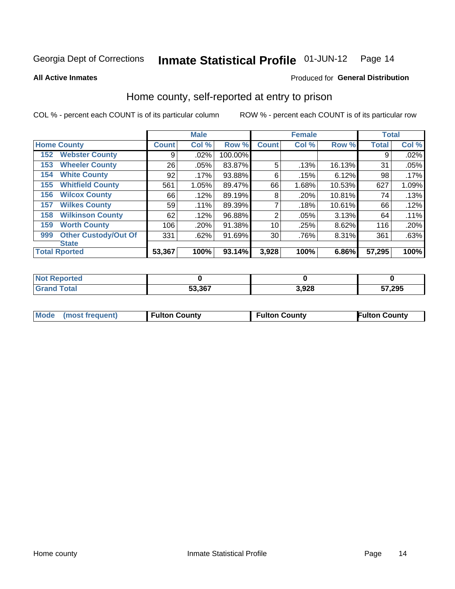#### Inmate Statistical Profile 01-JUN-12 Page 14

**All Active Inmates** 

### Produced for General Distribution

# Home county, self-reported at entry to prison

COL % - percent each COUNT is of its particular column

|     |                             |              | <b>Male</b> |         |                 | <b>Female</b> |        | <b>Total</b> |       |
|-----|-----------------------------|--------------|-------------|---------|-----------------|---------------|--------|--------------|-------|
|     | <b>Home County</b>          | <b>Count</b> | Col %       | Row %   | <b>Count</b>    | Col %         | Row %  | <b>Total</b> | Col % |
| 152 | <b>Webster County</b>       | 9            | .02%        | 100.00% |                 |               |        | 9            | .02%  |
| 153 | <b>Wheeler County</b>       | 26           | .05%        | 83.87%  | 5               | .13%          | 16.13% | 31           | .05%  |
| 154 | <b>White County</b>         | 92           | .17%        | 93.88%  | 6               | .15%          | 6.12%  | 98           | .17%  |
| 155 | <b>Whitfield County</b>     | 561          | 1.05%       | 89.47%  | 66              | 1.68%         | 10.53% | 627          | 1.09% |
| 156 | <b>Wilcox County</b>        | 66           | .12%        | 89.19%  | 8               | .20%          | 10.81% | 74           | .13%  |
| 157 | <b>Wilkes County</b>        | 59           | .11%        | 89.39%  | 7               | .18%          | 10.61% | 66           | .12%  |
| 158 | <b>Wilkinson County</b>     | 62           | .12%        | 96.88%  | 2               | .05%          | 3.13%  | 64           | .11%  |
| 159 | <b>Worth County</b>         | 106          | .20%        | 91.38%  | 10              | .25%          | 8.62%  | 116          | .20%  |
| 999 | <b>Other Custody/Out Of</b> | 331          | .62%        | 91.69%  | 30 <sub>1</sub> | .76%          | 8.31%  | 361          | .63%  |
|     | <b>State</b>                |              |             |         |                 |               |        |              |       |
|     | <b>Total Rported</b>        | 53,367       | 100%        | 93.14%  | 3,928           | 100%          | 6.86%  | 57,295       | 100%  |

| <b>Reported</b><br><b>NOT</b> |        |             |                        |
|-------------------------------|--------|-------------|------------------------|
| <b>cotal</b>                  | 53.367 | റാ<br>ט⊾ט,נ | 57,295<br>$\mathbf{c}$ |

|  |  |  | Mode (most frequent) | Fulton County | <b>Fulton County</b> | <b>Fulton County</b> |
|--|--|--|----------------------|---------------|----------------------|----------------------|
|--|--|--|----------------------|---------------|----------------------|----------------------|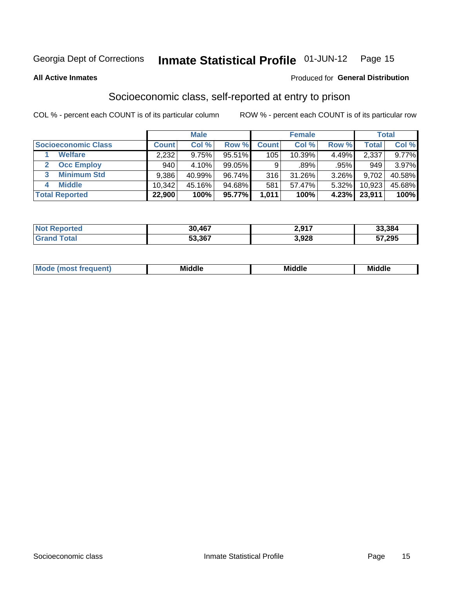#### Inmate Statistical Profile 01-JUN-12 Page 15

### **All Active Inmates**

# **Produced for General Distribution**

# Socioeconomic class, self-reported at entry to prison

COL % - percent each COUNT is of its particular column

|                            |              | <b>Male</b> |           |              | <b>Female</b> |       |              | <b>Total</b> |
|----------------------------|--------------|-------------|-----------|--------------|---------------|-------|--------------|--------------|
| <b>Socioeconomic Class</b> | <b>Count</b> | Col %       | Row %     | <b>Count</b> | Col %         | Row % | <b>Total</b> | Col %        |
| <b>Welfare</b>             | 2,232        | 9.75%       | 95.51%    | 105          | 10.39%        | 4.49% | 2,337        | 9.77%        |
| <b>Occ Employ</b>          | 940          | 4.10%       | $99.05\%$ | 9            | .89%          | .95%  | 949          | 3.97%        |
| <b>Minimum Std</b><br>3    | 9,386        | 40.99%      | 96.74%    | 316          | $31.26\%$     | 3.26% | 9.702        | 40.58%       |
| <b>Middle</b><br>4         | 10,342       | 45.16%      | 94.68%    | 581          | 57.47%        | 5.32% | 10,923       | 45.68%       |
| <b>Total Reported</b>      | 22,900       | 100%        | 95.77%    | 1,011        | 100%          | 4.23% | 23,911       | 100%         |

| <b>Not Reported</b> | 30,467 | 2,917 | 33,384 |
|---------------------|--------|-------|--------|
| Total               | 53,367 | 3,928 | 57,295 |

| ____<br>____ |
|--------------|
|--------------|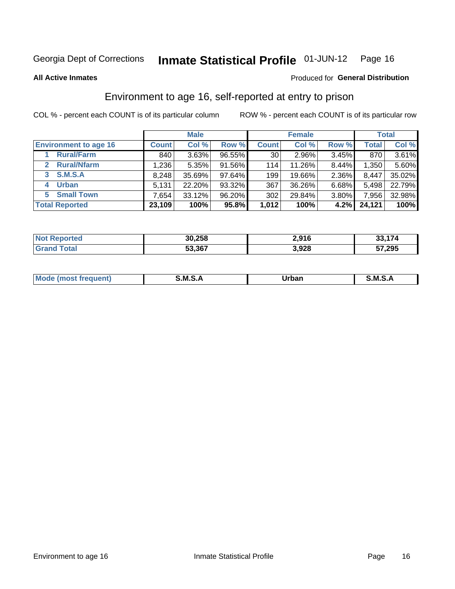#### Inmate Statistical Profile 01-JUN-12 Page 16

**All Active Inmates** 

### Produced for General Distribution

# Environment to age 16, self-reported at entry to prison

COL % - percent each COUNT is of its particular column

|                                    |              | <b>Male</b> |        |                 | <b>Female</b> |          |              | <b>Total</b> |
|------------------------------------|--------------|-------------|--------|-----------------|---------------|----------|--------------|--------------|
| <b>Environment to age 16</b>       | <b>Count</b> | Col %       | Row %  | <b>Count</b>    | Col %         | Row %    | <b>Total</b> | Col %        |
| <b>Rural/Farm</b>                  | 840          | 3.63%       | 96.55% | 30 <sup>1</sup> | 2.96%         | 3.45%    | 870          | $3.61\%$     |
| <b>Rural/Nfarm</b><br>$\mathbf{2}$ | 1,236        | 5.35%       | 91.56% | 114             | 11.26%        | 8.44%    | 1,350        | 5.60%        |
| <b>S.M.S.A</b><br>3                | 8,248        | 35.69%      | 97.64% | 199             | 19.66%        | 2.36%    | 8,447        | 35.02%       |
| <b>Urban</b>                       | 5,131        | 22.20%      | 93.32% | 367             | 36.26%        | $6.68\%$ | 5,498        | 22.79%       |
| <b>Small Town</b><br>5.            | 7.654        | 33.12%      | 96.20% | 302             | 29.84%        | 3.80%    | 7,956        | 32.98%       |
| <b>Total Reported</b>              | 23,109       | 100%        | 95.8%  | 1,012           | 100%          | 4.2%     | 24,121       | 100%         |

| <b>Not Reported</b> | 30,258 | 2.916 | 33,174 |
|---------------------|--------|-------|--------|
|                     | 53,367 | 3,928 | 57,295 |

| Mo | M | Irhan<br>rva<br>______ | M<br>______ |
|----|---|------------------------|-------------|
|    |   |                        |             |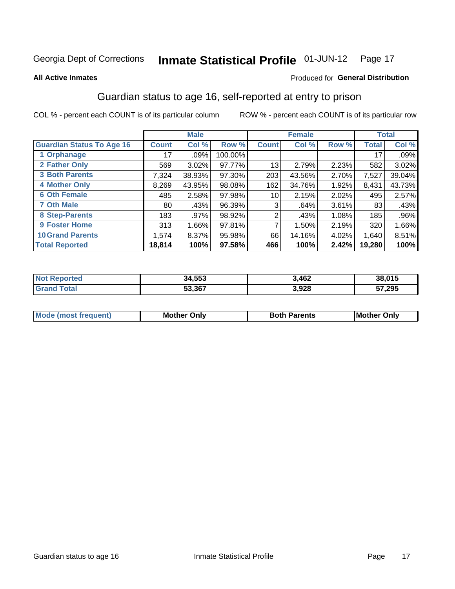#### Inmate Statistical Profile 01-JUN-12 Page 17

### **All Active Inmates**

### Produced for General Distribution

# Guardian status to age 16, self-reported at entry to prison

COL % - percent each COUNT is of its particular column

|                                  |                 | <b>Male</b> |         |              | <b>Female</b> |       |        | <b>Total</b> |
|----------------------------------|-----------------|-------------|---------|--------------|---------------|-------|--------|--------------|
| <b>Guardian Status To Age 16</b> | <b>Count</b>    | Col %       | Row %   | <b>Count</b> | Col %         | Row % | Total  | Col %        |
| 1 Orphanage                      | 17 <sup>1</sup> | $.09\%$     | 100.00% |              |               |       | 17     | .09%         |
| 2 Father Only                    | 569             | 3.02%       | 97.77%  | 13           | 2.79%         | 2.23% | 582    | 3.02%        |
| <b>3 Both Parents</b>            | 7,324           | 38.93%      | 97.30%  | 203          | 43.56%        | 2.70% | 7,527  | 39.04%       |
| <b>4 Mother Only</b>             | 8,269           | 43.95%      | 98.08%  | 162          | 34.76%        | 1.92% | 8,431  | 43.73%       |
| <b>6 Oth Female</b>              | 485             | 2.58%       | 97.98%  | 10           | 2.15%         | 2.02% | 495    | 2.57%        |
| <b>7 Oth Male</b>                | 80              | .43%        | 96.39%  | 3            | .64%          | 3.61% | 83     | .43%         |
| 8 Step-Parents                   | 183             | .97%        | 98.92%  | 2            | .43%          | 1.08% | 185    | .96%         |
| 9 Foster Home                    | 313             | 1.66%       | 97.81%  | 7            | 1.50%         | 2.19% | 320    | 1.66%        |
| <b>10 Grand Parents</b>          | 1,574           | 8.37%       | 95.98%  | 66           | 14.16%        | 4.02% | 1,640  | 8.51%        |
| <b>Total Reported</b>            | 18,814          | 100%        | 97.58%  | 466          | 100%          | 2.42% | 19,280 | 100%         |

| ≧rtea<br>NO | 34,553 | 3,462 | 38.01 <sup>2</sup><br>.v 13 |
|-------------|--------|-------|-----------------------------|
| . Gr        | 53,367 | 3,928 | 57,295                      |

| <b>Mode (most frequent)</b> | วทIv<br>- -<br>MΩ | <b>Roth</b><br>ີ <sup>ລ</sup> າrents | l Mc<br>Only<br>- - |
|-----------------------------|-------------------|--------------------------------------|---------------------|
|                             |                   |                                      |                     |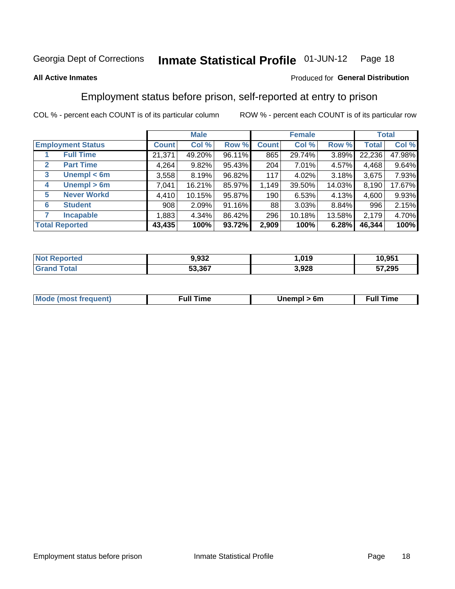#### Inmate Statistical Profile 01-JUN-12 Page 18

### **All Active Inmates**

### Produced for General Distribution

# Employment status before prison, self-reported at entry to prison

COL % - percent each COUNT is of its particular column

|                                  |              | <b>Male</b> |        |              | <b>Female</b> |          |              | <b>Total</b> |
|----------------------------------|--------------|-------------|--------|--------------|---------------|----------|--------------|--------------|
| <b>Employment Status</b>         | <b>Count</b> | Col %       | Row %  | <b>Count</b> | Col %         | Row %    | <b>Total</b> | Col %        |
| <b>Full Time</b>                 | 21,371       | 49.20%      | 96.11% | 865          | 29.74%        | 3.89%    | 22,236       | 47.98%       |
| <b>Part Time</b><br>$\mathbf{2}$ | 4,264        | 9.82%       | 95.43% | 204          | 7.01%         | 4.57%    | 4,468        | 9.64%        |
| Unempl $<$ 6m<br>3               | 3,558        | 8.19%       | 96.82% | 117          | 4.02%         | 3.18%    | 3,675        | 7.93%        |
| Unempl > 6m<br>4                 | 7,041        | 16.21%      | 85.97% | 1,149        | 39.50%        | 14.03%   | 8,190        | 17.67%       |
| <b>Never Workd</b><br>5          | 4,410        | 10.15%      | 95.87% | 190          | 6.53%         | $4.13\%$ | 4,600        | 9.93%        |
| <b>Student</b><br>6              | 908          | 2.09%       | 91.16% | 88           | 3.03%         | 8.84%    | 996          | 2.15%        |
| <b>Incapable</b><br>7            | 1,883        | 4.34%       | 86.42% | 296          | 10.18%        | 13.58%   | 2,179        | 4.70%        |
| <b>Total Reported</b>            | 43,435       | 100%        | 93.72% | 2,909        | 100%          | 6.28%    | 46,344       | 100%         |

| orted<br>NO          | 9,932  | ,019  | 10,951 |
|----------------------|--------|-------|--------|
| $T$ otol $T$<br>υιαι | 53,367 | 3,928 | 57,295 |

| <b>Mode (most frequent)</b> | full "<br>the contract of the contract of the contract of the contract of the contract of the contract of the contract of | 6m | ïme<br>้นเ<br>the contract of the contract of the contract of the contract of the contract of the contract of the contract of |
|-----------------------------|---------------------------------------------------------------------------------------------------------------------------|----|-------------------------------------------------------------------------------------------------------------------------------|
|                             |                                                                                                                           |    |                                                                                                                               |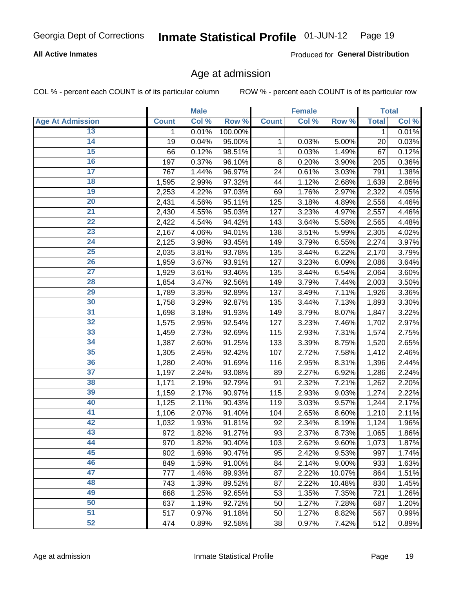# **All Active Inmates**

Produced for General Distribution

# Age at admission

COL % - percent each COUNT is of its particular column

|                         |              | <b>Male</b> |         |              | <b>Female</b> |        |              | <b>Total</b> |
|-------------------------|--------------|-------------|---------|--------------|---------------|--------|--------------|--------------|
| <b>Age At Admission</b> | <b>Count</b> | Col %       | Row %   | <b>Count</b> | Col %         | Row %  | <b>Total</b> | Col %        |
| 13                      | 1            | 0.01%       | 100.00% |              |               |        | $\mathbf 1$  | 0.01%        |
| $\overline{14}$         | 19           | 0.04%       | 95.00%  | 1            | 0.03%         | 5.00%  | 20           | 0.03%        |
| 15                      | 66           | 0.12%       | 98.51%  | 1            | 0.03%         | 1.49%  | 67           | 0.12%        |
| 16                      | 197          | 0.37%       | 96.10%  | 8            | 0.20%         | 3.90%  | 205          | 0.36%        |
| $\overline{17}$         | 767          | 1.44%       | 96.97%  | 24           | 0.61%         | 3.03%  | 791          | 1.38%        |
| 18                      | 1,595        | 2.99%       | 97.32%  | 44           | 1.12%         | 2.68%  | 1,639        | 2.86%        |
| 19                      | 2,253        | 4.22%       | 97.03%  | 69           | 1.76%         | 2.97%  | 2,322        | 4.05%        |
| $\overline{20}$         | 2,431        | 4.56%       | 95.11%  | 125          | 3.18%         | 4.89%  | 2,556        | 4.46%        |
| $\overline{21}$         | 2,430        | 4.55%       | 95.03%  | 127          | 3.23%         | 4.97%  | 2,557        | 4.46%        |
| $\overline{22}$         | 2,422        | 4.54%       | 94.42%  | 143          | 3.64%         | 5.58%  | 2,565        | 4.48%        |
| 23                      | 2,167        | 4.06%       | 94.01%  | 138          | 3.51%         | 5.99%  | 2,305        | 4.02%        |
| $\overline{24}$         | 2,125        | 3.98%       | 93.45%  | 149          | 3.79%         | 6.55%  | 2,274        | 3.97%        |
| $\overline{25}$         | 2,035        | 3.81%       | 93.78%  | 135          | 3.44%         | 6.22%  | 2,170        | 3.79%        |
| 26                      | 1,959        | 3.67%       | 93.91%  | 127          | 3.23%         | 6.09%  | 2,086        | 3.64%        |
| 27                      | 1,929        | 3.61%       | 93.46%  | 135          | 3.44%         | 6.54%  | 2,064        | 3.60%        |
| 28                      | 1,854        | 3.47%       | 92.56%  | 149          | 3.79%         | 7.44%  | 2,003        | 3.50%        |
| 29                      | 1,789        | 3.35%       | 92.89%  | 137          | 3.49%         | 7.11%  | 1,926        | 3.36%        |
| 30                      | 1,758        | 3.29%       | 92.87%  | 135          | 3.44%         | 7.13%  | 1,893        | 3.30%        |
| 31                      | 1,698        | 3.18%       | 91.93%  | 149          | 3.79%         | 8.07%  | 1,847        | 3.22%        |
| $\overline{32}$         | 1,575        | 2.95%       | 92.54%  | 127          | 3.23%         | 7.46%  | 1,702        | 2.97%        |
| 33                      | 1,459        | 2.73%       | 92.69%  | 115          | 2.93%         | 7.31%  | 1,574        | 2.75%        |
| 34                      | 1,387        | 2.60%       | 91.25%  | 133          | 3.39%         | 8.75%  | 1,520        | 2.65%        |
| 35                      | 1,305        | 2.45%       | 92.42%  | 107          | 2.72%         | 7.58%  | 1,412        | 2.46%        |
| 36                      | 1,280        | 2.40%       | 91.69%  | 116          | 2.95%         | 8.31%  | 1,396        | 2.44%        |
| $\overline{37}$         | 1,197        | 2.24%       | 93.08%  | 89           | 2.27%         | 6.92%  | 1,286        | 2.24%        |
| 38                      | 1,171        | 2.19%       | 92.79%  | 91           | 2.32%         | 7.21%  | 1,262        | 2.20%        |
| 39                      | 1,159        | 2.17%       | 90.97%  | 115          | 2.93%         | 9.03%  | 1,274        | 2.22%        |
| 40                      | 1,125        | 2.11%       | 90.43%  | 119          | 3.03%         | 9.57%  | 1,244        | 2.17%        |
| 41                      | 1,106        | 2.07%       | 91.40%  | 104          | 2.65%         | 8.60%  | 1,210        | 2.11%        |
| 42                      | 1,032        | 1.93%       | 91.81%  | 92           | 2.34%         | 8.19%  | 1,124        | 1.96%        |
| 43                      | 972          | 1.82%       | 91.27%  | 93           | 2.37%         | 8.73%  | 1,065        | 1.86%        |
| 44                      | 970          | 1.82%       | 90.40%  | 103          | 2.62%         | 9.60%  | 1,073        | 1.87%        |
| 45                      | 902          | 1.69%       | 90.47%  | 95           | 2.42%         | 9.53%  | 997          | 1.74%        |
| 46                      | 849          | 1.59%       | 91.00%  | 84           | 2.14%         | 9.00%  | 933          | 1.63%        |
| 47                      | 777          | 1.46%       | 89.93%  | 87           | 2.22%         | 10.07% | 864          | 1.51%        |
| 48                      | 743          | 1.39%       | 89.52%  | 87           | 2.22%         | 10.48% | 830          | 1.45%        |
| 49                      | 668          | 1.25%       | 92.65%  | 53           | 1.35%         | 7.35%  | 721          | 1.26%        |
| 50                      | 637          | 1.19%       | 92.72%  | 50           | 1.27%         | 7.28%  | 687          | 1.20%        |
| 51                      | 517          | 0.97%       | 91.18%  | 50           | 1.27%         | 8.82%  | 567          | 0.99%        |
| 52                      | 474          | 0.89%       | 92.58%  | 38           | 0.97%         | 7.42%  | 512          | 0.89%        |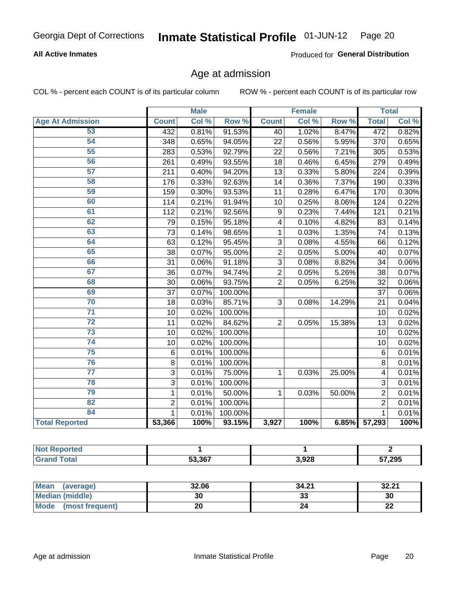# **All Active Inmates**

Produced for General Distribution

# Age at admission

COL % - percent each COUNT is of its particular column

|                         | <b>Male</b>    |       | <b>Female</b> |                |       | <b>Total</b> |                |       |
|-------------------------|----------------|-------|---------------|----------------|-------|--------------|----------------|-------|
| <b>Age At Admission</b> | <b>Count</b>   | Col % | Row %         | <b>Count</b>   | Col % | Row %        | <b>Total</b>   | Col % |
| 53                      | 432            | 0.81% | 91.53%        | 40             | 1.02% | 8.47%        | 472            | 0.82% |
| 54                      | 348            | 0.65% | 94.05%        | 22             | 0.56% | 5.95%        | 370            | 0.65% |
| 55                      | 283            | 0.53% | 92.79%        | 22             | 0.56% | 7.21%        | 305            | 0.53% |
| 56                      | 261            | 0.49% | 93.55%        | 18             | 0.46% | 6.45%        | 279            | 0.49% |
| 57                      | 211            | 0.40% | 94.20%        | 13             | 0.33% | 5.80%        | 224            | 0.39% |
| 58                      | 176            | 0.33% | 92.63%        | 14             | 0.36% | 7.37%        | 190            | 0.33% |
| 59                      | 159            | 0.30% | 93.53%        | 11             | 0.28% | 6.47%        | 170            | 0.30% |
| 60                      | 114            | 0.21% | 91.94%        | 10             | 0.25% | 8.06%        | 124            | 0.22% |
| 61                      | 112            | 0.21% | 92.56%        | 9              | 0.23% | 7.44%        | 121            | 0.21% |
| 62                      | 79             | 0.15% | 95.18%        | 4              | 0.10% | 4.82%        | 83             | 0.14% |
| 63                      | 73             | 0.14% | 98.65%        | 1              | 0.03% | 1.35%        | 74             | 0.13% |
| 64                      | 63             | 0.12% | 95.45%        | 3              | 0.08% | 4.55%        | 66             | 0.12% |
| 65                      | 38             | 0.07% | 95.00%        | $\overline{c}$ | 0.05% | 5.00%        | 40             | 0.07% |
| 66                      | 31             | 0.06% | 91.18%        | 3              | 0.08% | 8.82%        | 34             | 0.06% |
| 67                      | 36             | 0.07% | 94.74%        | $\overline{2}$ | 0.05% | 5.26%        | 38             | 0.07% |
| 68                      | 30             | 0.06% | 93.75%        | $\overline{2}$ | 0.05% | 6.25%        | 32             | 0.06% |
| 69                      | 37             | 0.07% | 100.00%       |                |       |              | 37             | 0.06% |
| 70                      | 18             | 0.03% | 85.71%        | 3              | 0.08% | 14.29%       | 21             | 0.04% |
| $\overline{71}$         | 10             | 0.02% | 100.00%       |                |       |              | 10             | 0.02% |
| $\overline{72}$         | 11             | 0.02% | 84.62%        | $\overline{2}$ | 0.05% | 15.38%       | 13             | 0.02% |
| $\overline{73}$         | 10             | 0.02% | 100.00%       |                |       |              | 10             | 0.02% |
| 74                      | 10             | 0.02% | 100.00%       |                |       |              | 10             | 0.02% |
| 75                      | $\,6$          | 0.01% | 100.00%       |                |       |              | 6              | 0.01% |
| 76                      | 8              | 0.01% | 100.00%       |                |       |              | 8              | 0.01% |
| $\overline{77}$         | 3              | 0.01% | 75.00%        | 1              | 0.03% | 25.00%       | 4              | 0.01% |
| 78                      | $\overline{3}$ | 0.01% | 100.00%       |                |       |              | 3              | 0.01% |
| 79                      | $\mathbf{1}$   | 0.01% | 50.00%        | $\mathbf{1}$   | 0.03% | 50.00%       | $\overline{2}$ | 0.01% |
| 82                      | $\overline{2}$ | 0.01% | 100.00%       |                |       |              | $\overline{2}$ | 0.01% |
| 84                      | $\mathbf{1}$   | 0.01% | 100.00%       |                |       |              | 1              | 0.01% |
| <b>Total Reported</b>   | 53,366         | 100%  | 93.15%        | 3,927          | 100%  | 6.85%        | 57,293         | 100%  |

| <b>rted</b><br><b>Not</b> |        |       |        |
|---------------------------|--------|-------|--------|
| $\sim$                    | 53.367 | 3,928 | 57,295 |

| Mean (average)         | 32.06 | 34.21   | 32.21    |
|------------------------|-------|---------|----------|
| <b>Median (middle)</b> | 30    | ົ<br>აა | 30       |
| Mode (most frequent)   | 20    |         | n.<br>LL |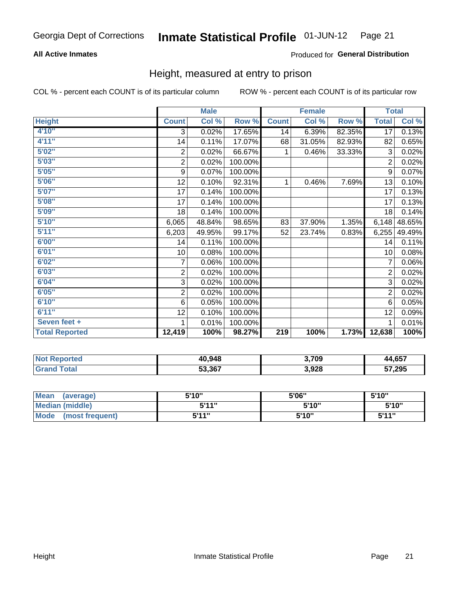# **All Active Inmates**

### Produced for General Distribution

# Height, measured at entry to prison

COL % - percent each COUNT is of its particular column

|                       | <b>Male</b>    |        |         | <b>Female</b>    |        |        | <b>Total</b>    |        |
|-----------------------|----------------|--------|---------|------------------|--------|--------|-----------------|--------|
| <b>Height</b>         | <b>Count</b>   | Col %  | Row %   | <b>Count</b>     | Col %  | Row %  | <b>Total</b>    | Col %  |
| 4'10"                 | 3              | 0.02%  | 17.65%  | 14               | 6.39%  | 82.35% | $\overline{17}$ | 0.13%  |
| 4'11''                | 14             | 0.11%  | 17.07%  | 68               | 31.05% | 82.93% | 82              | 0.65%  |
| 5'02"                 | $\sqrt{2}$     | 0.02%  | 66.67%  | 1                | 0.46%  | 33.33% | 3               | 0.02%  |
| 5'03''                | $\overline{c}$ | 0.02%  | 100.00% |                  |        |        | $\overline{2}$  | 0.02%  |
| 5'05''                | 9              | 0.07%  | 100.00% |                  |        |        | 9               | 0.07%  |
| 5'06''                | 12             | 0.10%  | 92.31%  | 1                | 0.46%  | 7.69%  | 13              | 0.10%  |
| 5'07''                | 17             | 0.14%  | 100.00% |                  |        |        | 17              | 0.13%  |
| 5'08"                 | 17             | 0.14%  | 100.00% |                  |        |        | 17              | 0.13%  |
| 5'09''                | 18             | 0.14%  | 100.00% |                  |        |        | 18              | 0.14%  |
| 5'10''                | 6,065          | 48.84% | 98.65%  | 83               | 37.90% | 1.35%  | 6,148           | 48.65% |
| 5'11''                | 6,203          | 49.95% | 99.17%  | 52               | 23.74% | 0.83%  | 6,255           | 49.49% |
| 6'00''                | 14             | 0.11%  | 100.00% |                  |        |        | 14              | 0.11%  |
| 6'01''                | 10             | 0.08%  | 100.00% |                  |        |        | 10              | 0.08%  |
| 6'02''                | 7              | 0.06%  | 100.00% |                  |        |        | 7               | 0.06%  |
| 6'03''                | 2              | 0.02%  | 100.00% |                  |        |        | $\overline{2}$  | 0.02%  |
| 6'04"                 | 3              | 0.02%  | 100.00% |                  |        |        | 3               | 0.02%  |
| 6'05''                | 2              | 0.02%  | 100.00% |                  |        |        | $\overline{2}$  | 0.02%  |
| 6'10''                | $\,6$          | 0.05%  | 100.00% |                  |        |        | 6               | 0.05%  |
| 6'11''                | 12             | 0.10%  | 100.00% |                  |        |        | 12              | 0.09%  |
| Seven feet +          | 1              | 0.01%  | 100.00% |                  |        |        |                 | 0.01%  |
| <b>Total Reported</b> | 12,419         | 100%   | 98.27%  | $\overline{219}$ | 100%   | 1.73%  | 12,638          | 100%   |

| <b>Not Reported</b> | 40,948 | 3,709 | 44,657 |
|---------------------|--------|-------|--------|
| ™otal               | 53,367 | 3,928 | 57,295 |

| Mean<br>(average)       | 5'10" | 5'06" | 5'10" |
|-------------------------|-------|-------|-------|
| Median (middle)         | 544"  | 5'10" | 5'10" |
| Mode<br>(most frequent) | 5'11" | 5'10" | 5'11" |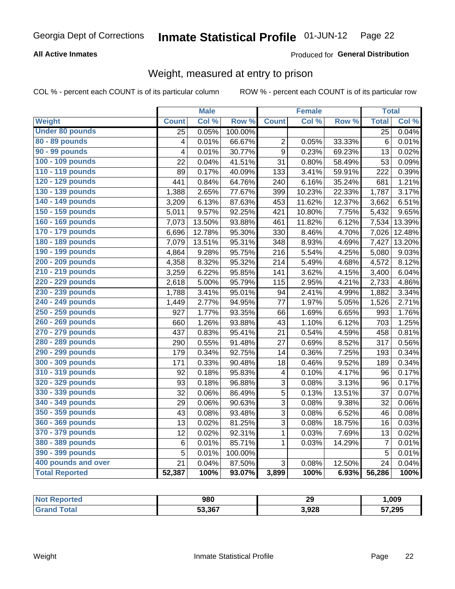# **All Active Inmates**

### Produced for General Distribution

# Weight, measured at entry to prison

COL % - percent each COUNT is of its particular column

|                        |                         | <b>Male</b> |                  |              | <b>Female</b> |        | <b>Total</b>    |        |
|------------------------|-------------------------|-------------|------------------|--------------|---------------|--------|-----------------|--------|
| Weight                 | <b>Count</b>            | Col %       | Row <sup>%</sup> | <b>Count</b> | Col %         | Row %  | <b>Total</b>    | Col %  |
| <b>Under 80 pounds</b> | $\overline{25}$         | 0.05%       | 100.00%          |              |               |        | $\overline{25}$ | 0.04%  |
| 80 - 89 pounds         | $\overline{\mathbf{4}}$ | 0.01%       | 66.67%           | 2            | 0.05%         | 33.33% | $6\phantom{1}6$ | 0.01%  |
| 90 - 99 pounds         | 4                       | 0.01%       | 30.77%           | 9            | 0.23%         | 69.23% | 13              | 0.02%  |
| 100 - 109 pounds       | 22                      | 0.04%       | 41.51%           | 31           | 0.80%         | 58.49% | 53              | 0.09%  |
| 110 - 119 pounds       | 89                      | 0.17%       | 40.09%           | 133          | 3.41%         | 59.91% | 222             | 0.39%  |
| 120 - 129 pounds       | 441                     | 0.84%       | 64.76%           | 240          | 6.16%         | 35.24% | 681             | 1.21%  |
| 130 - 139 pounds       | 1,388                   | 2.65%       | 77.67%           | 399          | 10.23%        | 22.33% | 1,787           | 3.17%  |
| 140 - 149 pounds       | 3,209                   | 6.13%       | 87.63%           | 453          | 11.62%        | 12.37% | 3,662           | 6.51%  |
| 150 - 159 pounds       | 5,011                   | 9.57%       | 92.25%           | 421          | 10.80%        | 7.75%  | 5,432           | 9.65%  |
| 160 - 169 pounds       | 7,073                   | 13.50%      | 93.88%           | 461          | 11.82%        | 6.12%  | 7,534           | 13.39% |
| 170 - 179 pounds       | 6,696                   | 12.78%      | 95.30%           | 330          | 8.46%         | 4.70%  | 7,026           | 12.48% |
| 180 - 189 pounds       | 7,079                   | 13.51%      | 95.31%           | 348          | 8.93%         | 4.69%  | 7,427           | 13.20% |
| 190 - 199 pounds       | 4,864                   | 9.28%       | 95.75%           | 216          | 5.54%         | 4.25%  | 5,080           | 9.03%  |
| 200 - 209 pounds       | 4,358                   | 8.32%       | 95.32%           | 214          | 5.49%         | 4.68%  | 4,572           | 8.12%  |
| 210 - 219 pounds       | 3,259                   | 6.22%       | 95.85%           | 141          | 3.62%         | 4.15%  | 3,400           | 6.04%  |
| 220 - 229 pounds       | 2,618                   | 5.00%       | 95.79%           | 115          | 2.95%         | 4.21%  | 2,733           | 4.86%  |
| 230 - 239 pounds       | 1,788                   | 3.41%       | 95.01%           | 94           | 2.41%         | 4.99%  | 1,882           | 3.34%  |
| 240 - 249 pounds       | 1,449                   | 2.77%       | 94.95%           | 77           | 1.97%         | 5.05%  | 1,526           | 2.71%  |
| 250 - 259 pounds       | 927                     | 1.77%       | 93.35%           | 66           | 1.69%         | 6.65%  | 993             | 1.76%  |
| 260 - 269 pounds       | 660                     | 1.26%       | 93.88%           | 43           | 1.10%         | 6.12%  | 703             | 1.25%  |
| 270 - 279 pounds       | 437                     | 0.83%       | 95.41%           | 21           | 0.54%         | 4.59%  | 458             | 0.81%  |
| 280 - 289 pounds       | 290                     | 0.55%       | 91.48%           | 27           | 0.69%         | 8.52%  | 317             | 0.56%  |
| 290 - 299 pounds       | 179                     | 0.34%       | 92.75%           | 14           | 0.36%         | 7.25%  | 193             | 0.34%  |
| 300 - 309 pounds       | 171                     | 0.33%       | 90.48%           | 18           | 0.46%         | 9.52%  | 189             | 0.34%  |
| 310 - 319 pounds       | 92                      | 0.18%       | 95.83%           | 4            | 0.10%         | 4.17%  | 96              | 0.17%  |
| 320 - 329 pounds       | 93                      | 0.18%       | 96.88%           | 3            | 0.08%         | 3.13%  | 96              | 0.17%  |
| 330 - 339 pounds       | 32                      | 0.06%       | 86.49%           | 5            | 0.13%         | 13.51% | 37              | 0.07%  |
| 340 - 349 pounds       | 29                      | 0.06%       | 90.63%           | 3            | 0.08%         | 9.38%  | 32              | 0.06%  |
| 350 - 359 pounds       | 43                      | 0.08%       | 93.48%           | 3            | 0.08%         | 6.52%  | 46              | 0.08%  |
| 360 - 369 pounds       | 13                      | 0.02%       | 81.25%           | 3            | 0.08%         | 18.75% | 16              | 0.03%  |
| 370 - 379 pounds       | 12                      | 0.02%       | 92.31%           | 1            | 0.03%         | 7.69%  | 13              | 0.02%  |
| 380 - 389 pounds       | $\,6$                   | 0.01%       | 85.71%           | 1            | 0.03%         | 14.29% | $\overline{7}$  | 0.01%  |
| 390 - 399 pounds       | 5                       | 0.01%       | 100.00%          |              |               |        | 5               | 0.01%  |
| 400 pounds and over    | 21                      | 0.04%       | 87.50%           | 3            | 0.08%         | 12.50% | 24              | 0.04%  |
| <b>Total Reported</b>  | 52,387                  | 100%        | 93.07%           | 3,899        | 100%          | 6.93%  | 56,286          | 100%   |

| <b>Not</b><br>ported<br>. IN GU | 980    | 29    | ,009   |
|---------------------------------|--------|-------|--------|
| ⊺otai                           | 53,367 | 3,928 | 57,295 |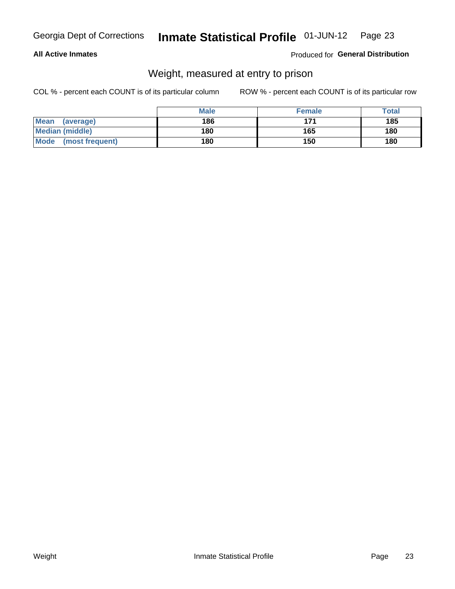### **All Active Inmates**

### Produced for General Distribution

# Weight, measured at entry to prison

COL % - percent each COUNT is of its particular column

|                          | <b>Male</b> | <b>Female</b> | Total |
|--------------------------|-------------|---------------|-------|
| <b>Mean</b><br>(average) | 186         | 171           | 185   |
| <b>Median (middle)</b>   | 180         | 165           | 180   |
| Mode<br>(most frequent)  | 180         | 150           | 180   |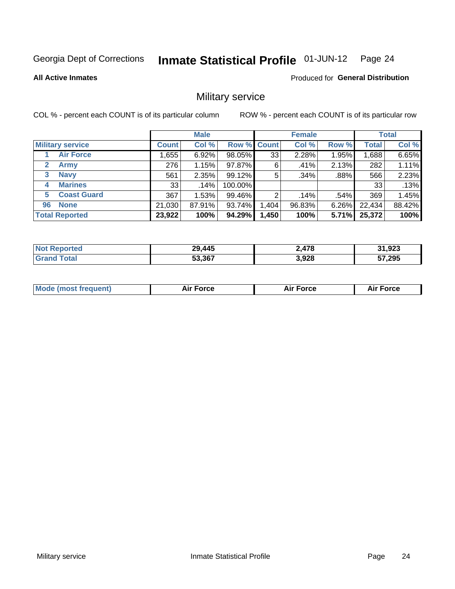#### Inmate Statistical Profile 01-JUN-12 Page 24

### **All Active Inmates**

**Produced for General Distribution** 

# Military service

COL % - percent each COUNT is of its particular column

|                          | <b>Male</b>  |        |             | <b>Female</b> |        |         | <b>Total</b> |        |
|--------------------------|--------------|--------|-------------|---------------|--------|---------|--------------|--------|
| <b>Military service</b>  | <b>Count</b> | Col %  | Row % Count |               | Col %  | Row %   | <b>Total</b> | Col %  |
| <b>Air Force</b>         | ,655         | 6.92%  | 98.05%      | 33            | 2.28%  | 1.95%   | 1,688        | 6.65%  |
| 2<br>Army                | 276          | 1.15%  | 97.87%      | 6             | .41%   | 2.13%   | 282          | 1.11%  |
| <b>Navy</b><br>3         | 561          | 2.35%  | 99.12%      | 5             | .34%   | $.88\%$ | 566          | 2.23%  |
| <b>Marines</b><br>4      | 33           | .14%   | 100.00%     |               |        |         | 33           | .13%   |
| <b>Coast Guard</b><br>5. | 367          | 1.53%  | 99.46%      | 2             | .14%   | .54%    | 369          | 1.45%  |
| <b>None</b><br>96        | 21,030       | 87.91% | 93.74%      | .404          | 96.83% | 6.26%   | 22,434       | 88.42% |
| <b>Total Reported</b>    | 23,922       | 100%   | 94.29%      | 1,450         | 100%   | 5.71%   | 25,372       | 100%   |

| <b>Not</b><br>Reported | ,445<br>29 | 478ء  | 31,923 |
|------------------------|------------|-------|--------|
| ™ota.                  | 53,367     | 3,928 | 57,295 |

| <b>Mode (most frequent)</b><br>Force<br><b>Force</b><br>orce<br>Aır |
|---------------------------------------------------------------------|
|---------------------------------------------------------------------|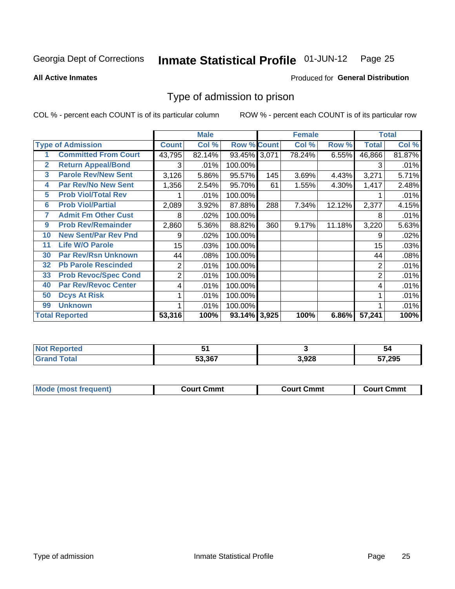#### Inmate Statistical Profile 01-JUN-12 Page 25

### **All Active Inmates**

# Produced for General Distribution

# Type of admission to prison

COL % - percent each COUNT is of its particular column

|              |                             |                | <b>Male</b> |                    |     | <b>Female</b> |        |              | <b>Total</b> |
|--------------|-----------------------------|----------------|-------------|--------------------|-----|---------------|--------|--------------|--------------|
|              | <b>Type of Admission</b>    | <b>Count</b>   | Col %       | <b>Row % Count</b> |     | Col %         | Row %  | <b>Total</b> | Col %        |
|              | <b>Committed From Court</b> | 43,795         | 82.14%      | 93.45% 3,071       |     | 78.24%        | 6.55%  | 46,866       | 81.87%       |
| $\mathbf{2}$ | <b>Return Appeal/Bond</b>   | 3              | .01%        | 100.00%            |     |               |        | 3            | .01%         |
| 3            | <b>Parole Rev/New Sent</b>  | 3,126          | 5.86%       | 95.57%             | 145 | 3.69%         | 4.43%  | 3,271        | 5.71%        |
| 4            | <b>Par Rev/No New Sent</b>  | 1,356          | 2.54%       | 95.70%             | 61  | 1.55%         | 4.30%  | 1,417        | 2.48%        |
| 5            | <b>Prob Viol/Total Rev</b>  |                | .01%        | 100.00%            |     |               |        |              | .01%         |
| 6            | <b>Prob Viol/Partial</b>    | 2,089          | 3.92%       | 87.88%             | 288 | 7.34%         | 12.12% | 2,377        | 4.15%        |
| 7            | <b>Admit Fm Other Cust</b>  | 8              | .02%        | 100.00%            |     |               |        | 8            | .01%         |
| 9            | <b>Prob Rev/Remainder</b>   | 2,860          | 5.36%       | 88.82%             | 360 | 9.17%         | 11.18% | 3,220        | 5.63%        |
| 10           | <b>New Sent/Par Rev Pnd</b> | 9              | .02%        | 100.00%            |     |               |        | 9            | .02%         |
| 11           | <b>Life W/O Parole</b>      | 15             | .03%        | 100.00%            |     |               |        | 15           | .03%         |
| 30           | <b>Par Rev/Rsn Unknown</b>  | 44             | .08%        | 100.00%            |     |               |        | 44           | .08%         |
| 32           | <b>Pb Parole Rescinded</b>  | 2              | .01%        | 100.00%            |     |               |        | 2            | .01%         |
| 33           | <b>Prob Revoc/Spec Cond</b> | $\overline{2}$ | .01%        | 100.00%            |     |               |        | 2            | .01%         |
| 40           | <b>Par Rev/Revoc Center</b> | 4              | .01%        | 100.00%            |     |               |        | 4            | .01%         |
| 50           | <b>Dcys At Risk</b>         |                | .01%        | 100.00%            |     |               |        |              | .01%         |
| 99           | <b>Unknown</b>              |                | .01%        | 100.00%            |     |               |        |              | .01%         |
|              | <b>Total Reported</b>       | 53,316         | 100%        | 93.14% 3,925       |     | 100%          | 6.86%  | 57,241       | 100%         |

| Reported<br><b>NOT</b> |        |       | -54    |
|------------------------|--------|-------|--------|
| <b>otal</b><br>Gra     | 53,367 | 3.928 | 57,295 |

| <b>Mode (most frequent)</b> | Court Cmmt | Court Cmmt | Court Cmmt |
|-----------------------------|------------|------------|------------|
|                             |            |            |            |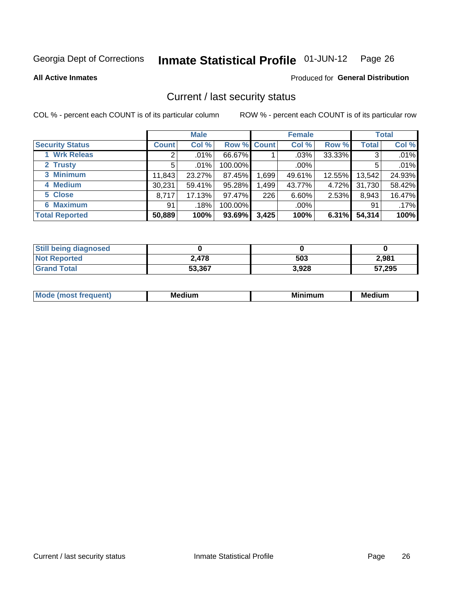#### Inmate Statistical Profile 01-JUN-12 Page 26

**All Active Inmates** 

### **Produced for General Distribution**

# Current / last security status

COL % - percent each COUNT is of its particular column

|                        | <b>Male</b>  |         |             |       | <b>Female</b> | <b>Total</b> |              |        |
|------------------------|--------------|---------|-------------|-------|---------------|--------------|--------------|--------|
| <b>Security Status</b> | <b>Count</b> | Col %   | Row % Count |       | Col %         | Row %        | <b>Total</b> | Col %  |
| 1 Wrk Releas           | 2            | $.01\%$ | 66.67%      |       | $.03\%$       | 33.33%       | 3            | .01%   |
| 2 Trusty               | 5            | .01%    | 100.00%     |       | $.00\%$       |              | 5            | .01%   |
| 3 Minimum              | 11,843       | 23.27%  | 87.45%      | 1,699 | 49.61%        | 12.55%       | 13,542       | 24.93% |
| 4 Medium               | 30,231       | 59.41%  | 95.28%      | 1,499 | 43.77%        | 4.72%        | 31,730       | 58.42% |
| 5 Close                | 8,717        | 17.13%  | 97.47%      | 226   | 6.60%         | 2.53%        | 8,943        | 16.47% |
| <b>6 Maximum</b>       | 91           | .18%    | 100.00%     |       | $.00\%$       |              | 91           | .17%   |
| <b>Total Reported</b>  | 50,889       | 100%    | 93.69%      | 3,425 | 100%          | 6.31%        | 54,314       | 100%   |

| <b>Still being diagnosed</b> |        |       |        |
|------------------------------|--------|-------|--------|
| <b>Not Reported</b>          | 2.478  | 503   | 2,981  |
| <b>Grand Total</b>           | 53,367 | 3,928 | 57,295 |

| M | NЛ<br><br>dilim<br>_____ | ---<br>-- | . .<br>Medium<br>Me |
|---|--------------------------|-----------|---------------------|
|   |                          |           |                     |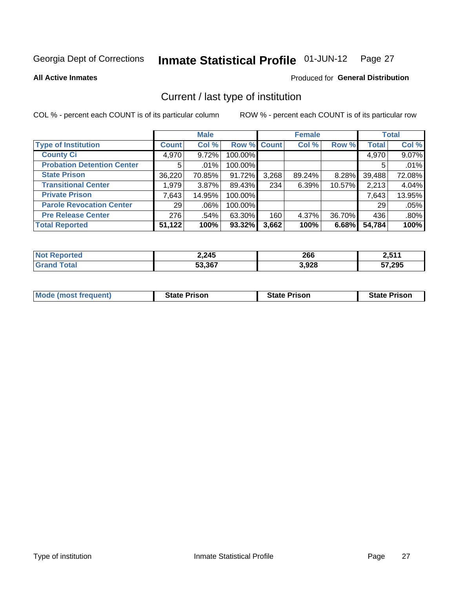#### Inmate Statistical Profile 01-JUN-12 Page 27

**All Active Inmates** 

### Produced for General Distribution

# Current / last type of institution

COL % - percent each COUNT is of its particular column

|                                   |                 | <b>Male</b> |             |       | <b>Female</b> |        |              | <b>Total</b> |
|-----------------------------------|-----------------|-------------|-------------|-------|---------------|--------|--------------|--------------|
| <b>Type of Institution</b>        | <b>Count</b>    | Col %       | Row % Count |       | Col %         | Row %  | <b>Total</b> | Col %        |
| <b>County Ci</b>                  | 4,970           | 9.72%       | 100.00%     |       |               |        | 4,970        | 9.07%        |
| <b>Probation Detention Center</b> | 5               | .01%        | 100.00%     |       |               |        | 5            | .01%         |
| <b>State Prison</b>               | 36,220          | 70.85%      | 91.72%      | 3,268 | 89.24%        | 8.28%  | 39,488       | 72.08%       |
| <b>Transitional Center</b>        | 1,979           | $3.87\%$    | 89.43%      | 234   | 6.39%         | 10.57% | 2,213        | 4.04%        |
| <b>Private Prison</b>             | 7,643           | 14.95%      | 100.00%     |       |               |        | 7,643        | 13.95%       |
| <b>Parole Revocation Center</b>   | 29 <sup>1</sup> | .06%        | 100.00%     |       |               |        | 29           | .05%         |
| <b>Pre Release Center</b>         | 276             | .54%        | 63.30%      | 160   | 4.37%         | 36.70% | 436          | $.80\%$      |
| <b>Total Reported</b>             | 51,122          | 100%        | 93.32%      | 3,662 | 100%          | 6.68%  | 54,784       | 100%         |

| τеα | 2,245  | 266   | 7 E 4 4<br>4.J I I |
|-----|--------|-------|--------------------|
|     | 53.367 | 3,928 | 57,295<br>ັ        |

| <b>Mode (most frequent)</b> | <b>State Prison</b> | <b>State Prison</b> | <b>State Prison</b> |
|-----------------------------|---------------------|---------------------|---------------------|
|                             |                     |                     |                     |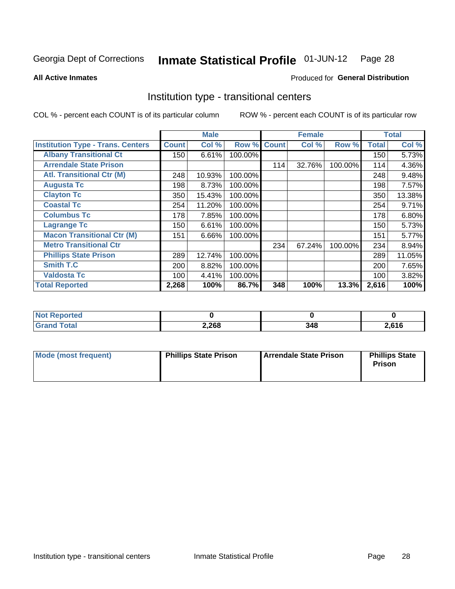#### Inmate Statistical Profile 01-JUN-12 Page 28

**All Active Inmates** 

### Produced for General Distribution

# Institution type - transitional centers

COL % - percent each COUNT is of its particular column

|                                          |              | <b>Male</b> |         |              | <b>Female</b> |         |              | <b>Total</b> |
|------------------------------------------|--------------|-------------|---------|--------------|---------------|---------|--------------|--------------|
| <b>Institution Type - Trans. Centers</b> | <b>Count</b> | Col %       | Row %   | <b>Count</b> | Col %         | Row %   | <b>Total</b> | Col %        |
| <b>Albany Transitional Ct</b>            | 150          | 6.61%       | 100.00% |              |               |         | 150          | 5.73%        |
| <b>Arrendale State Prison</b>            |              |             |         | 114          | 32.76%        | 100.00% | 114          | 4.36%        |
| <b>Atl. Transitional Ctr (M)</b>         | 248          | 10.93%      | 100.00% |              |               |         | 248          | 9.48%        |
| <b>Augusta Tc</b>                        | 198          | 8.73%       | 100.00% |              |               |         | 198          | 7.57%        |
| <b>Clayton Tc</b>                        | 350          | 15.43%      | 100.00% |              |               |         | 350          | 13.38%       |
| <b>Coastal Tc</b>                        | 254          | 11.20%      | 100.00% |              |               |         | 254          | 9.71%        |
| <b>Columbus Tc</b>                       | 178          | 7.85%       | 100.00% |              |               |         | 178          | 6.80%        |
| <b>Lagrange Tc</b>                       | 150          | 6.61%       | 100.00% |              |               |         | 150          | 5.73%        |
| <b>Macon Transitional Ctr (M)</b>        | 151          | 6.66%       | 100.00% |              |               |         | 151          | 5.77%        |
| <b>Metro Transitional Ctr</b>            |              |             |         | 234          | 67.24%        | 100.00% | 234          | 8.94%        |
| <b>Phillips State Prison</b>             | 289          | 12.74%      | 100.00% |              |               |         | 289          | 11.05%       |
| <b>Smith T.C</b>                         | 200          | 8.82%       | 100.00% |              |               |         | 200          | 7.65%        |
| <b>Valdosta Tc</b>                       | 100          | 4.41%       | 100.00% |              |               |         | 100          | 3.82%        |
| <b>Total Reported</b>                    | 2,268        | 100%        | 86.7%   | 348          | 100%          | 13.3%   | 2,616        | 100%         |

| <b>Reported</b><br>. |       |  |      |  |  |
|----------------------|-------|--|------|--|--|
|                      | 2,268 |  | ,616 |  |  |

| Mode (most frequent) | <b>Phillips State Prison</b> | Arrendale State Prison | <b>Phillips State</b><br>Prison |
|----------------------|------------------------------|------------------------|---------------------------------|
|                      |                              |                        |                                 |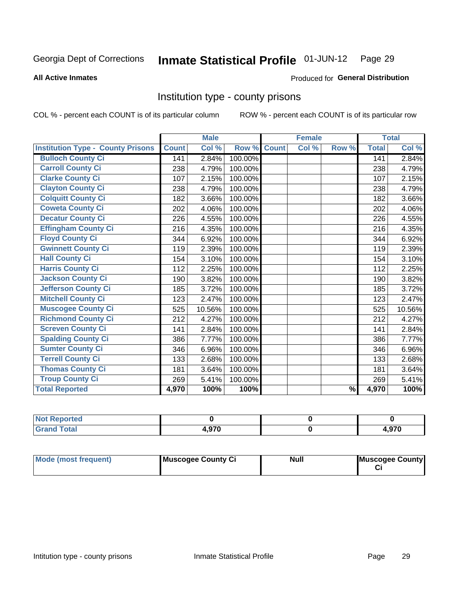#### Inmate Statistical Profile 01-JUN-12 Page 29

**Produced for General Distribution** 

### **All Active Inmates**

# Institution type - county prisons

COL % - percent each COUNT is of its particular column

|                                          |              | <b>Male</b> |         |              | <b>Female</b> |               |              | <b>Total</b> |
|------------------------------------------|--------------|-------------|---------|--------------|---------------|---------------|--------------|--------------|
| <b>Institution Type - County Prisons</b> | <b>Count</b> | Col %       | Row %   | <b>Count</b> | Col %         | Row %         | <b>Total</b> | Col %        |
| <b>Bulloch County Ci</b>                 | 141          | 2.84%       | 100.00% |              |               |               | 141          | 2.84%        |
| <b>Carroll County Ci</b>                 | 238          | 4.79%       | 100.00% |              |               |               | 238          | 4.79%        |
| <b>Clarke County Ci</b>                  | 107          | 2.15%       | 100.00% |              |               |               | 107          | 2.15%        |
| <b>Clayton County Ci</b>                 | 238          | 4.79%       | 100.00% |              |               |               | 238          | 4.79%        |
| <b>Colquitt County Ci</b>                | 182          | 3.66%       | 100.00% |              |               |               | 182          | 3.66%        |
| <b>Coweta County Ci</b>                  | 202          | 4.06%       | 100.00% |              |               |               | 202          | 4.06%        |
| <b>Decatur County Ci</b>                 | 226          | 4.55%       | 100.00% |              |               |               | 226          | 4.55%        |
| <b>Effingham County Ci</b>               | 216          | 4.35%       | 100.00% |              |               |               | 216          | 4.35%        |
| <b>Floyd County Ci</b>                   | 344          | 6.92%       | 100.00% |              |               |               | 344          | 6.92%        |
| <b>Gwinnett County Ci</b>                | 119          | 2.39%       | 100.00% |              |               |               | 119          | 2.39%        |
| <b>Hall County Ci</b>                    | 154          | 3.10%       | 100.00% |              |               |               | 154          | 3.10%        |
| <b>Harris County Ci</b>                  | 112          | 2.25%       | 100.00% |              |               |               | 112          | 2.25%        |
| <b>Jackson County Ci</b>                 | 190          | 3.82%       | 100.00% |              |               |               | 190          | 3.82%        |
| <b>Jefferson County Ci</b>               | 185          | 3.72%       | 100.00% |              |               |               | 185          | 3.72%        |
| <b>Mitchell County Ci</b>                | 123          | 2.47%       | 100.00% |              |               |               | 123          | 2.47%        |
| <b>Muscogee County Ci</b>                | 525          | 10.56%      | 100.00% |              |               |               | 525          | 10.56%       |
| <b>Richmond County Ci</b>                | 212          | 4.27%       | 100.00% |              |               |               | 212          | 4.27%        |
| <b>Screven County Ci</b>                 | 141          | 2.84%       | 100.00% |              |               |               | 141          | 2.84%        |
| <b>Spalding County Ci</b>                | 386          | 7.77%       | 100.00% |              |               |               | 386          | 7.77%        |
| <b>Sumter County Ci</b>                  | 346          | 6.96%       | 100.00% |              |               |               | 346          | 6.96%        |
| <b>Terrell County Ci</b>                 | 133          | 2.68%       | 100.00% |              |               |               | 133          | 2.68%        |
| <b>Thomas County Ci</b>                  | 181          | 3.64%       | 100.00% |              |               |               | 181          | 3.64%        |
| <b>Troup County Ci</b>                   | 269          | 5.41%       | 100.00% |              |               |               | 269          | 5.41%        |
| <b>Total Reported</b>                    | 4,970        | 100%        | 100%    |              |               | $\frac{9}{6}$ | 4,970        | 100%         |

| <b>Reported</b><br>' NO) |      |               |
|--------------------------|------|---------------|
| <b>Total</b>             | .970 | 070<br>4.Y/ U |

| <b>Mode (most frequent)</b> | Muscogee County Ci | <b>Null</b> | Muscogee County |
|-----------------------------|--------------------|-------------|-----------------|
|-----------------------------|--------------------|-------------|-----------------|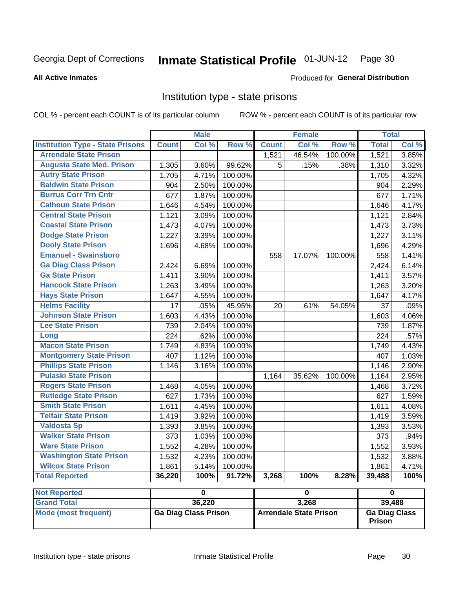#### Inmate Statistical Profile 01-JUN-12 Page 30

### **All Active Inmates**

### Produced for General Distribution

# Institution type - state prisons

COL % - percent each COUNT is of its particular column

|                                         |              | <b>Male</b>             |         |              | <b>Female</b>           |         | <b>Total</b>            |       |
|-----------------------------------------|--------------|-------------------------|---------|--------------|-------------------------|---------|-------------------------|-------|
| <b>Institution Type - State Prisons</b> | <b>Count</b> | Col %                   | Row %   | <b>Count</b> | Col %                   | Row %   | <b>Total</b>            | Col % |
| <b>Arrendale State Prison</b>           |              |                         |         | 1,521        | 46.54%                  | 100.00% | 1,521                   | 3.85% |
| <b>Augusta State Med. Prison</b>        | 1,305        | 3.60%                   | 99.62%  | 5            | .15%                    | .38%    | 1,310                   | 3.32% |
| <b>Autry State Prison</b>               | 1,705        | 4.71%                   | 100.00% |              |                         |         | 1,705                   | 4.32% |
| <b>Baldwin State Prison</b>             | 904          | 2.50%                   | 100.00% |              |                         |         | 904                     | 2.29% |
| <b>Burrus Corr Trn Cntr</b>             | 677          | 1.87%                   | 100.00% |              |                         |         | 677                     | 1.71% |
| <b>Calhoun State Prison</b>             | 1,646        | 4.54%                   | 100.00% |              |                         |         | 1,646                   | 4.17% |
| <b>Central State Prison</b>             | 1,121        | 3.09%                   | 100.00% |              |                         |         | 1,121                   | 2.84% |
| <b>Coastal State Prison</b>             | 1,473        | 4.07%                   | 100.00% |              |                         |         | 1,473                   | 3.73% |
| <b>Dodge State Prison</b>               | 1,227        | 3.39%                   | 100.00% |              |                         |         | 1,227                   | 3.11% |
| <b>Dooly State Prison</b>               | 1,696        | 4.68%                   | 100.00% |              |                         |         | 1,696                   | 4.29% |
| <b>Emanuel - Swainsboro</b>             |              |                         |         | 558          | 17.07%                  | 100.00% | 558                     | 1.41% |
| <b>Ga Diag Class Prison</b>             | 2,424        | 6.69%                   | 100.00% |              |                         |         | 2,424                   | 6.14% |
| <b>Ga State Prison</b>                  | 1,411        | 3.90%                   | 100.00% |              |                         |         | 1,411                   | 3.57% |
| <b>Hancock State Prison</b>             | 1,263        | 3.49%                   | 100.00% |              |                         |         | 1,263                   | 3.20% |
| <b>Hays State Prison</b>                | 1,647        | 4.55%                   | 100.00% |              |                         |         | 1,647                   | 4.17% |
| <b>Helms Facility</b>                   | 17           | .05%                    | 45.95%  | 20           | .61%                    | 54.05%  | 37                      | .09%  |
| <b>Johnson State Prison</b>             | 1,603        | 4.43%                   | 100.00% |              |                         |         | 1,603                   | 4.06% |
| <b>Lee State Prison</b>                 | 739          | 2.04%                   | 100.00% |              |                         |         | 739                     | 1.87% |
| Long                                    | 224          | .62%                    | 100.00% |              |                         |         | 224                     | .57%  |
| <b>Macon State Prison</b>               | 1,749        | 4.83%                   | 100.00% |              |                         |         | 1,749                   | 4.43% |
| <b>Montgomery State Prison</b>          | 407          | 1.12%                   | 100.00% |              |                         |         | 407                     | 1.03% |
| <b>Phillips State Prison</b>            | 1,146        | 3.16%                   | 100.00% |              |                         |         | 1,146                   | 2.90% |
| <b>Pulaski State Prison</b>             |              |                         |         | 1,164        | 35.62%                  | 100.00% | 1,164                   | 2.95% |
| <b>Rogers State Prison</b>              | 1,468        | 4.05%                   | 100.00% |              |                         |         | 1,468                   | 3.72% |
| <b>Rutledge State Prison</b>            | 627          | 1.73%                   | 100.00% |              |                         |         | 627                     | 1.59% |
| <b>Smith State Prison</b>               | 1,611        | 4.45%                   | 100.00% |              |                         |         | 1,611                   | 4.08% |
| <b>Telfair State Prison</b>             | 1,419        | 3.92%                   | 100.00% |              |                         |         | 1,419                   | 3.59% |
| <b>Valdosta Sp</b>                      | 1,393        | 3.85%                   | 100.00% |              |                         |         | 1,393                   | 3.53% |
| <b>Walker State Prison</b>              | 373          | 1.03%                   | 100.00% |              |                         |         | $\overline{373}$        | .94%  |
| <b>Ware State Prison</b>                | 1,552        | 4.28%                   | 100.00% |              |                         |         | 1,552                   | 3.93% |
| <b>Washington State Prison</b>          | 1,532        | 4.23%                   | 100.00% |              |                         |         | 1,532                   | 3.88% |
| <b>Wilcox State Prison</b>              | 1,861        | 5.14%                   | 100.00% |              |                         |         | 1,861                   | 4.71% |
| <b>Total Reported</b>                   | 36,220       | 100%                    | 91.72%  | 3,268        | 100%                    | 8.28%   | 39,488                  | 100%  |
| <b>Not Reported</b>                     |              | $\overline{\mathbf{0}}$ |         |              | $\overline{\mathbf{0}}$ |         | $\overline{\mathbf{0}}$ |       |
| <b>Grand Total</b>                      |              | 36,220                  |         |              | 3,268                   |         | 39,488                  |       |

| ⊩Not Reborted⊦       |                      |                               |                                       |
|----------------------|----------------------|-------------------------------|---------------------------------------|
| <b>Grand Total</b>   | 36,220               | 3,268                         | 39,488                                |
| Mode (most frequent) | Ga Diag Class Prison | <b>Arrendale State Prison</b> | <b>Ga Diag Class</b><br><b>Prison</b> |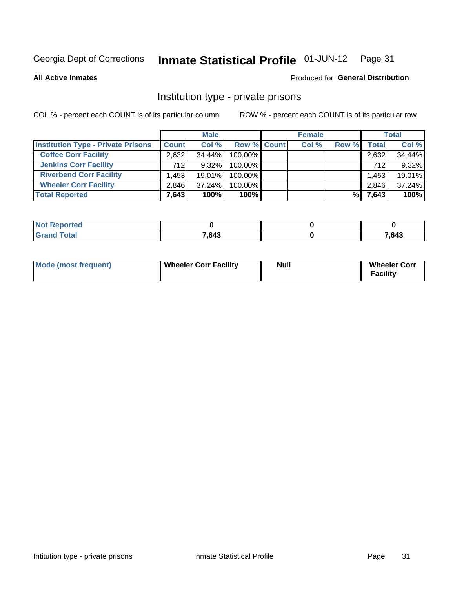#### Inmate Statistical Profile 01-JUN-12 Page 31

**All Active Inmates** 

### Produced for General Distribution

# Institution type - private prisons

COL % - percent each COUNT is of its particular column

|                                           |              | <b>Male</b> |             | <b>Female</b> |       |              | <b>Total</b> |
|-------------------------------------------|--------------|-------------|-------------|---------------|-------|--------------|--------------|
| <b>Institution Type - Private Prisons</b> | <b>Count</b> | Col %       | Row % Count | Col %         | Row % | <b>Total</b> | Col %        |
| <b>Coffee Corr Facility</b>               | 2,632        | 34.44%      | 100.00%     |               |       | 2,632        | 34.44%       |
| <b>Jenkins Corr Facility</b>              | 712          | $9.32\%$    | 100.00%     |               |       | 712          | 9.32%        |
| <b>Riverbend Corr Facility</b>            | .453         | 19.01%      | 100.00%     |               |       | 1,453        | 19.01%       |
| <b>Wheeler Corr Facility</b>              | 2,846        | $37.24\%$   | 100.00%     |               |       | 2,846        | 37.24%       |
| <b>Total Reported</b>                     | 7,643        | 100%        | $100\%$     |               | %     | 7,643        | 100%         |

| rtea |       |       |
|------|-------|-------|
|      | 7.643 | 7,643 |

| Mode (most frequent) | Wheeler Corr Facility | Null | <b>Wheeler Corr</b><br>Facility |
|----------------------|-----------------------|------|---------------------------------|
|----------------------|-----------------------|------|---------------------------------|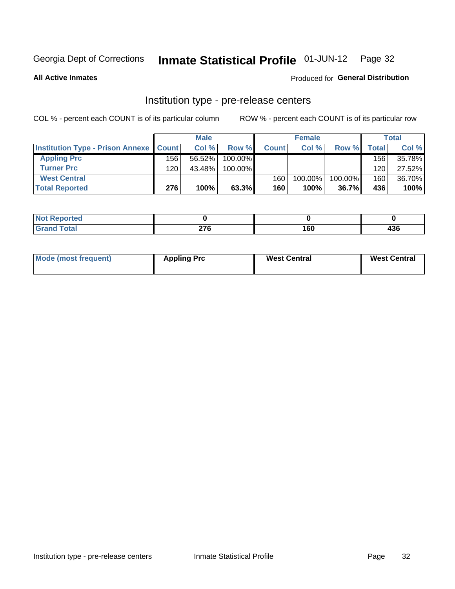#### Inmate Statistical Profile 01-JUN-12 Page 32

**All Active Inmates** 

Produced for General Distribution

# Institution type - pre-release centers

COL % - percent each COUNT is of its particular column

|                                                   |     | <b>Male</b> |         |              | <b>Female</b> |         |              | <b>Total</b> |
|---------------------------------------------------|-----|-------------|---------|--------------|---------------|---------|--------------|--------------|
| <b>Institution Type - Prison Annexe   Count  </b> |     | Col %       | Row %   | <b>Count</b> | Col %         | Row %   | <b>Total</b> | Col %        |
| <b>Appling Prc</b>                                | 156 | $56.52\%$   | 100.00% |              |               |         | 156          | 35.78%       |
| <b>Turner Prc</b>                                 | 120 | 43.48%      | 100.00% |              |               |         | 120          | 27.52%       |
| <b>West Central</b>                               |     |             |         | 160          | 100.00%       | 100.00% | 160          | 36.70%       |
| <b>Total Reported</b>                             | 276 | 100%        | 63.3%   | 160          | 100%          | 36.7%   | 436          | 100%         |

| $\sim$ | $- - -$ | $\mathbf{r}$ | .  |
|--------|---------|--------------|----|
| --     |         | uι           | Jυ |

| Mode (most frequent) | <b>Appling Prc</b> | <b>West Central</b> | <b>West Central</b> |
|----------------------|--------------------|---------------------|---------------------|
|----------------------|--------------------|---------------------|---------------------|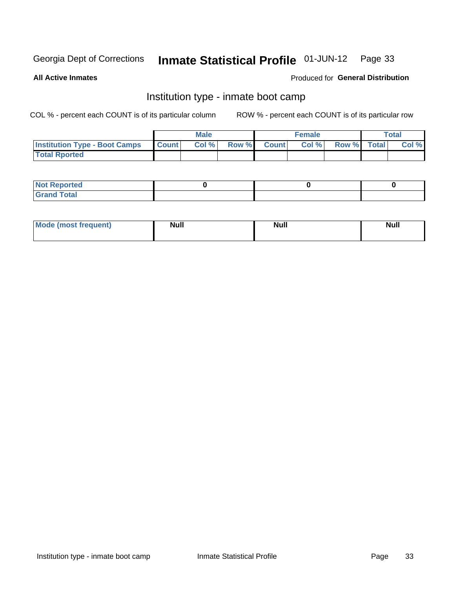#### Inmate Statistical Profile 01-JUN-12 Page 33

**All Active Inmates** 

### Produced for General Distribution

# Institution type - inmate boot camp

COL % - percent each COUNT is of its particular column

|                                      |                  | <b>Male</b> |              |              | <b>Female</b> |             | <b>Total</b> |
|--------------------------------------|------------------|-------------|--------------|--------------|---------------|-------------|--------------|
| <b>Institution Type - Boot Camps</b> | <b>I</b> Count I | Col %       | <b>Row %</b> | <b>Count</b> | Col %         | Row % Total | Col %        |
| <b>Total Rported</b>                 |                  |             |              |              |               |             |              |

| <b>Not Reported</b>                   |  |  |
|---------------------------------------|--|--|
| <b>Total</b><br><b>C HAM</b><br>_____ |  |  |

| Mode (most<br>Treauent) | <b>Null</b> | . .<br><b>Nu</b> |  |
|-------------------------|-------------|------------------|--|
|                         |             |                  |  |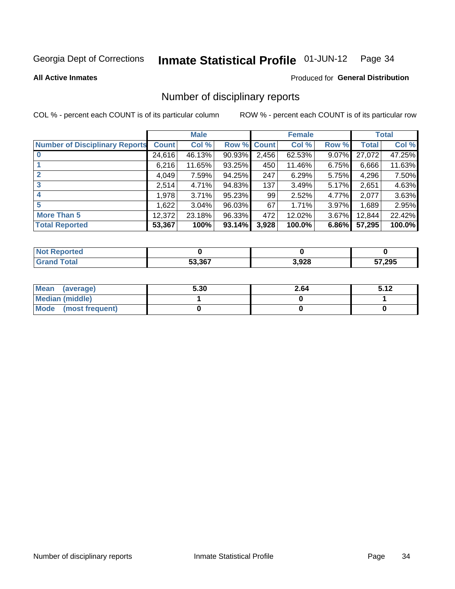#### Inmate Statistical Profile 01-JUN-12 Page 34

**All Active Inmates** 

### Produced for General Distribution

# Number of disciplinary reports

COL % - percent each COUNT is of its particular column

|                                       |              | <b>Male</b> |             |       | <b>Female</b> |       |              | <b>Total</b> |
|---------------------------------------|--------------|-------------|-------------|-------|---------------|-------|--------------|--------------|
| <b>Number of Disciplinary Reports</b> | <b>Count</b> | Col %       | Row % Count |       | Col %         | Row % | <b>Total</b> | Col %        |
| $\bf{0}$                              | 24,616       | 46.13%      | 90.93%      | 2,456 | 62.53%        | 9.07% | 27,072       | 47.25%       |
|                                       | 6,216        | 11.65%      | 93.25%      | 450   | 11.46%        | 6.75% | 6,666        | 11.63%       |
| $\mathbf{2}$                          | 4,049        | 7.59%       | 94.25%      | 247   | 6.29%         | 5.75% | 4,296        | 7.50%        |
| 3                                     | 2,514        | 4.71%       | 94.83%      | 137   | 3.49%         | 5.17% | 2,651        | 4.63%        |
|                                       | 1,978        | 3.71%       | 95.23%      | 99    | 2.52%         | 4.77% | 2,077        | 3.63%        |
| 5                                     | .622         | 3.04%       | 96.03%      | 67    | 1.71%         | 3.97% | 1,689        | 2.95%        |
| <b>More Than 5</b>                    | 12,372       | 23.18%      | 96.33%      | 472   | 12.02%        | 3.67% | 12,844       | 22.42%       |
| <b>Total Reported</b>                 | 53,367       | 100%        | 93.14%      | 3,928 | 100.0%        | 6.86% | 57,295       | 100.0%       |

| prted<br>NOT      |        |       |               |
|-------------------|--------|-------|---------------|
| <sup>-</sup> otar | 53.367 | 3,928 | 57,295<br>IJI |

| Mean (average)         | 5.30 | 2.64 | 5.12 |
|------------------------|------|------|------|
| <b>Median (middle)</b> |      |      |      |
| Mode (most frequent)   |      |      |      |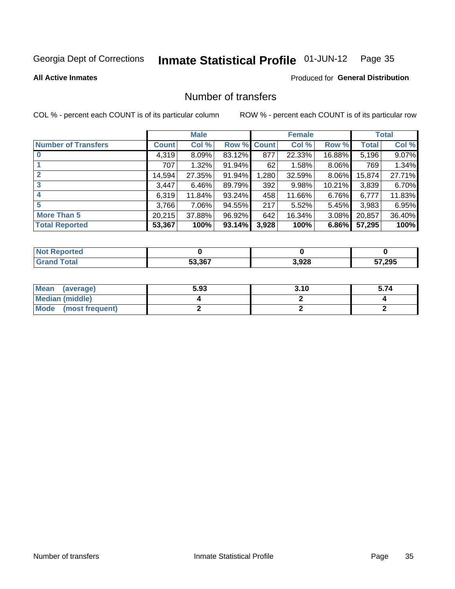#### Inmate Statistical Profile 01-JUN-12 Page 35

### **All Active Inmates**

### **Produced for General Distribution**

# Number of transfers

COL % - percent each COUNT is of its particular column

|                            |         | <b>Male</b> |             |       | <b>Female</b> |           |              | <b>Total</b> |
|----------------------------|---------|-------------|-------------|-------|---------------|-----------|--------------|--------------|
| <b>Number of Transfers</b> | Count l | Col %       | Row % Count |       | Col %         | Row %     | <b>Total</b> | Col %        |
|                            | 4,319   | 8.09%       | 83.12%      | 877   | 22.33%        | 16.88%    | 5,196        | 9.07%        |
|                            | 707     | 1.32%       | 91.94%      | 62    | 1.58%         | $8.06\%$  | 769          | 1.34%        |
| $\mathbf{2}$               | 14,594  | 27.35%      | 91.94%      | 1,280 | 32.59%        | $8.06\%$  | 15,874       | 27.71%       |
| 3                          | 3,447   | 6.46%       | 89.79%      | 392   | 9.98%         | $10.21\%$ | 3,839        | 6.70%        |
|                            | 6,319   | 11.84%      | 93.24%      | 458   | 11.66%        | $6.76\%$  | 6,777        | 11.83%       |
| 5                          | 3,766   | 7.06%       | 94.55%      | 217   | 5.52%         | 5.45%     | 3,983        | 6.95%        |
| <b>More Than 5</b>         | 20,215  | 37.88%      | 96.92%      | 642   | 16.34%        | $3.08\%$  | 20,857       | 36.40%       |
| <b>Total Reported</b>      | 53,367  | 100%        | 93.14%      | 3,928 | 100%          | 6.86%     | 57,295       | 100%         |

| <b>rted</b><br>NO |        |       |              |
|-------------------|--------|-------|--------------|
| <b>Total</b>      | 53.367 | 3,928 | 57,295<br>J. |

| Mean (average)       | 5.93 | 3.10 | 5.74 |
|----------------------|------|------|------|
| Median (middle)      |      |      |      |
| Mode (most frequent) |      |      |      |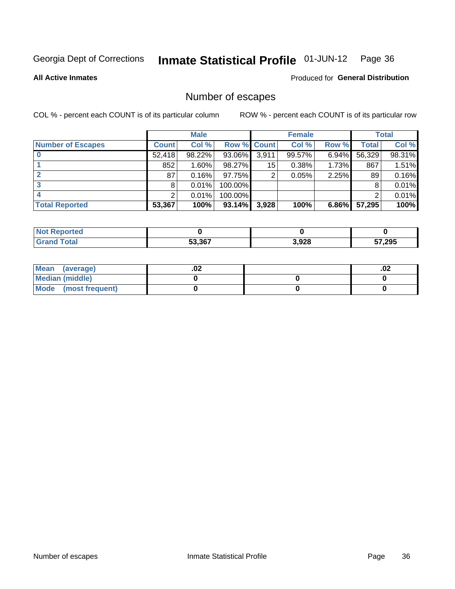#### Inmate Statistical Profile 01-JUN-12 Page 36

### **All Active Inmates**

### **Produced for General Distribution**

# Number of escapes

COL % - percent each COUNT is of its particular column

|                          |              | <b>Male</b> |                    |       | <b>Female</b> |          |        | <b>Total</b> |
|--------------------------|--------------|-------------|--------------------|-------|---------------|----------|--------|--------------|
| <b>Number of Escapes</b> | <b>Count</b> | Col %       | <b>Row % Count</b> |       | Col %         | Row %    | Total  | Col %        |
|                          | 52,418       | 98.22%      | 93.06%             | 3,911 | 99.57%        | 6.94%    | 56,329 | 98.31%       |
|                          | 852          | $1.60\%$    | 98.27%             | 15    | 0.38%         | $1.73\%$ | 867    | 1.51%        |
|                          | 87           | 0.16%       | 97.75%             | 2     | 0.05%         | 2.25%    | 89     | 0.16%        |
|                          | 8            | 0.01%       | 100.00%            |       |               |          | 8      | 0.01%        |
|                          |              | 0.01%       | 100.00%            |       |               |          | ົ      | 0.01%        |
| <b>Total Reported</b>    | 53,367       | 100%        | 93.14%             | 3,928 | 100%          | $6.86\%$ | 57,295 | 100%         |

| orten        |        |       |        |
|--------------|--------|-------|--------|
| <b>Total</b> | 53.367 | 3,928 | 57,295 |

| Mean<br>(average)    | .vz | .02 |
|----------------------|-----|-----|
| Median (middle)      |     |     |
| Mode (most frequent) |     |     |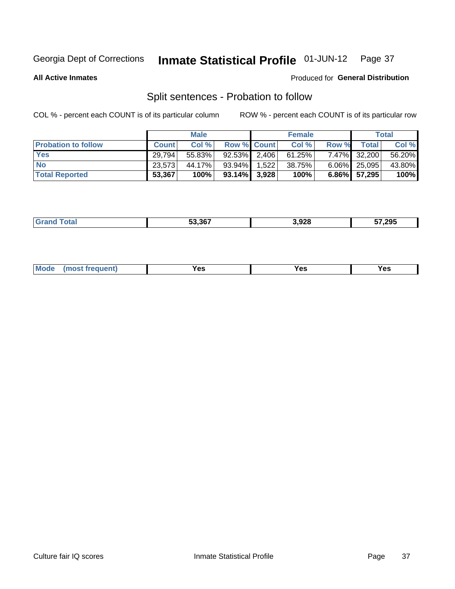#### Inmate Statistical Profile 01-JUN-12 Page 37

**All Active Inmates** 

### Produced for General Distribution

## Split sentences - Probation to follow

COL % - percent each COUNT is of its particular column

|                            |              | <b>Male</b> |                    |       | <b>Female</b> |       |              | <b>Total</b> |
|----------------------------|--------------|-------------|--------------------|-------|---------------|-------|--------------|--------------|
| <b>Probation to follow</b> | <b>Count</b> | Col%        | <b>Row % Count</b> |       | Col %         | Row % | Total        | Col %        |
| <b>Yes</b>                 | 29,794       | 55.83%      | $92.53\%$   2,406  |       | 61.25%        |       | 7.47% 32,200 | 56.20%       |
| <b>No</b>                  | 23,573       | 44.17%      | 93.94%             | 1.522 | 38.75%        |       | 6.06% 25,095 | 43.80%       |
| <b>Total Reported</b>      | 53,367       | 100%        | $93.14\%$ 3,928    |       | 100%          |       | 6.86% 57,295 | 100%         |

| _______ | 53.367 | 3.928<br>__ | 57.295 |
|---------|--------|-------------|--------|
|         |        |             |        |

| M<br>reauent)<br>/٥<br>$\sim$<br>v.,<br>.<br>w<br>$\cdot$ - $\cdot$ |
|---------------------------------------------------------------------|
|---------------------------------------------------------------------|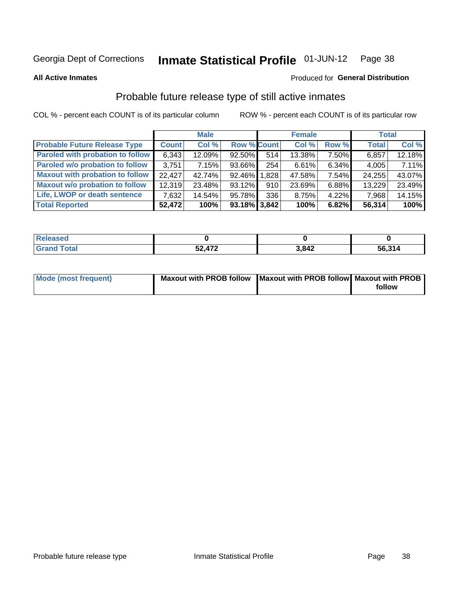#### Inmate Statistical Profile 01-JUN-12 Page 38

**All Active Inmates** 

### Produced for General Distribution

## Probable future release type of still active inmates

COL % - percent each COUNT is of its particular column

|                                         |              | <b>Male</b> |                    |     | <b>Female</b> |          | <b>Total</b> |        |
|-----------------------------------------|--------------|-------------|--------------------|-----|---------------|----------|--------------|--------|
| <b>Probable Future Release Type</b>     | <b>Count</b> | Col %       | <b>Row % Count</b> |     | Col %         | Row %    | <b>Total</b> | Col %  |
| <b>Paroled with probation to follow</b> | 6,343        | 12.09%      | 92.50%             | 514 | 13.38%        | 7.50%    | 6,857        | 12.18% |
| Paroled w/o probation to follow         | 3.751        | 7.15%       | 93.66%             | 254 | 6.61%         | 6.34%    | 4,005        | 7.11%  |
| <b>Maxout with probation to follow</b>  | 22.427       | 42.74%      | 92.46% 1.828       |     | 47.58%        | 7.54%    | 24,255       | 43.07% |
| <b>Maxout w/o probation to follow</b>   | 12,319       | 23.48%      | 93.12%             | 910 | 23.69%        | 6.88%    | 13,229       | 23.49% |
| Life, LWOP or death sentence            | 7,632        | 14.54%      | 95.78%             | 336 | 8.75%         | $4.22\%$ | 7,968        | 14.15% |
| <b>Total Reported</b>                   | 52,472       | 100%        | $93.18\%$ 3,842    |     | 100%          | 6.82%    | 56,314       | 100%   |

| eleased      |                         |       |        |
|--------------|-------------------------|-------|--------|
| <b>cotal</b> | A72<br>гΛ<br>◡▴<br>71 Ł | 3.842 | 56,314 |

| <b>Mode (most frequent)</b> | Maxout with PROB follow   Maxout with PROB follow   Maxout with PROB |        |
|-----------------------------|----------------------------------------------------------------------|--------|
|                             |                                                                      | follow |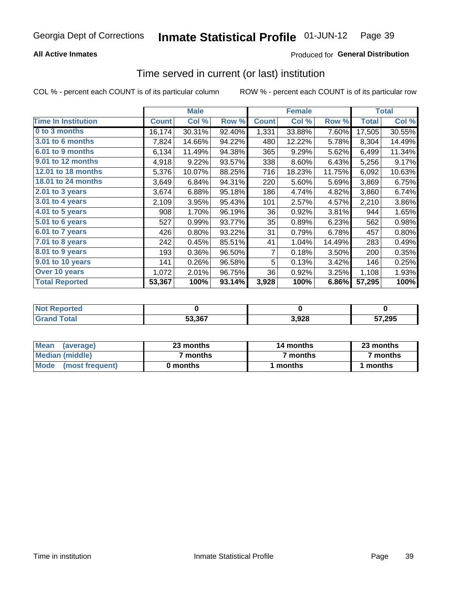## **All Active Inmates**

## **Produced for General Distribution**

## Time served in current (or last) institution

COL % - percent each COUNT is of its particular column

|                            |              | <b>Male</b> |        |                | <b>Female</b> |        |              | <b>Total</b> |
|----------------------------|--------------|-------------|--------|----------------|---------------|--------|--------------|--------------|
| <b>Time In Institution</b> | <b>Count</b> | Col %       | Row %  | <b>Count</b>   | Col %         | Row %  | <b>Total</b> | Col %        |
| 0 to 3 months              | 16, 174      | 30.31%      | 92.40% | 1,331          | 33.88%        | 7.60%  | 17,505       | 30.55%       |
| 3.01 to 6 months           | 7,824        | 14.66%      | 94.22% | 480            | 12.22%        | 5.78%  | 8,304        | 14.49%       |
| 6.01 to 9 months           | 6,134        | 11.49%      | 94.38% | 365            | 9.29%         | 5.62%  | 6,499        | 11.34%       |
| 9.01 to 12 months          | 4,918        | 9.22%       | 93.57% | 338            | 8.60%         | 6.43%  | 5,256        | 9.17%        |
| 12.01 to 18 months         | 5,376        | 10.07%      | 88.25% | 716            | 18.23%        | 11.75% | 6,092        | 10.63%       |
| <b>18.01 to 24 months</b>  | 3,649        | 6.84%       | 94.31% | 220            | 5.60%         | 5.69%  | 3,869        | 6.75%        |
| $2.01$ to 3 years          | 3,674        | 6.88%       | 95.18% | 186            | 4.74%         | 4.82%  | 3,860        | 6.74%        |
| 3.01 to 4 years            | 2,109        | 3.95%       | 95.43% | 101            | 2.57%         | 4.57%  | 2,210        | 3.86%        |
| $4.01$ to 5 years          | 908          | 1.70%       | 96.19% | 36             | 0.92%         | 3.81%  | 944          | 1.65%        |
| 5.01 to 6 years            | 527          | 0.99%       | 93.77% | 35             | 0.89%         | 6.23%  | 562          | 0.98%        |
| $6.01$ to 7 years          | 426          | 0.80%       | 93.22% | 31             | 0.79%         | 6.78%  | 457          | 0.80%        |
| 7.01 to 8 years            | 242          | 0.45%       | 85.51% | 41             | 1.04%         | 14.49% | 283          | 0.49%        |
| $8.01$ to 9 years          | 193          | 0.36%       | 96.50% | $\overline{7}$ | 0.18%         | 3.50%  | 200          | 0.35%        |
| 9.01 to 10 years           | 141          | 0.26%       | 96.58% | 5              | 0.13%         | 3.42%  | 146          | 0.25%        |
| Over 10 years              | 1,072        | 2.01%       | 96.75% | 36             | 0.92%         | 3.25%  | 1,108        | 1.93%        |
| <b>Total Reported</b>      | 53,367       | 100%        | 93.14% | 3,928          | 100%          | 6.86%  | 57,295       | 100%         |

| orted<br><b>Not</b> |        |                |        |
|---------------------|--------|----------------|--------|
| ota <sub>i</sub>    | 53.367 | ດາຊ<br>,, JZ 0 | 57,295 |

| <b>Mean</b><br>(average) | 23 months | 14 months | 23 months |  |
|--------------------------|-----------|-----------|-----------|--|
| Median (middle)          | ' months  | 7 months  | 7 months  |  |
| Mode<br>(most frequent)  | 0 months  | months    | ∖ months  |  |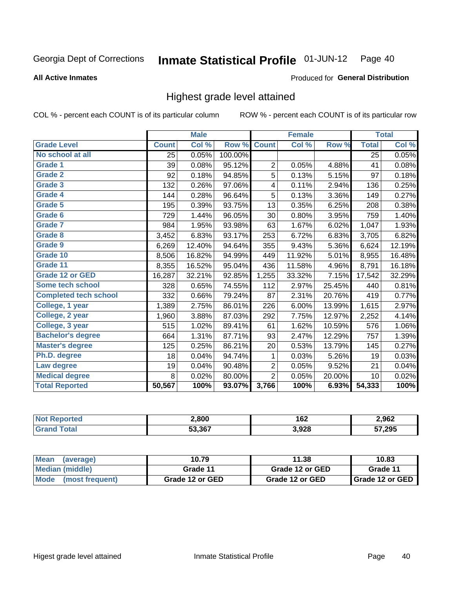#### Inmate Statistical Profile 01-JUN-12 Page 40

### **All Active Inmates**

### Produced for General Distribution

## Highest grade level attained

COL % - percent each COUNT is of its particular column

|                              |              | <b>Male</b> |         |                | <b>Female</b> |        |              | <b>Total</b> |
|------------------------------|--------------|-------------|---------|----------------|---------------|--------|--------------|--------------|
| <b>Grade Level</b>           | <b>Count</b> | Col %       | Row %   | <b>Count</b>   | Col %         | Row %  | <b>Total</b> | Col %        |
| No school at all             | 25           | 0.05%       | 100.00% |                |               |        | 25           | 0.05%        |
| <b>Grade 1</b>               | 39           | 0.08%       | 95.12%  | $\overline{2}$ | 0.05%         | 4.88%  | 41           | 0.08%        |
| <b>Grade 2</b>               | 92           | 0.18%       | 94.85%  | 5              | 0.13%         | 5.15%  | 97           | 0.18%        |
| Grade 3                      | 132          | 0.26%       | 97.06%  | 4              | 0.11%         | 2.94%  | 136          | 0.25%        |
| Grade 4                      | 144          | 0.28%       | 96.64%  | 5              | 0.13%         | 3.36%  | 149          | 0.27%        |
| Grade 5                      | 195          | 0.39%       | 93.75%  | 13             | 0.35%         | 6.25%  | 208          | 0.38%        |
| Grade 6                      | 729          | 1.44%       | 96.05%  | 30             | 0.80%         | 3.95%  | 759          | 1.40%        |
| <b>Grade 7</b>               | 984          | 1.95%       | 93.98%  | 63             | 1.67%         | 6.02%  | 1,047        | 1.93%        |
| Grade 8                      | 3,452        | 6.83%       | 93.17%  | 253            | 6.72%         | 6.83%  | 3,705        | 6.82%        |
| Grade 9                      | 6,269        | 12.40%      | 94.64%  | 355            | 9.43%         | 5.36%  | 6,624        | 12.19%       |
| Grade 10                     | 8,506        | 16.82%      | 94.99%  | 449            | 11.92%        | 5.01%  | 8,955        | 16.48%       |
| Grade 11                     | 8,355        | 16.52%      | 95.04%  | 436            | 11.58%        | 4.96%  | 8,791        | 16.18%       |
| <b>Grade 12 or GED</b>       | 16,287       | 32.21%      | 92.85%  | 1,255          | 33.32%        | 7.15%  | 17,542       | 32.29%       |
| Some tech school             | 328          | 0.65%       | 74.55%  | 112            | 2.97%         | 25.45% | 440          | 0.81%        |
| <b>Completed tech school</b> | 332          | 0.66%       | 79.24%  | 87             | 2.31%         | 20.76% | 419          | 0.77%        |
| College, 1 year              | 1,389        | 2.75%       | 86.01%  | 226            | 6.00%         | 13.99% | 1,615        | 2.97%        |
| College, 2 year              | 1,960        | 3.88%       | 87.03%  | 292            | 7.75%         | 12.97% | 2,252        | 4.14%        |
| College, 3 year              | 515          | 1.02%       | 89.41%  | 61             | 1.62%         | 10.59% | 576          | 1.06%        |
| <b>Bachelor's degree</b>     | 664          | 1.31%       | 87.71%  | 93             | 2.47%         | 12.29% | 757          | 1.39%        |
| <b>Master's degree</b>       | 125          | 0.25%       | 86.21%  | 20             | 0.53%         | 13.79% | 145          | 0.27%        |
| Ph.D. degree                 | 18           | 0.04%       | 94.74%  | 1              | 0.03%         | 5.26%  | 19           | 0.03%        |
| Law degree                   | 19           | 0.04%       | 90.48%  | 2              | 0.05%         | 9.52%  | 21           | 0.04%        |
| <b>Medical degree</b>        | 8            | 0.02%       | 80.00%  | $\overline{2}$ | 0.05%         | 20.00% | 10           | 0.02%        |
| <b>Total Reported</b>        | 50,567       | 100%        | 93.07%  | 3,766          | 100%          | 6.93%  | 54,333       | 100%         |

| <b>YTAO</b> | 2,800  | 162<br>$\sim$ $\sim$ | 2,962  |
|-------------|--------|----------------------|--------|
|             | 53.367 | 3,928                | 57,295 |

| <b>Mean</b><br>(average)       | 10.79           | 11.38           | 10.83             |
|--------------------------------|-----------------|-----------------|-------------------|
| Median (middle)                | Grade 11        | Grade 12 or GED | Grade 11          |
| <b>Mode</b><br>(most frequent) | Grade 12 or GED | Grade 12 or GED | I Grade 12 or GED |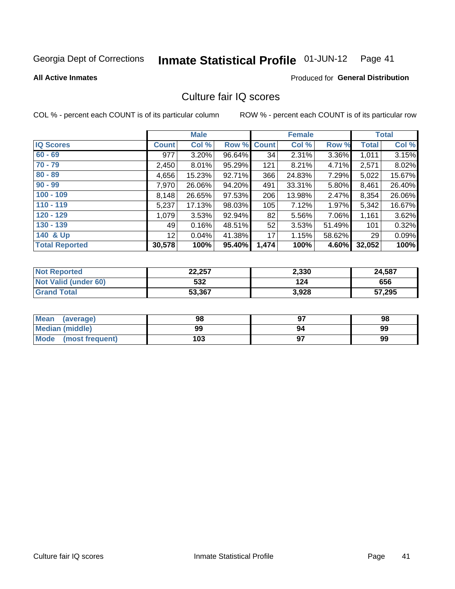#### Inmate Statistical Profile 01-JUN-12 Page 41

### **All Active Inmates**

## **Produced for General Distribution**

## Culture fair IQ scores

COL % - percent each COUNT is of its particular column

|                       |                 | <b>Male</b> |        |              | <b>Female</b> |          |              | <b>Total</b> |
|-----------------------|-----------------|-------------|--------|--------------|---------------|----------|--------------|--------------|
| <b>IQ Scores</b>      | <b>Count</b>    | Col %       | Row %  | <b>Count</b> | Col %         | Row %    | <b>Total</b> | Col %        |
| $60 - 69$             | 977             | $3.20\%$    | 96.64% | 34           | 2.31%         | $3.36\%$ | 1,011        | 3.15%        |
| $70 - 79$             | 2,450           | $8.01\%$    | 95.29% | 121          | 8.21%         | 4.71%    | 2,571        | 8.02%        |
| $80 - 89$             | 4,656           | 15.23%      | 92.71% | 366          | 24.83%        | 7.29%    | 5,022        | 15.67%       |
| $90 - 99$             | 7,970           | 26.06%      | 94.20% | 491          | 33.31%        | 5.80%    | 8,461        | 26.40%       |
| $100 - 109$           | 8,148           | 26.65%      | 97.53% | 206          | 13.98%        | $2.47\%$ | 8,354        | 26.06%       |
| $110 - 119$           | 5,237           | 17.13%      | 98.03% | 105          | 7.12%         | $1.97\%$ | 5,342        | 16.67%       |
| $120 - 129$           | 1,079           | 3.53%       | 92.94% | 82           | 5.56%         | 7.06%    | 1,161        | 3.62%        |
| $130 - 139$           | 49              | 0.16%       | 48.51% | 52           | 3.53%         | 51.49%   | 101          | 0.32%        |
| 140 & Up              | 12 <sub>1</sub> | 0.04%       | 41.38% | 17           | 1.15%         | 58.62%   | 29           | 0.09%        |
| <b>Total Reported</b> | 30,578          | 100%        | 95.40% | 1,474        | 100%          | 4.60%    | 32,052       | 100%         |

| <b>Not Reported</b>         | 22,257 | 2,330 | 24,587 |
|-----------------------------|--------|-------|--------|
| <b>Not Valid (under 60)</b> | 532    | 124   | 656    |
| <b>Grand Total</b>          | 53,367 | 3,928 | 57,295 |

| Mean<br>(average)       | 98  | כח | 98 |
|-------------------------|-----|----|----|
| <b>Median (middle)</b>  | 99  | 94 | 99 |
| Mode<br>(most frequent) | 103 |    | 99 |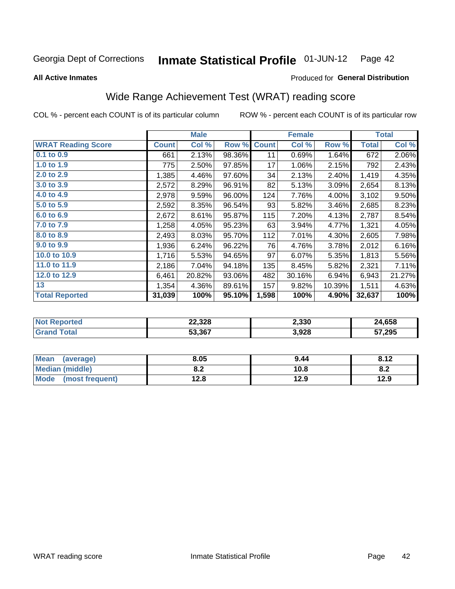#### Inmate Statistical Profile 01-JUN-12 Page 42

**All Active Inmates** 

### Produced for General Distribution

## Wide Range Achievement Test (WRAT) reading score

COL % - percent each COUNT is of its particular column

|                           |              | <b>Male</b> |        |              | <b>Female</b> |        |              | <b>Total</b> |
|---------------------------|--------------|-------------|--------|--------------|---------------|--------|--------------|--------------|
| <b>WRAT Reading Score</b> | <b>Count</b> | Col %       | Row %  | <b>Count</b> | Col %         | Row %  | <b>Total</b> | Col %        |
| $0.1$ to $0.9$            | 661          | 2.13%       | 98.36% | 11           | 0.69%         | 1.64%  | 672          | 2.06%        |
| 1.0 to 1.9                | 775          | 2.50%       | 97.85% | 17           | 1.06%         | 2.15%  | 792          | 2.43%        |
| 2.0 to 2.9                | 1,385        | 4.46%       | 97.60% | 34           | 2.13%         | 2.40%  | 1,419        | 4.35%        |
| 3.0 to 3.9                | 2,572        | 8.29%       | 96.91% | 82           | 5.13%         | 3.09%  | 2,654        | 8.13%        |
| 4.0 to 4.9                | 2,978        | 9.59%       | 96.00% | 124          | 7.76%         | 4.00%  | 3,102        | 9.50%        |
| 5.0 to 5.9                | 2,592        | 8.35%       | 96.54% | 93           | 5.82%         | 3.46%  | 2,685        | 8.23%        |
| 6.0 to 6.9                | 2,672        | 8.61%       | 95.87% | 115          | 7.20%         | 4.13%  | 2,787        | 8.54%        |
| 7.0 to 7.9                | 1,258        | 4.05%       | 95.23% | 63           | 3.94%         | 4.77%  | 1,321        | 4.05%        |
| 8.0 to 8.9                | 2,493        | 8.03%       | 95.70% | 112          | 7.01%         | 4.30%  | 2,605        | 7.98%        |
| 9.0 to 9.9                | 1,936        | 6.24%       | 96.22% | 76           | 4.76%         | 3.78%  | 2,012        | 6.16%        |
| 10.0 to 10.9              | 1,716        | 5.53%       | 94.65% | 97           | 6.07%         | 5.35%  | 1,813        | 5.56%        |
| 11.0 to 11.9              | 2,186        | 7.04%       | 94.18% | 135          | 8.45%         | 5.82%  | 2,321        | 7.11%        |
| 12.0 to 12.9              | 6,461        | 20.82%      | 93.06% | 482          | 30.16%        | 6.94%  | 6,943        | 21.27%       |
| 13                        | 1,354        | 4.36%       | 89.61% | 157          | 9.82%         | 10.39% | 1,511        | 4.63%        |
| <b>Total Reported</b>     | 31,039       | 100%        | 95.10% | 1,598        | 100%          | 4.90%  | 32,637       | 100%         |

| Reported<br>'NOT | 22,328 | 2,330 | 24,658 |
|------------------|--------|-------|--------|
| `otal            | 53,367 | 3,928 | 57,295 |

| Mean<br>(average)       | 8.05         | 9.44 | 8.12 |
|-------------------------|--------------|------|------|
| Median (middle)         | י ה<br>O.A   | 10.8 | o.z  |
| Mode<br>(most frequent) | 19 Q<br>14.O | 12.9 | 12.9 |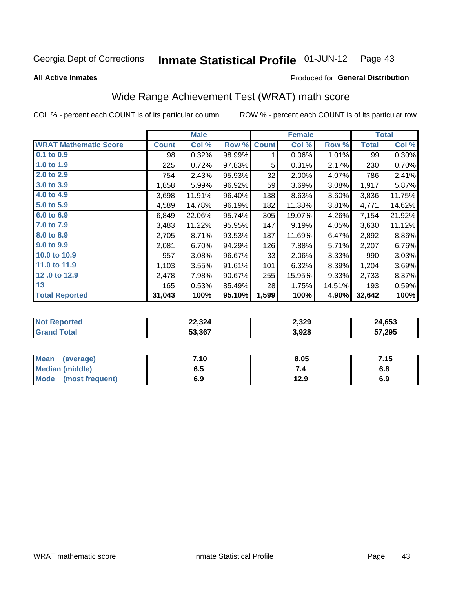#### Inmate Statistical Profile 01-JUN-12 Page 43

**All Active Inmates** 

### Produced for General Distribution

## Wide Range Achievement Test (WRAT) math score

COL % - percent each COUNT is of its particular column

|                              |              | <b>Male</b> |        |              | <b>Female</b> |        |              | <b>Total</b> |
|------------------------------|--------------|-------------|--------|--------------|---------------|--------|--------------|--------------|
| <b>WRAT Mathematic Score</b> | <b>Count</b> | Col %       | Row %  | <b>Count</b> | Col %         | Row %  | <b>Total</b> | Col %        |
| $0.1$ to $0.9$               | 98           | 0.32%       | 98.99% | 1            | 0.06%         | 1.01%  | 99           | 0.30%        |
| 1.0 to 1.9                   | 225          | 0.72%       | 97.83% | 5            | 0.31%         | 2.17%  | 230          | 0.70%        |
| 2.0 to 2.9                   | 754          | 2.43%       | 95.93% | 32           | 2.00%         | 4.07%  | 786          | 2.41%        |
| 3.0 to 3.9                   | 1,858        | 5.99%       | 96.92% | 59           | 3.69%         | 3.08%  | 1,917        | 5.87%        |
| 4.0 to 4.9                   | 3,698        | 11.91%      | 96.40% | 138          | 8.63%         | 3.60%  | 3,836        | 11.75%       |
| 5.0 to 5.9                   | 4,589        | 14.78%      | 96.19% | 182          | 11.38%        | 3.81%  | 4,771        | 14.62%       |
| 6.0 to 6.9                   | 6,849        | 22.06%      | 95.74% | 305          | 19.07%        | 4.26%  | 7,154        | 21.92%       |
| 7.0 to 7.9                   | 3,483        | 11.22%      | 95.95% | 147          | 9.19%         | 4.05%  | 3,630        | 11.12%       |
| 8.0 to 8.9                   | 2,705        | 8.71%       | 93.53% | 187          | 11.69%        | 6.47%  | 2,892        | 8.86%        |
| 9.0 to 9.9                   | 2,081        | 6.70%       | 94.29% | 126          | 7.88%         | 5.71%  | 2,207        | 6.76%        |
| 10.0 to 10.9                 | 957          | 3.08%       | 96.67% | 33           | 2.06%         | 3.33%  | 990          | 3.03%        |
| 11.0 to 11.9                 | 1,103        | 3.55%       | 91.61% | 101          | 6.32%         | 8.39%  | 1,204        | 3.69%        |
| 12.0 to 12.9                 | 2,478        | 7.98%       | 90.67% | 255          | 15.95%        | 9.33%  | 2,733        | 8.37%        |
| 13                           | 165          | 0.53%       | 85.49% | 28           | 1.75%         | 14.51% | 193          | 0.59%        |
| <b>Total Reported</b>        | 31,043       | 100%        | 95.10% | 1,599        | 100%          | 4.90%  | 32,642       | 100%         |

| <b>Not Reported</b>                 | 22,324 | 2,329 | 24,653 |
|-------------------------------------|--------|-------|--------|
| $\mathop{\mathsf{Total}}$<br>'Grand | 53,367 | 3,928 | 57,295 |

| Mean (average)         | 7.10 | 8.05 | 7.15 |
|------------------------|------|------|------|
| <b>Median (middle)</b> | 6.5  |      | o.o  |
| Mode (most frequent)   | 6.9  | 12.9 | 6.9  |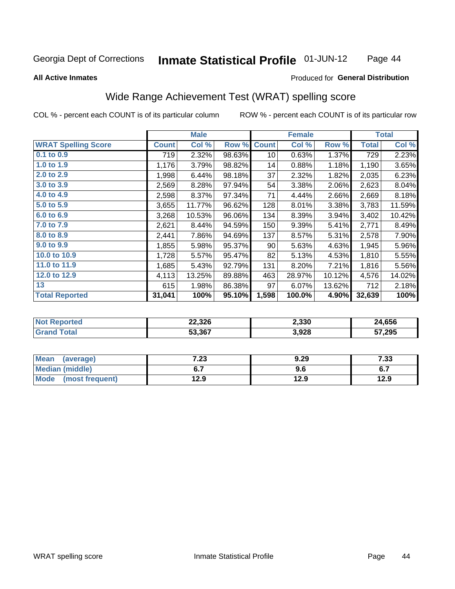### Inmate Statistical Profile 01-JUN-12 Page 44

### **All Active Inmates**

### Produced for General Distribution

## Wide Range Achievement Test (WRAT) spelling score

COL % - percent each COUNT is of its particular column

|                            |              | <b>Male</b> |        |              | <b>Female</b> |        |              | <b>Total</b> |
|----------------------------|--------------|-------------|--------|--------------|---------------|--------|--------------|--------------|
| <b>WRAT Spelling Score</b> | <b>Count</b> | Col %       | Row %  | <b>Count</b> | Col %         | Row %  | <b>Total</b> | Col %        |
| 0.1 to 0.9                 | 719          | 2.32%       | 98.63% | 10           | 0.63%         | 1.37%  | 729          | 2.23%        |
| 1.0 to 1.9                 | 1,176        | 3.79%       | 98.82% | 14           | 0.88%         | 1.18%  | 1,190        | 3.65%        |
| 2.0 to 2.9                 | 1,998        | 6.44%       | 98.18% | 37           | 2.32%         | 1.82%  | 2,035        | 6.23%        |
| 3.0 to 3.9                 | 2,569        | 8.28%       | 97.94% | 54           | 3.38%         | 2.06%  | 2,623        | 8.04%        |
| 4.0 to 4.9                 | 2,598        | 8.37%       | 97.34% | 71           | 4.44%         | 2.66%  | 2,669        | 8.18%        |
| 5.0 to 5.9                 | 3,655        | 11.77%      | 96.62% | 128          | 8.01%         | 3.38%  | 3,783        | 11.59%       |
| 6.0 to 6.9                 | 3,268        | 10.53%      | 96.06% | 134          | 8.39%         | 3.94%  | 3,402        | 10.42%       |
| 7.0 to 7.9                 | 2,621        | 8.44%       | 94.59% | 150          | 9.39%         | 5.41%  | 2,771        | 8.49%        |
| 8.0 to 8.9                 | 2,441        | 7.86%       | 94.69% | 137          | 8.57%         | 5.31%  | 2,578        | 7.90%        |
| 9.0 to 9.9                 | 1,855        | 5.98%       | 95.37% | 90           | 5.63%         | 4.63%  | 1,945        | 5.96%        |
| 10.0 to 10.9               | 1,728        | 5.57%       | 95.47% | 82           | 5.13%         | 4.53%  | 1,810        | 5.55%        |
| 11.0 to 11.9               | 1,685        | 5.43%       | 92.79% | 131          | 8.20%         | 7.21%  | 1,816        | 5.56%        |
| 12.0 to 12.9               | 4,113        | 13.25%      | 89.88% | 463          | 28.97%        | 10.12% | 4,576        | 14.02%       |
| 13                         | 615          | 1.98%       | 86.38% | 97           | 6.07%         | 13.62% | 712          | 2.18%        |
| <b>Total Reported</b>      | 31,041       | 100%        | 95.10% | 1,598        | 100.0%        | 4.90%  | 32,639       | 100%         |

| <b>Not Reported</b>          | 22,326 | 2,330 | 24,656 |
|------------------------------|--------|-------|--------|
| <b>Total</b><br><b>Grand</b> | 53,367 | 3,928 | 57,295 |

| <b>Mean</b><br>(average) | 7.23 | 9.29 | 7.33 |
|--------------------------|------|------|------|
| Median (middle)          |      | 9.6  | ν.,  |
| Mode<br>(most frequent)  | 12.9 | 12.9 | 12.9 |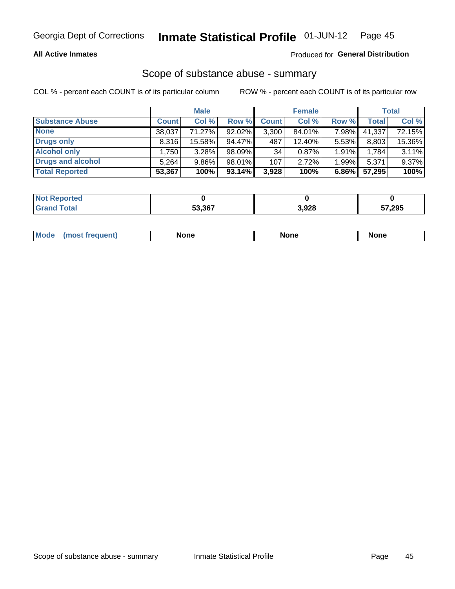## **All Active Inmates**

## Produced for General Distribution

## Scope of substance abuse - summary

COL % - percent each COUNT is of its particular column

|                        |                   | <b>Male</b> |           |              | <b>Female</b> |          |              | <b>Total</b> |
|------------------------|-------------------|-------------|-----------|--------------|---------------|----------|--------------|--------------|
| <b>Substance Abuse</b> | <b>Count</b>      | Col %       | Row %     | <b>Count</b> | Col %         | Row %    | <b>Total</b> | Col %        |
| <b>None</b>            | 38,037            | 71.27%      | 92.02%    | 3,300        | 84.01%        | 7.98%    | 41,337       | 72.15%       |
| <b>Drugs only</b>      | 8.316             | 15.58%      | 94.47%    | 487          | 12.40%        | 5.53%    | 8,803        | 15.36%       |
| <b>Alcohol only</b>    | .750 <sup>1</sup> | $3.28\%$    | 98.09%    | 34           | 0.87%         | 1.91%    | 1,784        | 3.11%        |
| Drugs and alcohol      | 5,264             | $9.86\%$    | 98.01%    | 107          | 2.72%         | 1.99%    | 5,371        | 9.37%        |
| <b>Total Reported</b>  | 53,367            | 100%        | $93.14\%$ | 3,928        | 100%          | $6.86\%$ | 57,295       | 100%         |

| <b>Not Reported</b> |        |       |        |
|---------------------|--------|-------|--------|
| <b>Grand Total</b>  | 53,367 | 3,928 | 57,295 |

|  | M<br>nuemi | None | <b>IODE</b><br>NIJ | None |
|--|------------|------|--------------------|------|
|--|------------|------|--------------------|------|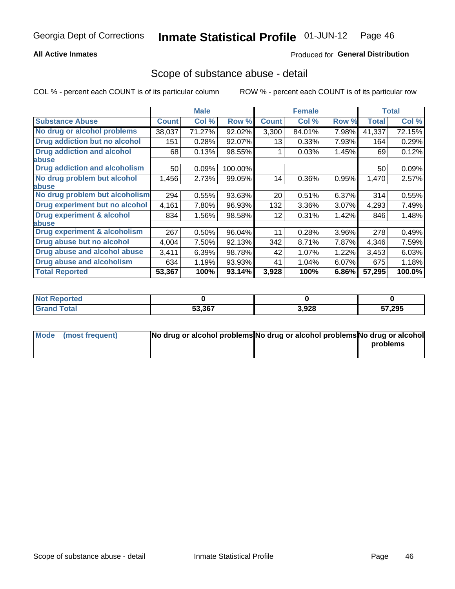## **All Active Inmates**

## Produced for General Distribution

## Scope of substance abuse - detail

COL % - percent each COUNT is of its particular column

|                                      |              | <b>Male</b> |         |              | <b>Female</b> |       |              | <b>Total</b> |
|--------------------------------------|--------------|-------------|---------|--------------|---------------|-------|--------------|--------------|
| <b>Substance Abuse</b>               | <b>Count</b> | Col %       | Row %   | <b>Count</b> | Col %         | Row % | <b>Total</b> | Col %        |
| No drug or alcohol problems          | 38,037       | 71.27%      | 92.02%  | 3,300        | 84.01%        | 7.98% | 41,337       | 72.15%       |
| Drug addiction but no alcohol        | 151          | 0.28%       | 92.07%  | 13           | 0.33%         | 7.93% | 164          | 0.29%        |
| <b>Drug addiction and alcohol</b>    | 68           | 0.13%       | 98.55%  |              | 0.03%         | 1.45% | 69           | 0.12%        |
| abuse                                |              |             |         |              |               |       |              |              |
| <b>Drug addiction and alcoholism</b> | 50           | 0.09%       | 100.00% |              |               |       | 50           | 0.09%        |
| No drug problem but alcohol          | 1,456        | 2.73%       | 99.05%  | 14           | 0.36%         | 0.95% | 1,470        | 2.57%        |
| <b>labuse</b>                        |              |             |         |              |               |       |              |              |
| No drug problem but alcoholism       | 294          | 0.55%       | 93.63%  | 20           | 0.51%         | 6.37% | 314          | 0.55%        |
| Drug experiment but no alcohol       | 4,161        | 7.80%       | 96.93%  | 132          | 3.36%         | 3.07% | 4,293        | 7.49%        |
| <b>Drug experiment &amp; alcohol</b> | 834          | 1.56%       | 98.58%  | 12           | 0.31%         | 1.42% | 846          | 1.48%        |
| <b>labuse</b>                        |              |             |         |              |               |       |              |              |
| Drug experiment & alcoholism         | 267          | 0.50%       | 96.04%  | 11           | 0.28%         | 3.96% | 278          | 0.49%        |
| Drug abuse but no alcohol            | 4,004        | 7.50%       | 92.13%  | 342          | 8.71%         | 7.87% | 4,346        | 7.59%        |
| Drug abuse and alcohol abuse         | 3,411        | 6.39%       | 98.78%  | 42           | 1.07%         | 1.22% | 3,453        | 6.03%        |
| <b>Drug abuse and alcoholism</b>     | 634          | 1.19%       | 93.93%  | 41           | 1.04%         | 6.07% | 675          | 1.18%        |
| <b>Total Reported</b>                | 53,367       | 100%        | 93.14%  | 3,928        | 100%          | 6.86% | 57,295       | 100.0%       |

| orted<br><b>NOT</b> |        |       |                     |
|---------------------|--------|-------|---------------------|
|                     | 53,367 | 3,928 | 57,295<br><u>JI</u> |

| Mode (most frequent) | No drug or alcohol problems No drug or alcohol problems No drug or alcohol |          |
|----------------------|----------------------------------------------------------------------------|----------|
|                      |                                                                            | problems |
|                      |                                                                            |          |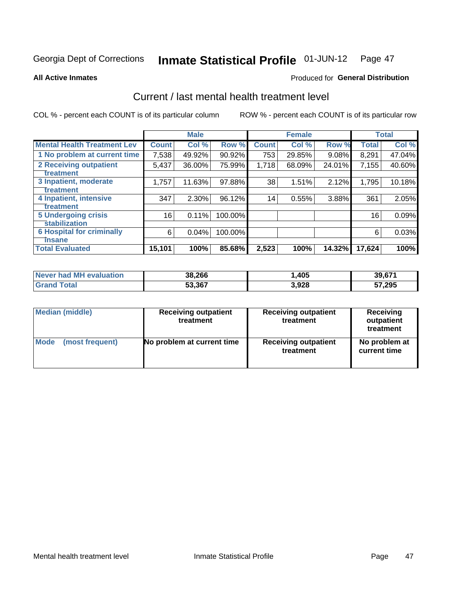#### Inmate Statistical Profile 01-JUN-12 Page 47

**All Active Inmates** 

### Produced for General Distribution

## Current / last mental health treatment level

COL % - percent each COUNT is of its particular column

|                                    |              | <b>Male</b> |           |              | <b>Female</b> |        |              | <b>Total</b> |
|------------------------------------|--------------|-------------|-----------|--------------|---------------|--------|--------------|--------------|
| <b>Mental Health Treatment Lev</b> | <b>Count</b> | Col %       | Row %     | <b>Count</b> | Col %         | Row %  | <b>Total</b> | Col %        |
| 1 No problem at current time       | 7,538        | 49.92%      | $90.92\%$ | 753          | 29.85%        | 9.08%  | 8,291        | 47.04%       |
| 2 Receiving outpatient             | 5,437        | 36.00%      | 75.99%    | 1,718        | 68.09%        | 24.01% | 7,155        | 40.60%       |
| <b>Treatment</b>                   |              |             |           |              |               |        |              |              |
| 3 Inpatient, moderate              | 1,757        | 11.63%      | 97.88%    | 38           | 1.51%         | 2.12%  | 1,795        | 10.18%       |
| <b>Treatment</b>                   |              |             |           |              |               |        |              |              |
| 4 Inpatient, intensive             | 347          | 2.30%       | 96.12%    | 14           | 0.55%         | 3.88%  | 361          | 2.05%        |
| <b>Treatment</b>                   |              |             |           |              |               |        |              |              |
| <b>5 Undergoing crisis</b>         | 16           | 0.11%       | 100.00%   |              |               |        | 16           | 0.09%        |
| <b>stabilization</b>               |              |             |           |              |               |        |              |              |
| <b>6 Hospital for criminally</b>   | 6            | 0.04%       | 100.00%   |              |               |        | 6            | 0.03%        |
| <b>Tinsane</b>                     |              |             |           |              |               |        |              |              |
| <b>Total Evaluated</b>             | 15,101       | 100%        | 85.68%    | 2,523        | 100%          | 14.32% | 17,624       | 100%         |

| <b>Never had MH evaluation</b> | 38,266 | ,405  | 39,67' |
|--------------------------------|--------|-------|--------|
| $\tau$ otal                    | 53,367 | 3,928 | 57,295 |

| Median (middle) | <b>Receiving outpatient</b><br>treatment | <b>Receiving outpatient</b><br>treatment | <b>Receiving</b><br>outpatient<br>treatment |
|-----------------|------------------------------------------|------------------------------------------|---------------------------------------------|
| <b>Mode</b>     | No problem at current time               | <b>Receiving outpatient</b>              | No problem at                               |
| (most frequent) |                                          | treatment                                | current time                                |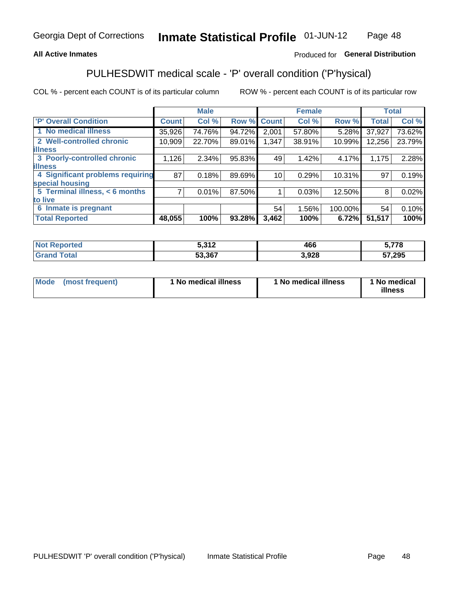## **All Active Inmates**

## Produced for General Distribution

## PULHESDWIT medical scale - 'P' overall condition ('P'hysical)

COL % - percent each COUNT is of its particular column

|                                  |              | <b>Male</b> |        |              | <b>Female</b> |         |              | <b>Total</b> |
|----------------------------------|--------------|-------------|--------|--------------|---------------|---------|--------------|--------------|
| <b>P' Overall Condition</b>      | <b>Count</b> | Col %       | Row %  | <b>Count</b> | Col %         | Row %   | <b>Total</b> | Col %        |
| 1 No medical illness             | 35,926       | 74.76%      | 94.72% | 2,001        | 57.80%        | 5.28%   | 37,927       | 73.62%       |
| 2 Well-controlled chronic        | 10,909       | 22.70%      | 89.01% | 1,347        | 38.91%        | 10.99%  | 12,256       | 23.79%       |
| <b>illness</b>                   |              |             |        |              |               |         |              |              |
| 3 Poorly-controlled chronic      | 1,126        | $2.34\%$    | 95.83% | 49           | 1.42%         | 4.17%   | 1,175        | 2.28%        |
| <b>illness</b>                   |              |             |        |              |               |         |              |              |
| 4 Significant problems requiring | 87           | 0.18%       | 89.69% | 10           | 0.29%         | 10.31%  | 97           | 0.19%        |
| special housing                  |              |             |        |              |               |         |              |              |
| 5 Terminal illness, < 6 months   | 71           | 0.01%       | 87.50% |              | 0.03%         | 12.50%  | 8            | 0.02%        |
| to live                          |              |             |        |              |               |         |              |              |
| 6 Inmate is pregnant             |              |             |        | 54           | 1.56%         | 100.00% | 54           | 0.10%        |
| <b>Total Reported</b>            | 48,055       | 100%        | 93.28% | 3,462        | 100%          | 6.72%   | 51,517       | 100%         |

| τeα | <b>E</b> 242<br>JUIL | 466         | ---    |
|-----|----------------------|-------------|--------|
|     | 53 367               | .928<br>- - | 57,295 |

| Mode | (most frequent) | 1 No medical illness | 1 No medical illness | 1 No medical<br>illness |
|------|-----------------|----------------------|----------------------|-------------------------|
|------|-----------------|----------------------|----------------------|-------------------------|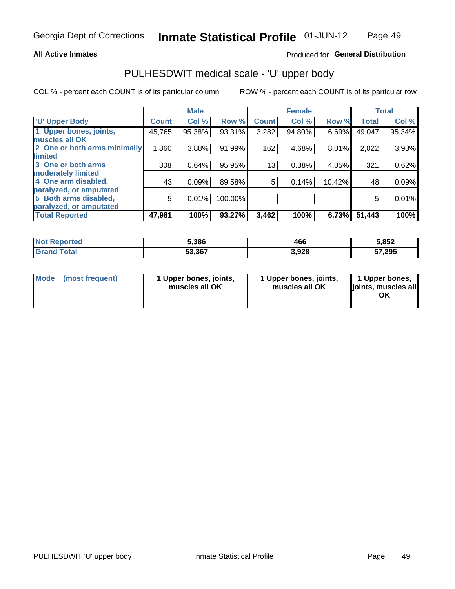### **All Active Inmates**

## Produced for General Distribution

# PULHESDWIT medical scale - 'U' upper body

COL % - percent each COUNT is of its particular column

|                              |               | <b>Male</b> |         |              | <b>Female</b> |        |              | <b>Total</b> |
|------------------------------|---------------|-------------|---------|--------------|---------------|--------|--------------|--------------|
| <b>U' Upper Body</b>         | <b>Count!</b> | Col %       | Row %   | <b>Count</b> | Col %         | Row %  | <b>Total</b> | Col %        |
| 1 Upper bones, joints,       | 45,765        | 95.38%      | 93.31%  | 3,282        | 94.80%        | 6.69%  | 49,047       | 95.34%       |
| muscles all OK               |               |             |         |              |               |        |              |              |
| 2 One or both arms minimally | 1,860         | 3.88%       | 91.99%  | 162          | 4.68%         | 8.01%  | 2,022        | 3.93%        |
| limited                      |               |             |         |              |               |        |              |              |
| 3 One or both arms           | 308           | 0.64%       | 95.95%  | 13           | 0.38%         | 4.05%  | 321          | 0.62%        |
| moderately limited           |               |             |         |              |               |        |              |              |
| 4 One arm disabled,          | 43            | 0.09%       | 89.58%  | 5            | 0.14%         | 10.42% | 48           | 0.09%        |
| paralyzed, or amputated      |               |             |         |              |               |        |              |              |
| 5 Both arms disabled,        | 5             | 0.01%       | 100.00% |              |               |        | 5            | 0.01%        |
| paralyzed, or amputated      |               |             |         |              |               |        |              |              |
| <b>Total Reported</b>        | 47,981        | 100%        | 93.27%  | 3,462        | 100%          | 6.73%  | 51,443       | 100%         |

| <b>Not Reported</b>   | 5,386  | 466   | 5,852  |
|-----------------------|--------|-------|--------|
| Total<br><b>Grano</b> | 53,367 | 3,928 | 57,295 |

| Mode (most frequent) | 1 Upper bones, joints,<br>muscles all OK | 1 Upper bones, joints,<br>muscles all OK | 1 Upper bones,<br>joints, muscles all<br>ΟK |
|----------------------|------------------------------------------|------------------------------------------|---------------------------------------------|
|----------------------|------------------------------------------|------------------------------------------|---------------------------------------------|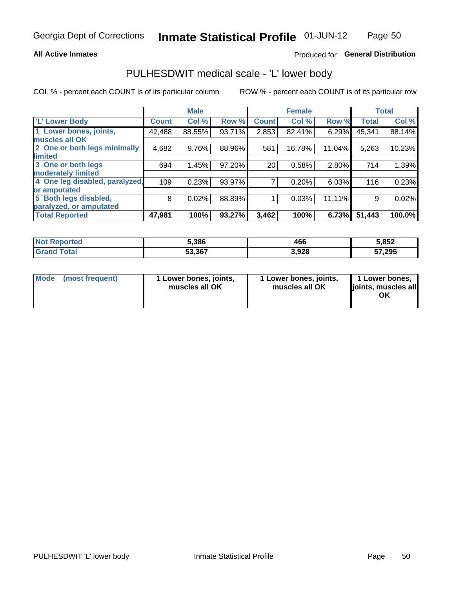### **All Active Inmates**

## Produced for General Distribution

## PULHESDWIT medical scale - 'L' lower body

COL % - percent each COUNT is of its particular column

|                                |               | <b>Male</b> |        |              | <b>Female</b> |        |              | <b>Total</b> |
|--------------------------------|---------------|-------------|--------|--------------|---------------|--------|--------------|--------------|
| 'L' Lower Body                 | <b>Count!</b> | Col %       | Row %  | <b>Count</b> | Col %         | Row %  | <b>Total</b> | Col %        |
| 1 Lower bones, joints,         | 42,488        | 88.55%      | 93.71% | 2,853        | 82.41%        | 6.29%  | 45,341       | 88.14%       |
| muscles all OK                 |               |             |        |              |               |        |              |              |
| 2 One or both legs minimally   | 4,682         | 9.76%       | 88.96% | 581          | 16.78%        | 11.04% | 5,263        | 10.23%       |
| limited                        |               |             |        |              |               |        |              |              |
| 3 One or both legs             | 694           | 1.45%       | 97.20% | 20           | 0.58%         | 2.80%  | 714          | 1.39%        |
| moderately limited             |               |             |        |              |               |        |              |              |
| 4 One leg disabled, paralyzed, | 109           | 0.23%       | 93.97% | 7            | 0.20%         | 6.03%  | 116          | 0.23%        |
| or amputated                   |               |             |        |              |               |        |              |              |
| 5 Both legs disabled,          | 8             | 0.02%       | 88.89% |              | 0.03%         | 11.11% | 9            | 0.02%        |
| paralyzed, or amputated        |               |             |        |              |               |        |              |              |
| <b>Total Reported</b>          | 47,981        | 100%        | 93.27% | 3,462        | 100%          | 6.73%  | 51,443       | 100.0%       |

| <b>Not Reported</b>   | 5,386  | 466   | 5,852  |
|-----------------------|--------|-------|--------|
| Total<br><b>Grano</b> | 53,367 | 3,928 | 57,295 |

|  | Mode (most frequent) | 1 Lower bones, joints,<br>muscles all OK | 1 Lower bones, joints,<br>muscles all OK | 1 Lower bones,<br>joints, muscles all<br>ΟK |
|--|----------------------|------------------------------------------|------------------------------------------|---------------------------------------------|
|--|----------------------|------------------------------------------|------------------------------------------|---------------------------------------------|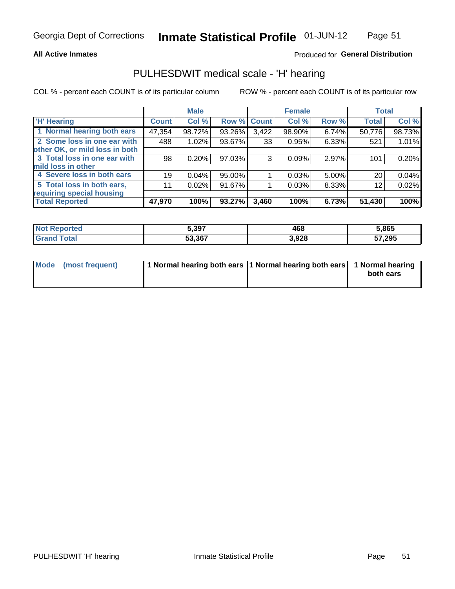### **All Active Inmates**

## Produced for General Distribution

## PULHESDWIT medical scale - 'H' hearing

COL % - percent each COUNT is of its particular column

|                                |              | <b>Male</b> |             |       | <b>Female</b> |       | <b>Total</b> |        |
|--------------------------------|--------------|-------------|-------------|-------|---------------|-------|--------------|--------|
| <b>'H' Hearing</b>             | <b>Count</b> | Col %       | Row % Count |       | Col %         | Row % | <b>Total</b> | Col %  |
| 1 Normal hearing both ears     | 47,354       | 98.72%      | 93.26%      | 3,422 | 98.90%        | 6.74% | 50,776       | 98.73% |
| 2 Some loss in one ear with    | 488          | 1.02%       | 93.67%      | 33    | 0.95%         | 6.33% | 521          | 1.01%  |
| other OK, or mild loss in both |              |             |             |       |               |       |              |        |
| 3 Total loss in one ear with   | 98           | 0.20%       | 97.03%      | 3     | 0.09%         | 2.97% | 101          | 0.20%  |
| mild loss in other             |              |             |             |       |               |       |              |        |
| 4 Severe loss in both ears     | 19           | 0.04%       | 95.00%      |       | 0.03%         | 5.00% | 20           | 0.04%  |
| 5 Total loss in both ears,     | 11           | 0.02%       | 91.67%      |       | 0.03%         | 8.33% | 12           | 0.02%  |
| requiring special housing      |              |             |             |       |               |       |              |        |
| <b>Total Reported</b>          | 47,970       | 100%        | 93.27%      | 3,460 | 100%          | 6.73% | 51,430       | 100%   |

| <b>orted</b><br><b>NOT</b> | 5,397  | 468   | 5.865  |
|----------------------------|--------|-------|--------|
|                            | 53,367 | 3,928 | 57,295 |

| Mode (most frequent) | 1 Normal hearing both ears 11 Normal hearing both ears 1 Normal hearing | both ears |
|----------------------|-------------------------------------------------------------------------|-----------|
|                      |                                                                         |           |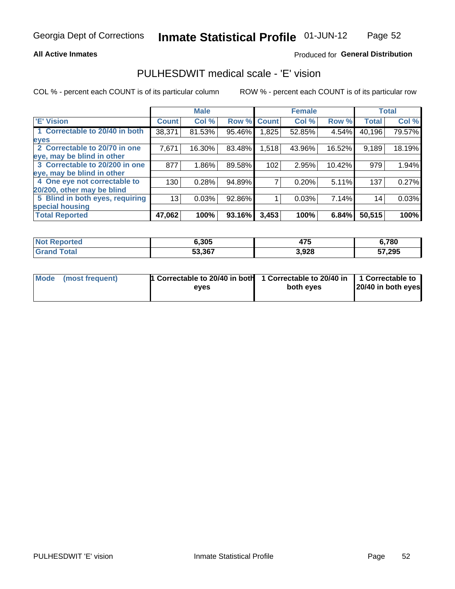### **All Active Inmates**

## Produced for General Distribution

## PULHESDWIT medical scale - 'E' vision

COL % - percent each COUNT is of its particular column

|                                 |              | <b>Male</b> |        |              | <b>Female</b> |        |              | <b>Total</b> |
|---------------------------------|--------------|-------------|--------|--------------|---------------|--------|--------------|--------------|
| <b>E' Vision</b>                | <b>Count</b> | Col %       | Row %  | <b>Count</b> | Col %         | Row %  | <b>Total</b> | Col %        |
| 1 Correctable to 20/40 in both  | 38,371       | 81.53%      | 95.46% | ,825         | 52.85%        | 4.54%  | 40,196       | 79.57%       |
| eyes                            |              |             |        |              |               |        |              |              |
| 2 Correctable to 20/70 in one   | 7,671        | 16.30%      | 83.48% | 1,518        | 43.96%        | 16.52% | 9,189        | 18.19%       |
| eye, may be blind in other      |              |             |        |              |               |        |              |              |
| 3 Correctable to 20/200 in one  | 877          | 1.86%       | 89.58% | 102          | 2.95%         | 10.42% | 979          | 1.94%        |
| eye, may be blind in other      |              |             |        |              |               |        |              |              |
| 4 One eye not correctable to    | 130          | 0.28%       | 94.89% |              | 0.20%         | 5.11%  | 137          | 0.27%        |
| 20/200, other may be blind      |              |             |        |              |               |        |              |              |
| 5 Blind in both eyes, requiring | 13           | 0.03%       | 92.86% |              | 0.03%         | 7.14%  | 14           | 0.03%        |
| special housing                 |              |             |        |              |               |        |              |              |
| <b>Total Reported</b>           | 47,062       | 100%        | 93.16% | 3,453        | 100%          | 6.84%  | 50,515       | 100%         |

| <b>Not Reported</b>   | 6,305  | $\rightarrow$<br>47 J | 6,780  |
|-----------------------|--------|-----------------------|--------|
| Total<br><b>Grand</b> | 53,367 | 3,928                 | 57,295 |

| Mode (most frequent) | 1 Correctable to 20/40 in both<br>eves | 1 Correctable to 20/40 in   1 Correctable to  <br>both eves | 20/40 in both eyes |
|----------------------|----------------------------------------|-------------------------------------------------------------|--------------------|
|                      |                                        |                                                             |                    |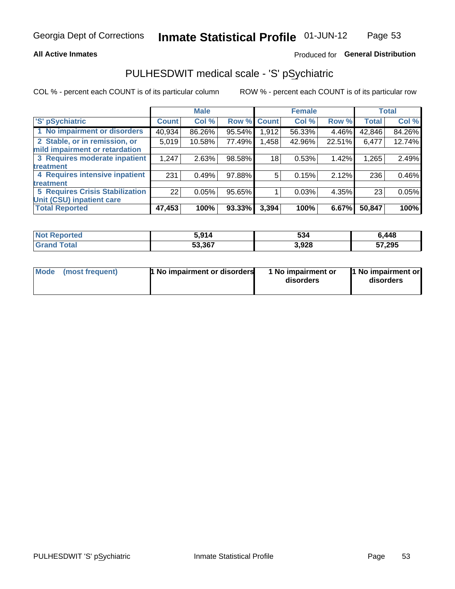### **All Active Inmates**

## Produced for General Distribution

## PULHESDWIT medical scale - 'S' pSychiatric

COL % - percent each COUNT is of its particular column

|                                        |              | <b>Male</b> |        |              | <b>Female</b> |        |              | <b>Total</b> |
|----------------------------------------|--------------|-------------|--------|--------------|---------------|--------|--------------|--------------|
| 'S' pSychiatric                        | <b>Count</b> | Col %       | Row %  | <b>Count</b> | Col %         | Row %  | <b>Total</b> | Col %        |
| 1 No impairment or disorders           | 40,934       | 86.26%      | 95.54% | 1,912        | 56.33%        | 4.46%  | 42,846       | 84.26%       |
| 2 Stable, or in remission, or          | 5,019        | 10.58%      | 77.49% | 1,458        | 42.96%        | 22.51% | 6,477        | 12.74%       |
| mild impairment or retardation         |              |             |        |              |               |        |              |              |
| 3 Requires moderate inpatient          | 1,247        | 2.63%       | 98.58% | 18           | 0.53%         | 1.42%  | 1,265        | 2.49%        |
| treatment                              |              |             |        |              |               |        |              |              |
| 4 Requires intensive inpatient         | 231          | 0.49%       | 97.88% | 5            | 0.15%         | 2.12%  | 236          | 0.46%        |
| treatment                              |              |             |        |              |               |        |              |              |
| <b>5 Requires Crisis Stabilization</b> | 22           | 0.05%       | 95.65% |              | 0.03%         | 4.35%  | 23           | 0.05%        |
| Unit (CSU) inpatient care              |              |             |        |              |               |        |              |              |
| <b>Total Reported</b>                  | 47,453       | 100%        | 93.33% | 3,394        | 100%          | 6.67%  | 50,847       | 100%         |

| <b>Not Reported</b> | 5,914  | 534   | 6,448  |
|---------------------|--------|-------|--------|
| ™otal               | 53,367 | 3,928 | 57,295 |

| Mode            | <b>1 No impairment or disorders</b> | 1 No impairment or | 1 No impairment or |
|-----------------|-------------------------------------|--------------------|--------------------|
| (most frequent) |                                     | disorders          | disorders          |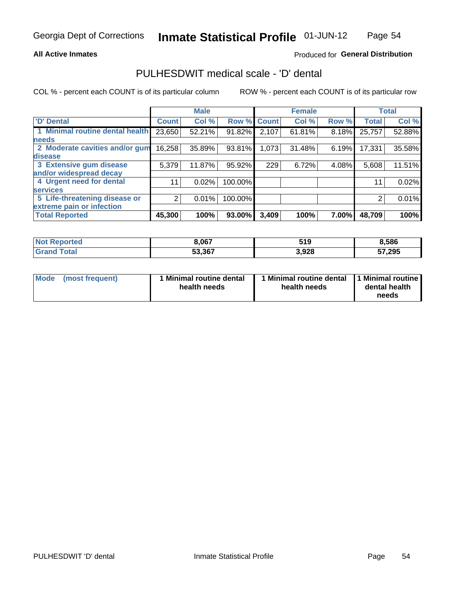### **All Active Inmates**

## Produced for General Distribution

## PULHESDWIT medical scale - 'D' dental

COL % - percent each COUNT is of its particular column

|                                 |              | <b>Male</b> |         |              | <b>Female</b> |       |              | <b>Total</b> |
|---------------------------------|--------------|-------------|---------|--------------|---------------|-------|--------------|--------------|
| <b>D' Dental</b>                | <b>Count</b> | Col %       | Row %   | <b>Count</b> | Col %         | Row % | <b>Total</b> | Col %        |
| 1 Minimal routine dental health | 23,650       | 52.21%      | 91.82%  | 2,107        | 61.81%        | 8.18% | 25,757       | 52.88%       |
| <b>needs</b>                    |              |             |         |              |               |       |              |              |
| 2 Moderate cavities and/or gum  | 16,258       | 35.89%      | 93.81%  | 1,073        | 31.48%        | 6.19% | 17,331       | 35.58%       |
| disease                         |              |             |         |              |               |       |              |              |
| 3 Extensive gum disease         | 5,379        | 11.87%      | 95.92%  | 229          | 6.72%         | 4.08% | 5,608        | 11.51%       |
| and/or widespread decay         |              |             |         |              |               |       |              |              |
| 4 Urgent need for dental        | 11           | 0.02%       | 100.00% |              |               |       | 11           | 0.02%        |
| <b>services</b>                 |              |             |         |              |               |       |              |              |
| 5 Life-threatening disease or   | 2            | 0.01%       | 100.00% |              |               |       | 2            | 0.01%        |
| extreme pain or infection       |              |             |         |              |               |       |              |              |
| <b>Total Reported</b>           | 45,300       | 100%        | 93.00%  | 3,409        | 100%          | 7.00% | 48,709       | 100%         |

| <b>Not Reported</b> | 3,067  | 540<br>JIJ | 8,586  |
|---------------------|--------|------------|--------|
| Total<br>Grand      | 53,367 | 3,928      | 57,295 |

| 1 Minimal routine dental<br>Mode<br>(most frequent)<br>health needs | 1 Minimal routine dental 1 Minimal routine<br>health needs | dental health<br>needs |
|---------------------------------------------------------------------|------------------------------------------------------------|------------------------|
|---------------------------------------------------------------------|------------------------------------------------------------|------------------------|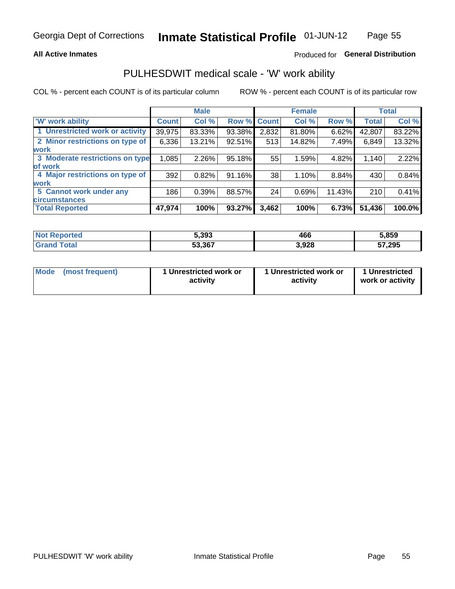## **All Active Inmates**

## Produced for General Distribution

## PULHESDWIT medical scale - 'W' work ability

COL % - percent each COUNT is of its particular column

|                                 |              | <b>Male</b> |        |             | <b>Female</b> |        |              | <b>Total</b> |
|---------------------------------|--------------|-------------|--------|-------------|---------------|--------|--------------|--------------|
| <b>W' work ability</b>          | <b>Count</b> | Col %       |        | Row % Count | Col %         | Row %  | <b>Total</b> | Col %        |
| 1 Unrestricted work or activity | 39,975       | 83.33%      | 93.38% | 2,832       | 81.80%        | 6.62%  | 42,807       | 83.22%       |
| 2 Minor restrictions on type of | 6,336        | 13.21%      | 92.51% | 513         | 14.82%        | 7.49%  | 6,849        | 13.32%       |
| <b>work</b>                     |              |             |        |             |               |        |              |              |
| 3 Moderate restrictions on type | 1,085        | 2.26%       | 95.18% | 55          | 1.59%         | 4.82%  | 1,140        | 2.22%        |
| lof work                        |              |             |        |             |               |        |              |              |
| 4 Major restrictions on type of | 392          | 0.82%       | 91.16% | 38          | 1.10%         | 8.84%  | 430          | 0.84%        |
| <b>work</b>                     |              |             |        |             |               |        |              |              |
| 5 Cannot work under any         | 186          | 0.39%       | 88.57% | 24          | 0.69%         | 11.43% | 210          | 0.41%        |
| <b>circumstances</b>            |              |             |        |             |               |        |              |              |
| <b>Total Reported</b>           | 47,974       | 100%        | 93.27% | 3,462       | 100%          | 6.73%  | 51,436       | 100.0%       |

| <b>Not Reported</b> | 5,393  | 466   | 5,859  |
|---------------------|--------|-------|--------|
| Total               | 53,367 | 3,928 | 57,295 |

| Mode            | 1 Unrestricted work or | 1 Unrestricted work or | 1 Unrestricted   |
|-----------------|------------------------|------------------------|------------------|
| (most frequent) | activity               | activity               | work or activity |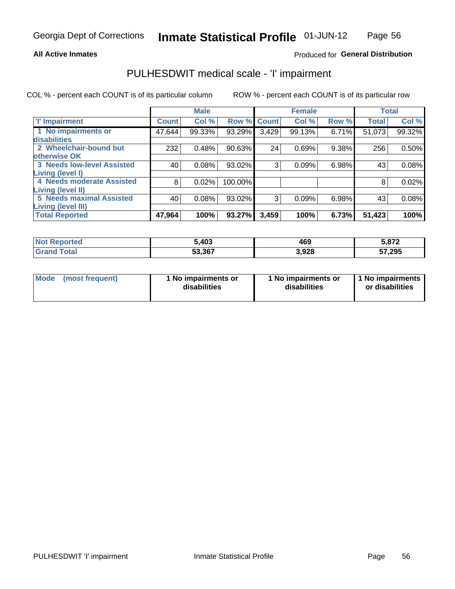### **All Active Inmates**

## Produced for General Distribution

## PULHESDWIT medical scale - 'I' impairment

COL % - percent each COUNT is of its particular column

|                                                       |              | <b>Male</b> |             |       | <b>Female</b> |       |              | <b>Total</b> |
|-------------------------------------------------------|--------------|-------------|-------------|-------|---------------|-------|--------------|--------------|
| <b>T' Impairment</b>                                  | <b>Count</b> | Col %       | Row % Count |       | Col %         | Row % | <b>Total</b> | Col %        |
| 1 No impairments or<br>disabilities                   | 47,644       | 99.33%      | 93.29%      | 3,429 | 99.13%        | 6.71% | 51,073       | 99.32%       |
| 2 Wheelchair-bound but<br>otherwise OK                | 232          | 0.48%       | 90.63%      | 24    | 0.69%         | 9.38% | 256          | 0.50%        |
| <b>3 Needs low-level Assisted</b><br>Living (level I) | 40           | 0.08%       | 93.02%      | 3     | 0.09%         | 6.98% | 43           | 0.08%        |
| 4 Needs moderate Assisted<br>Living (level II)        | 8            | 0.02%       | 100.00%     |       |               |       | 8            | 0.02%        |
| <b>5 Needs maximal Assisted</b>                       | 40           | 0.08%       | 93.02%      | 3     | 0.09%         | 6.98% | 43           | 0.08%        |
| <b>Living (level III)</b><br><b>Total Reported</b>    | 47,964       | 100%        | 93.27%      | 3,459 | 100%          | 6.73% | 51,423       | 100%         |

| <b>Not</b><br>Reported | 5,403  | 469   | 5,872  |
|------------------------|--------|-------|--------|
| Total                  | 53,367 | 3,928 | 57,295 |

| Mode | (most frequent) | 1 No impairments or<br>disabilities | 1 No impairments or<br>disabilities | 1 No impairments<br>or disabilities |
|------|-----------------|-------------------------------------|-------------------------------------|-------------------------------------|
|------|-----------------|-------------------------------------|-------------------------------------|-------------------------------------|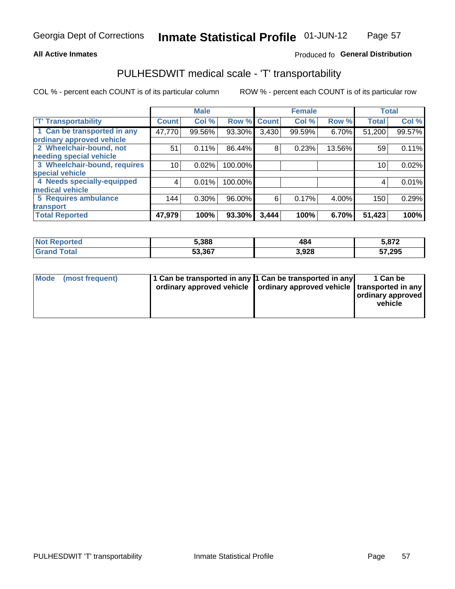### **All Active Inmates**

## Produced fo General Distribution

## PULHESDWIT medical scale - 'T' transportability

COL % - percent each COUNT is of its particular column

|                              |                    | <b>Male</b> |         |              | <b>Female</b> |        |              | <b>Total</b> |
|------------------------------|--------------------|-------------|---------|--------------|---------------|--------|--------------|--------------|
| <b>T' Transportability</b>   | Count <sup>!</sup> | Col %       | Row %   | <b>Count</b> | Col %         | Row %  | <b>Total</b> | Col %        |
| 1 Can be transported in any  | 47,770             | 99.56%      | 93.30%  | 3,430        | 99.59%        | 6.70%  | 51,200       | 99.57%       |
| ordinary approved vehicle    |                    |             |         |              |               |        |              |              |
| 2 Wheelchair-bound, not      | 51                 | 0.11%       | 86.44%  | 8            | 0.23%         | 13.56% | 59           | 0.11%        |
| needing special vehicle      |                    |             |         |              |               |        |              |              |
| 3 Wheelchair-bound, requires | 10                 | 0.02%       | 100.00% |              |               |        | 10           | 0.02%        |
| special vehicle              |                    |             |         |              |               |        |              |              |
| 4 Needs specially-equipped   | 4                  | 0.01%       | 100.00% |              |               |        | 4            | 0.01%        |
| medical vehicle              |                    |             |         |              |               |        |              |              |
| <b>5 Requires ambulance</b>  | 144                | 0.30%       | 96.00%  | 6            | 0.17%         | 4.00%  | 150          | 0.29%        |
| transport                    |                    |             |         |              |               |        |              |              |
| <b>Total Reported</b>        | 47,979             | 100%        | 93.30%  | 3,444        | 100%          | 6.70%  | 51,423       | 100%         |

| orted | 5,388  | 484  | <b>E 070</b><br>⊾ ≀ه. |
|-------|--------|------|-----------------------|
|       | 53.367 | 928, | 57,295<br>ີວ          |

|  | Mode (most frequent) | 1 Can be transported in any 1 Can be transported in any | ordinary approved vehicle   ordinary approved vehicle   transported in any | 1 Can be<br>ordinary approved<br>vehicle |
|--|----------------------|---------------------------------------------------------|----------------------------------------------------------------------------|------------------------------------------|
|--|----------------------|---------------------------------------------------------|----------------------------------------------------------------------------|------------------------------------------|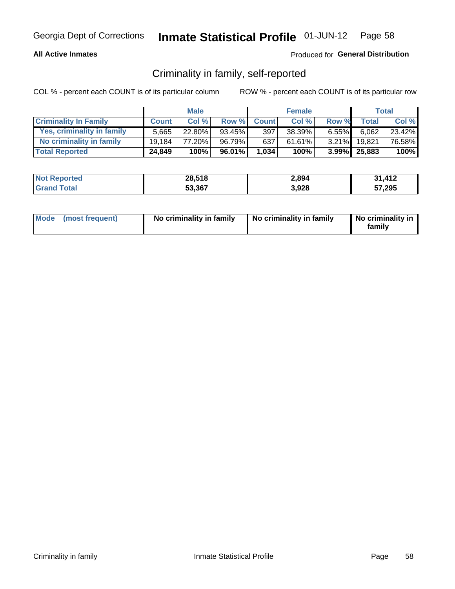## **All Active Inmates**

## Produced for General Distribution

## Criminality in family, self-reported

COL % - percent each COUNT is of its particular column

|                              |              | <b>Male</b> |           |              | <b>Female</b> |          |              | Total  |
|------------------------------|--------------|-------------|-----------|--------------|---------------|----------|--------------|--------|
| <b>Criminality In Family</b> | <b>Count</b> | Col %       | Row %     | <b>Count</b> | Col %         | Row %    | Total        | Col %  |
| Yes, criminality in family   | 5.665        | $22.80\%$   | $93.45\%$ | 397          | 38.39%        | $6.55\%$ | 6,062        | 23.42% |
| No criminality in family     | 19.184       | 77.20%      | 96.79%    | 637          | 61.61%        | $3.21\%$ | 19.821       | 76.58% |
| <b>Total Reported</b>        | 24,849       | 100%        | 96.01%    | 1,034        | 100%          |          | 3.99% 25,883 | 100%   |

| <b>Not</b><br>Reported | 28,518 | 2,894 | 31412  |
|------------------------|--------|-------|--------|
| <i>i</i> otal          | 53,367 | 3,928 | 57,295 |

|  | Mode (most frequent) | No criminality in family | No criminality in family | No criminality in<br>family |
|--|----------------------|--------------------------|--------------------------|-----------------------------|
|--|----------------------|--------------------------|--------------------------|-----------------------------|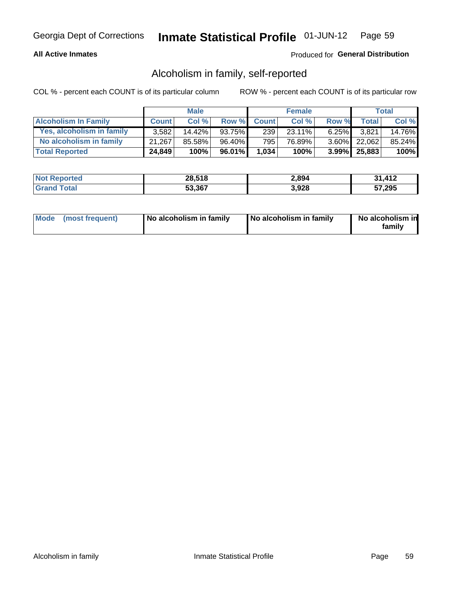## **All Active Inmates**

## Produced for General Distribution

## Alcoholism in family, self-reported

COL % - percent each COUNT is of its particular column

|                             |              | <b>Male</b> |              |              | <b>Female</b> |          |                   | Total  |
|-----------------------------|--------------|-------------|--------------|--------------|---------------|----------|-------------------|--------|
| <b>Alcoholism In Family</b> | <b>Count</b> | Col %       | <b>Row %</b> | <b>Count</b> | Col %         | Row %    | <b>Total</b>      | Col %  |
| Yes, alcoholism in family   | 3.582        | 14.42%      | 93.75%       | 239          | 23.11%        | $6.25\%$ | 3.821             | 14.76% |
| No alcoholism in family     | 21.267       | 85.58%      | 96.40%       | 795          | 76.89%        |          | 3.60% 22,062      | 85.24% |
| <b>Total Reported</b>       | 24,849       | 100%        | 96.01%       | 1,034        | 100%          |          | $3.99\%$   25,883 | 100%   |

| <b>Not</b><br>Reported | 28,518 | 2,894 | 31412  |
|------------------------|--------|-------|--------|
| <i>i</i> otal          | 53,367 | 3,928 | 57,295 |

|  | Mode (most frequent) | No alcoholism in family | No alcoholism in family | No alcoholism in<br>family |
|--|----------------------|-------------------------|-------------------------|----------------------------|
|--|----------------------|-------------------------|-------------------------|----------------------------|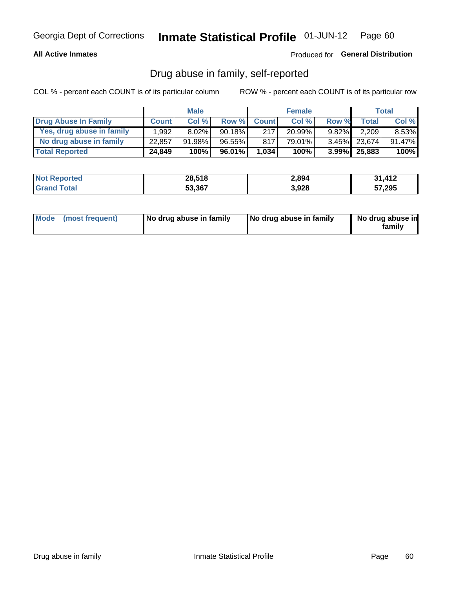## **All Active Inmates**

## Produced for General Distribution

## Drug abuse in family, self-reported

COL % - percent each COUNT is of its particular column

|                           |              | <b>Male</b> |           |              | <b>Female</b> |          |              | Total    |
|---------------------------|--------------|-------------|-----------|--------------|---------------|----------|--------------|----------|
| Drug Abuse In Family      | <b>Count</b> | Col%        | Row %     | <b>Count</b> | Col%          | Row %    | Total        | Col %    |
| Yes, drug abuse in family | 1,992        | $8.02\%$    | $90.18\%$ | 217          | 20.99%        | $9.82\%$ | 2,209        | $8.53\%$ |
| No drug abuse in family   | 22,857       | 91.98%      | $96.55\%$ | 817          | 79.01%        |          | 3.45% 23,674 | 91.47%   |
| <b>Total Reported</b>     | 24,849       | 100%        | 96.01%    | 1,034        | 100%          |          | 3.99% 25,883 | $100\%$  |

| <b>Not Reported</b> | 28,518 | 2,894 | 31412        |
|---------------------|--------|-------|--------------|
| <b>Grand Total</b>  | 53,367 | 3,928 | 57,295<br>э1 |

|  | Mode (most frequent) | No drug abuse in family | No drug abuse in family | No drug abuse in<br>familv |
|--|----------------------|-------------------------|-------------------------|----------------------------|
|--|----------------------|-------------------------|-------------------------|----------------------------|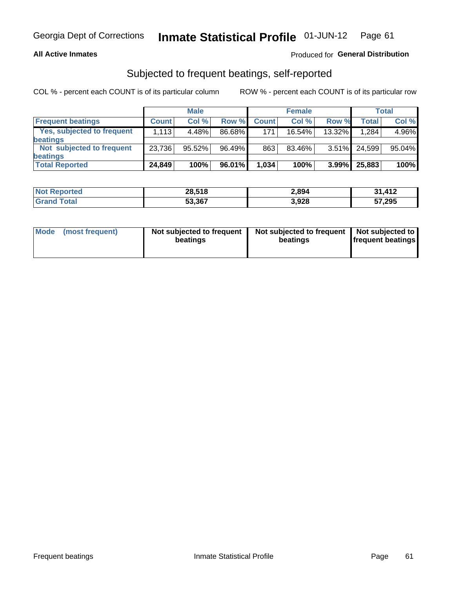### **All Active Inmates**

## Produced for General Distribution

## Subjected to frequent beatings, self-reported

COL % - percent each COUNT is of its particular column

|                                   |              | <b>Male</b> |        |              | <b>Female</b> |          |              | Total  |
|-----------------------------------|--------------|-------------|--------|--------------|---------------|----------|--------------|--------|
| <b>Frequent beatings</b>          | <b>Count</b> | Col %       | Row %  | <b>Count</b> | Col %         | Row %    | <b>Total</b> | Col%   |
| <b>Yes, subjected to frequent</b> | 1,113        | 4.48%       | 86.68% | 171          | 16.54%        | 13.32%   | 1,284        | 4.96%  |
| beatings                          |              |             |        |              |               |          |              |        |
| Not subjected to frequent         | 23,736       | 95.52%      | 96.49% | 863          | 83.46%        | $3.51\%$ | 24.599       | 95.04% |
| beatings                          |              |             |        |              |               |          |              |        |
| <b>Total Reported</b>             | 24,849       | 100%        | 96.01% | 1,034        | 100%          | $3.99\%$ | 25,883       | 100%   |

| <b>Not</b><br>Reported | 28,518 | 2,894 | 31,412 |
|------------------------|--------|-------|--------|
| Total                  | 53,367 | 3,928 | 57,295 |

| (most frequent)<br>Not subjected to frequent<br>Mode<br>beatings | Not subjected to frequent   Not subjected to<br>beatings | <b>frequent beatings</b> |
|------------------------------------------------------------------|----------------------------------------------------------|--------------------------|
|------------------------------------------------------------------|----------------------------------------------------------|--------------------------|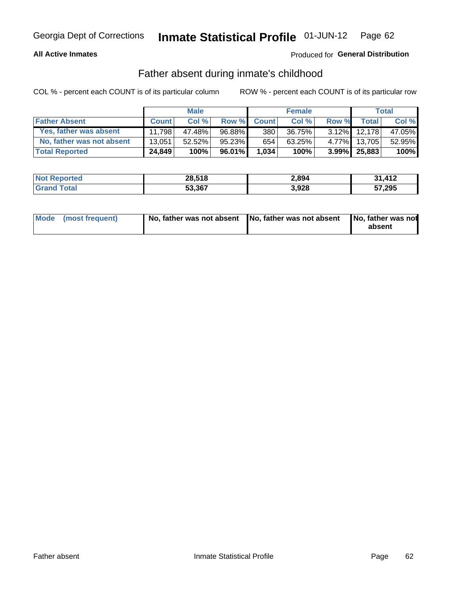## **All Active Inmates**

## Produced for General Distribution

## Father absent during inmate's childhood

COL % - percent each COUNT is of its particular column

|                           |              | <b>Male</b> |        |              | <b>Female</b> |          |                   | Total  |
|---------------------------|--------------|-------------|--------|--------------|---------------|----------|-------------------|--------|
| <b>Father Absent</b>      | <b>Count</b> | Col%        | Row %  | <b>Count</b> | Col %         | Row %    | <b>Total</b>      | Col %  |
| Yes, father was absent    | 11.798       | 47.48%      | 96.88% | 380          | 36.75%        | $3.12\%$ | 12.178            | 47.05% |
| No, father was not absent | 13.051       | 52.52%      | 95.23% | 654          | 63.25%        | $4.77\%$ | 13.705            | 52.95% |
| <b>Total Reported</b>     | 24,849       | 100%        | 96.01% | 1,034        | 100%          |          | $3.99\%$   25,883 | 100%   |

| <b>Not Reported</b> | 28,518 | 2,894 | 31,412 |
|---------------------|--------|-------|--------|
| <b>Grand Total</b>  | 53,367 | 3,928 | 57,295 |

|  | Mode (most frequent) |  | No, father was not absent No, father was not absent No, father was not | absent |
|--|----------------------|--|------------------------------------------------------------------------|--------|
|--|----------------------|--|------------------------------------------------------------------------|--------|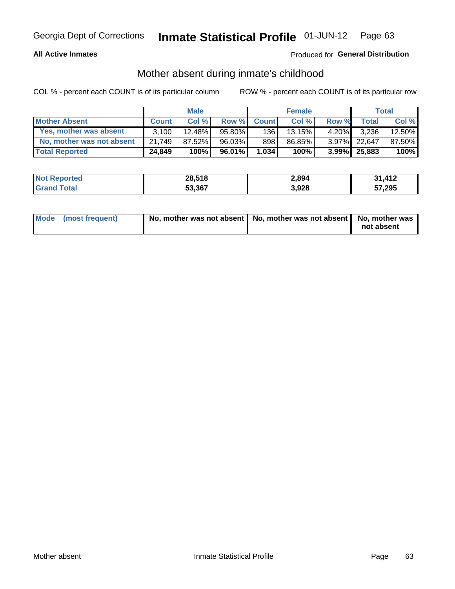## **All Active Inmates**

## Produced for General Distribution

## Mother absent during inmate's childhood

COL % - percent each COUNT is of its particular column

|                           |              | <b>Male</b> |        |              | <b>Female</b> |          |              | Total  |
|---------------------------|--------------|-------------|--------|--------------|---------------|----------|--------------|--------|
| <b>Mother Absent</b>      | <b>Count</b> | Col%        | Row %  | <b>Count</b> | Col %         | Row %    | <b>Total</b> | Col %  |
| Yes, mother was absent    | 3.100        | 12.48%      | 95.80% | 136          | 13.15%        | $4.20\%$ | 3,236        | 12.50% |
| No, mother was not absent | 21.749       | 87.52%      | 96.03% | 898          | 86.85%        | $3.97\%$ | 22.647       | 87.50% |
| <b>Total Reported</b>     | 24,849       | 100%        | 96.01% | 1,034        | 100%          | $3.99\%$ | 25,883       | 100%   |

| <b>Not</b><br>Reported | 28,518 | 2,894 | 31412  |
|------------------------|--------|-------|--------|
| <i>i</i> otal          | 53,367 | 3,928 | 57,295 |

| Mode (most frequent) | No, mother was not absent   No, mother was not absent   No, mother was | not absent |
|----------------------|------------------------------------------------------------------------|------------|
|----------------------|------------------------------------------------------------------------|------------|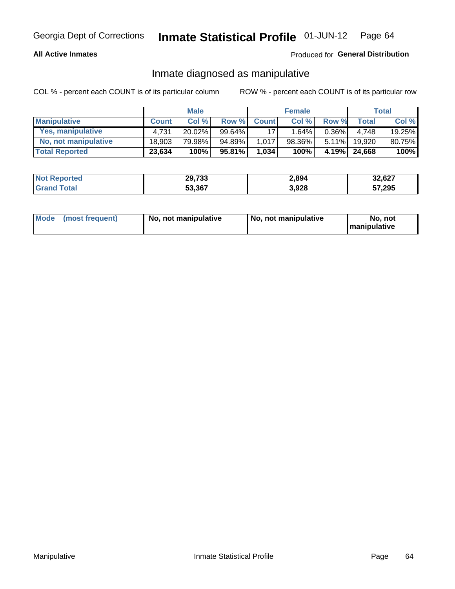### **All Active Inmates**

## Produced for General Distribution

## Inmate diagnosed as manipulative

COL % - percent each COUNT is of its particular column

|                       |              | <b>Male</b> |        |              | <b>Female</b> |          |              | Total  |
|-----------------------|--------------|-------------|--------|--------------|---------------|----------|--------------|--------|
| <b>Manipulative</b>   | <b>Count</b> | Col %       | Row %  | <b>Count</b> | Col%          | Row %    | <b>Total</b> | Col %  |
| Yes, manipulative     | 4.731        | 20.02%      | 99.64% | 17           | . .64% '      | $0.36\%$ | 4.748        | 19.25% |
| No, not manipulative  | 18,903       | 79.98%      | 94.89% | 1.017        | 98.36%        | $5.11\%$ | 19.920       | 80.75% |
| <b>Total Reported</b> | 23,634       | 100%        | 95.81% | 1,034        | 100%          | 4.19%    | 24.668       | 100%   |

| <b>Not Reported</b>   | 29,733 | 2,894 | 32,627 |
|-----------------------|--------|-------|--------|
| ⊺otal<br><b>Grand</b> | 53,367 | 3,928 | 57,295 |

| Mode | (most frequent) | No, not manipulative | No, not manipulative | No. not<br><b>I</b> manipulative |
|------|-----------------|----------------------|----------------------|----------------------------------|
|------|-----------------|----------------------|----------------------|----------------------------------|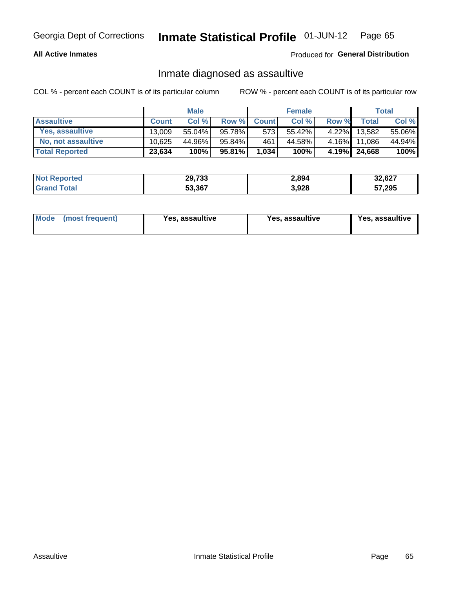### **All Active Inmates**

## Produced for General Distribution

## Inmate diagnosed as assaultive

COL % - percent each COUNT is of its particular column

|                       |              | <b>Male</b> |           |              | <b>Female</b> |          |              | Total  |
|-----------------------|--------------|-------------|-----------|--------------|---------------|----------|--------------|--------|
| <b>Assaultive</b>     | <b>Count</b> | Col%        | Row %     | <b>Count</b> | Col %         | Row %    | Total        | Col %  |
| Yes, assaultive       | 13.009       | $55.04\%$   | 95.78%    | 573          | 55.42%        | $4.22\%$ | 13,582       | 55.06% |
| No, not assaultive    | 10.625       | 44.96%      | 95.84%    | 461          | 44.58%        | $4.16\%$ | 11,086       | 44.94% |
| <b>Total Reported</b> | 23,634       | 100%        | $95.81\%$ | 1,034        | 100%          |          | 4.19% 24,668 | 100%   |

| <b>Not</b> | 29,733 | 2,894 | 32,627 |
|------------|--------|-------|--------|
| nta        | 53,367 | 3,928 | 57,295 |

| Mode (most frequent)<br>Yes, assaultive | Yes, assaultive | <b>Yes, assaultive</b> |
|-----------------------------------------|-----------------|------------------------|
|-----------------------------------------|-----------------|------------------------|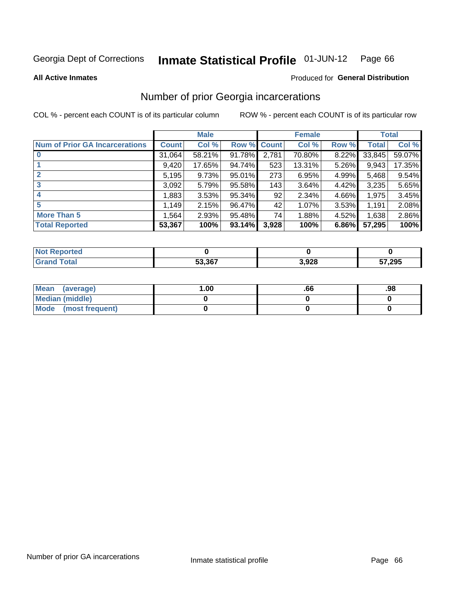#### Inmate Statistical Profile 01-JUN-12 Page 66

**All Active Inmates** 

### **Produced for General Distribution**

## Number of prior Georgia incarcerations

COL % - percent each COUNT is of its particular column

|                                       |              | <b>Male</b> |                    |       | <b>Female</b> |       |        | <b>Total</b> |
|---------------------------------------|--------------|-------------|--------------------|-------|---------------|-------|--------|--------------|
| <b>Num of Prior GA Incarcerations</b> | <b>Count</b> | Col %       | <b>Row % Count</b> |       | Col %         | Row % | Total  | Col %        |
|                                       | 31,064       | 58.21%      | 91.78%             | 2,781 | 70.80%        | 8.22% | 33,845 | 59.07%       |
|                                       | 9,420        | 17.65%      | 94.74%             | 523   | 13.31%        | 5.26% | 9,943  | 17.35%       |
| $\overline{2}$                        | 5,195        | 9.73%       | 95.01%             | 273   | 6.95%         | 4.99% | 5,468  | 9.54%        |
| 3                                     | 3,092        | 5.79%       | 95.58%             | 143   | 3.64%         | 4.42% | 3,235  | 5.65%        |
| $\boldsymbol{4}$                      | 1,883        | 3.53%       | 95.34%             | 92    | 2.34%         | 4.66% | 1,975  | 3.45%        |
| 5                                     | 1,149        | 2.15%       | 96.47%             | 42    | $1.07\%$      | 3.53% | 1,191  | 2.08%        |
| <b>More Than 5</b>                    | 1,564        | 2.93%       | 95.48%             | 74    | 1.88%         | 4.52% | 1,638  | 2.86%        |
| <b>Total Reported</b>                 | 53,367       | 100%        | 93.14%             | 3,928 | 100%          | 6.86% | 57,295 | 100%         |

| Reported<br><b>NOT</b> |        |       |        |
|------------------------|--------|-------|--------|
| Total<br>' Gra         | 53,367 | 3,928 | 57,295 |

| Mean (average)         | 1.00 | .00 | .98 |
|------------------------|------|-----|-----|
| <b>Median (middle)</b> |      |     |     |
| Mode (most frequent)   |      |     |     |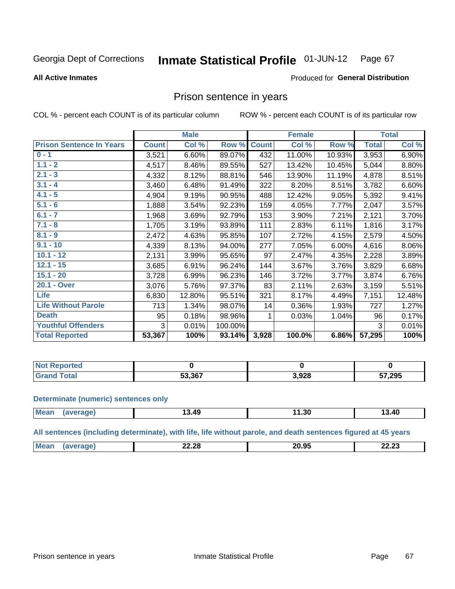#### **Inmate Statistical Profile 01-JUN-12** Page 67

**All Active Inmates** 

### Produced for General Distribution

## Prison sentence in years

COL % - percent each COUNT is of its particular column

ROW % - percent each COUNT is of its particular row

|                                 |              | <b>Male</b> |         |              | <b>Female</b> |        |              | <b>Total</b> |
|---------------------------------|--------------|-------------|---------|--------------|---------------|--------|--------------|--------------|
| <b>Prison Sentence In Years</b> | <b>Count</b> | Col %       | Row %   | <b>Count</b> | Col %         | Row %  | <b>Total</b> | Col %        |
| $0 - 1$                         | 3,521        | 6.60%       | 89.07%  | 432          | 11.00%        | 10.93% | 3,953        | 6.90%        |
| $1.1 - 2$                       | 4,517        | 8.46%       | 89.55%  | 527          | 13.42%        | 10.45% | 5,044        | 8.80%        |
| $2.1 - 3$                       | 4,332        | 8.12%       | 88.81%  | 546          | 13.90%        | 11.19% | 4,878        | 8.51%        |
| $3.1 - 4$                       | 3,460        | 6.48%       | 91.49%  | 322          | 8.20%         | 8.51%  | 3,782        | 6.60%        |
| $4.1 - 5$                       | 4,904        | 9.19%       | 90.95%  | 488          | 12.42%        | 9.05%  | 5,392        | 9.41%        |
| $5.1 - 6$                       | 1,888        | 3.54%       | 92.23%  | 159          | 4.05%         | 7.77%  | 2,047        | 3.57%        |
| $6.1 - 7$                       | 1,968        | 3.69%       | 92.79%  | 153          | 3.90%         | 7.21%  | 2,121        | 3.70%        |
| $7.1 - 8$                       | 1,705        | 3.19%       | 93.89%  | 111          | 2.83%         | 6.11%  | 1,816        | 3.17%        |
| $8.1 - 9$                       | 2,472        | 4.63%       | 95.85%  | 107          | 2.72%         | 4.15%  | 2,579        | 4.50%        |
| $9.1 - 10$                      | 4,339        | 8.13%       | 94.00%  | 277          | 7.05%         | 6.00%  | 4,616        | 8.06%        |
| $10.1 - 12$                     | 2,131        | 3.99%       | 95.65%  | 97           | 2.47%         | 4.35%  | 2,228        | 3.89%        |
| $12.1 - 15$                     | 3,685        | 6.91%       | 96.24%  | 144          | 3.67%         | 3.76%  | 3,829        | 6.68%        |
| $15.1 - 20$                     | 3,728        | 6.99%       | 96.23%  | 146          | 3.72%         | 3.77%  | 3,874        | 6.76%        |
| 20.1 - Over                     | 3,076        | 5.76%       | 97.37%  | 83           | 2.11%         | 2.63%  | 3,159        | 5.51%        |
| <b>Life</b>                     | 6,830        | 12.80%      | 95.51%  | 321          | 8.17%         | 4.49%  | 7,151        | 12.48%       |
| <b>Life Without Parole</b>      | 713          | 1.34%       | 98.07%  | 14           | 0.36%         | 1.93%  | 727          | 1.27%        |
| <b>Death</b>                    | 95           | 0.18%       | 98.96%  |              | 0.03%         | 1.04%  | 96           | 0.17%        |
| <b>Youthful Offenders</b>       | 3            | 0.01%       | 100.00% |              |               |        | 3            | 0.01%        |
| <b>Total Reported</b>           | 53,367       | 100%        | 93.14%  | 3,928        | $100.0\%$     | 6.86%  | 57,295       | 100%         |

| oorted<br>I NOT |        |      |        |
|-----------------|--------|------|--------|
|                 | 53.367 | 928, | 57,295 |

### **Determinate (numeric) sentences only**

| Mean | 'апе | .3.49 | 1.30 | 3.40 |
|------|------|-------|------|------|
|      |      |       |      |      |

All sentences (including determinate), with life, life without parole, and death sentences figured at 45 years

| 00 AF<br>M<br>つつ つぬ<br>00.00<br><b>111</b><br>v.J.<br><i>__</i> __<br>-----<br>____ |  |  |  |
|-------------------------------------------------------------------------------------|--|--|--|
|                                                                                     |  |  |  |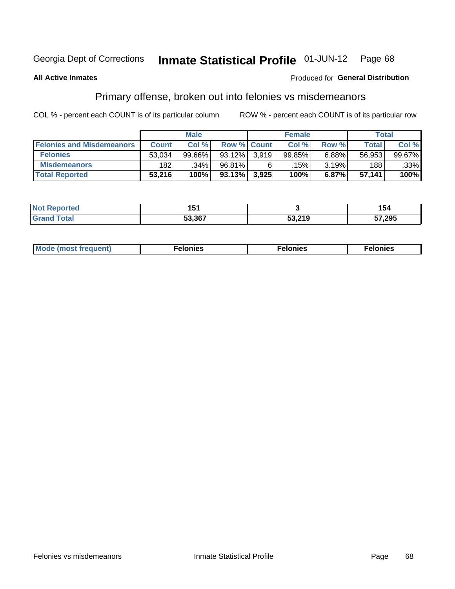#### Inmate Statistical Profile 01-JUN-12 Page 68

### **All Active Inmates**

### **Produced for General Distribution**

## Primary offense, broken out into felonies vs misdemeanors

COL % - percent each COUNT is of its particular column

|                                  |              | <b>Male</b> |                    |       | <b>Female</b> |       | Total  |                 |
|----------------------------------|--------------|-------------|--------------------|-------|---------------|-------|--------|-----------------|
| <b>Felonies and Misdemeanors</b> | <b>Count</b> | Col %       | <b>Row % Count</b> |       | Col %         | Row % | Total, | Col %           |
| <b>Felonies</b>                  | 53,034       | 99.66%      | $93.12\%$          | 3.919 | 99.85%        | 6.88% | 56,953 | 99.67% <b>I</b> |
| <b>Misdemeanors</b>              | 182          | .34%        | 96.81%             | 6     | $.15\%$       | 3.19% | 188    | .33%            |
| <b>Total Reported</b>            | 53,216       | 100%        | $93.13\%$          | 3,925 | 100%          | 6.87% | 57,141 | 100%            |

| ted<br>NO. | - -<br>י טו |                   | 54     |
|------------|-------------|-------------------|--------|
| ⊺ota⊾      | 53.367      | E2 210<br>ວວ.∠ ເສ | 57,295 |

| M      | .    | nes | onies |
|--------|------|-----|-------|
| nuenti | ____ | .   | .     |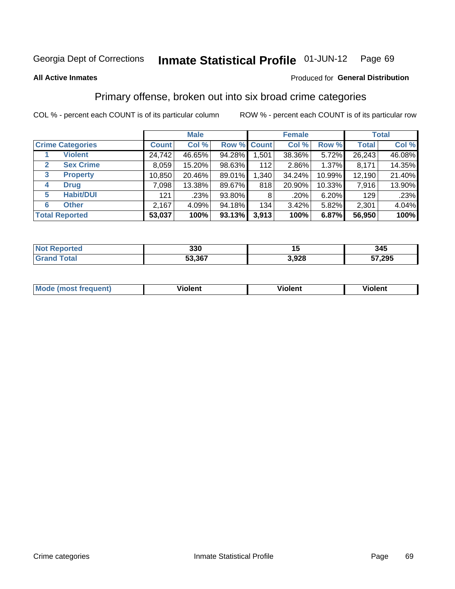### **All Active Inmates**

### Produced for **General Distribution**

## Primary offense, broken out into six broad crime categories

|                                 |              | <b>Male</b> |        |                    | <b>Female</b> |        |              | <b>Total</b> |  |
|---------------------------------|--------------|-------------|--------|--------------------|---------------|--------|--------------|--------------|--|
| <b>Crime Categories</b>         | <b>Count</b> | Col %       |        | <b>Row % Count</b> | Col %         | Row %  | <b>Total</b> | Col %        |  |
| <b>Violent</b>                  | 24,742       | 46.65%      | 94.28% | 1,501              | 38.36%        | 5.72%  | 26,243       | 46.08%       |  |
| <b>Sex Crime</b><br>2           | 8,059        | 15.20%      | 98.63% | 112                | 2.86%         | 1.37%  | 8,171        | 14.35%       |  |
| $\mathbf{3}$<br><b>Property</b> | 10,850       | 20.46%      | 89.01% | 1,340              | 34.24%        | 10.99% | 12,190       | 21.40%       |  |
| <b>Drug</b><br>4                | 7,098        | 13.38%      | 89.67% | 818                | 20.90%        | 10.33% | 7,916        | 13.90%       |  |
| <b>Habit/DUI</b><br>5           | 121          | .23%        | 93.80% | 8                  | .20%          | 6.20%  | 129          | .23%         |  |
| <b>Other</b><br>6               | 2,167        | 4.09%       | 94.18% | 134                | 3.42%         | 5.82%  | 2,301        | 4.04%        |  |
| <b>Total Reported</b>           | 53,037       | 100%        | 93.13% | 3,913              | 100%          | 6.87%  | 56,950       | 100%         |  |

| Reported<br><b>NOT</b> | 330    | יי    | 345    |
|------------------------|--------|-------|--------|
| Total                  | 53,367 | 3,928 | 57,295 |

| Mode<br>freauent)<br>anst tr | .<br>/iolent | <br>Violent | .<br><b>Tiolent</b> |
|------------------------------|--------------|-------------|---------------------|
|                              |              |             |                     |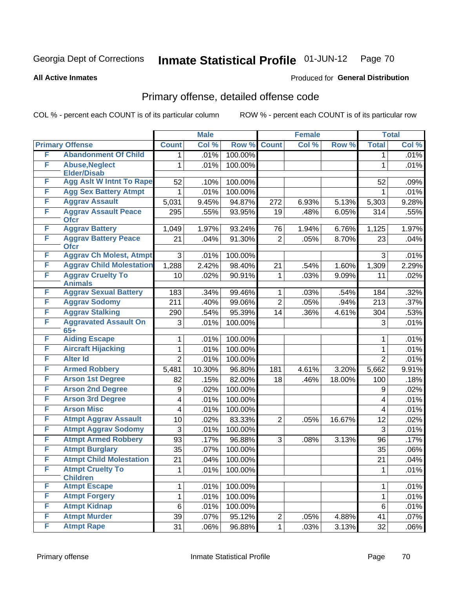Produced for **General Distribution**

### **All Active Inmates**

## Primary offense, detailed offense code

|   |                                             |                 | <b>Male</b> |         |                | <b>Female</b> |        |                   | <b>Total</b> |
|---|---------------------------------------------|-----------------|-------------|---------|----------------|---------------|--------|-------------------|--------------|
|   | <b>Primary Offense</b>                      | <b>Count</b>    | Col %       | Row %   | <b>Count</b>   | Col %         | Row %  | <b>Total</b>      | Col %        |
| F | <b>Abandonment Of Child</b>                 | 1.              | .01%        | 100.00% |                |               |        | $\mathbf 1$       | .01%         |
| F | <b>Abuse, Neglect</b><br><b>Elder/Disab</b> | 1               | .01%        | 100.00% |                |               |        | $\mathbf{1}$      | .01%         |
| F | <b>Agg Aslt W Intnt To Rape</b>             | 52              | .10%        | 100.00% |                |               |        | 52                | .09%         |
| F | <b>Agg Sex Battery Atmpt</b>                | 1               | .01%        | 100.00% |                |               |        | 1                 | .01%         |
| F | <b>Aggrav Assault</b>                       | 5,031           | 9.45%       | 94.87%  | 272            | 6.93%         | 5.13%  | 5,303             | 9.28%        |
| F | <b>Aggrav Assault Peace</b><br><b>Ofcr</b>  | 295             | .55%        | 93.95%  | 19             | .48%          | 6.05%  | 314               | .55%         |
| F | <b>Aggrav Battery</b>                       | 1,049           | 1.97%       | 93.24%  | 76             | 1.94%         | 6.76%  | 1,125             | 1.97%        |
| F | <b>Aggrav Battery Peace</b><br><b>Ofcr</b>  | 21              | .04%        | 91.30%  | $\overline{2}$ | .05%          | 8.70%  | 23                | .04%         |
| F | <b>Aggrav Ch Molest, Atmpt</b>              | 3               | .01%        | 100.00% |                |               |        | 3                 | .01%         |
| F | <b>Aggrav Child Molestation</b>             | 1,288           | 2.42%       | 98.40%  | 21             | .54%          | 1.60%  | 1,309             | 2.29%        |
| F | <b>Aggrav Cruelty To</b><br><b>Animals</b>  | 10              | .02%        | 90.91%  | 1              | .03%          | 9.09%  | 11                | .02%         |
| F | <b>Aggrav Sexual Battery</b>                | 183             | .34%        | 99.46%  | 1              | .03%          | .54%   | 184               | .32%         |
| F | <b>Aggrav Sodomy</b>                        | 211             | .40%        | 99.06%  | $\overline{2}$ | .05%          | .94%   | $\overline{2}$ 13 | .37%         |
| F | <b>Aggrav Stalking</b>                      | 290             | .54%        | 95.39%  | 14             | .36%          | 4.61%  | 304               | .53%         |
| F | <b>Aggravated Assault On</b><br>$65+$       | 3               | .01%        | 100.00% |                |               |        | 3                 | .01%         |
| F | <b>Aiding Escape</b>                        | 1               | .01%        | 100.00% |                |               |        | 1                 | .01%         |
| F | <b>Aircraft Hijacking</b>                   | 1               | .01%        | 100.00% |                |               |        | $\mathbf 1$       | .01%         |
| F | <b>Alter Id</b>                             | $\overline{2}$  | .01%        | 100.00% |                |               |        | $\overline{2}$    | .01%         |
| F | <b>Armed Robbery</b>                        | 5,481           | 10.30%      | 96.80%  | 181            | 4.61%         | 3.20%  | 5,662             | 9.91%        |
| F | <b>Arson 1st Degree</b>                     | 82              | .15%        | 82.00%  | 18             | .46%          | 18.00% | 100               | .18%         |
| F | <b>Arson 2nd Degree</b>                     | 9               | .02%        | 100.00% |                |               |        | 9                 | .02%         |
| F | <b>Arson 3rd Degree</b>                     | 4               | .01%        | 100.00% |                |               |        | 4                 | .01%         |
| F | <b>Arson Misc</b>                           | 4               | .01%        | 100.00% |                |               |        | 4                 | .01%         |
| F | <b>Atmpt Aggrav Assault</b>                 | 10              | .02%        | 83.33%  | $\overline{2}$ | .05%          | 16.67% | 12                | .02%         |
| F | <b>Atmpt Aggrav Sodomy</b>                  | 3               | .01%        | 100.00% |                |               |        | 3                 | .01%         |
| F | <b>Atmpt Armed Robbery</b>                  | 93              | .17%        | 96.88%  | 3              | .08%          | 3.13%  | 96                | .17%         |
| F | <b>Atmpt Burglary</b>                       | 35              | .07%        | 100.00% |                |               |        | 35                | .06%         |
| F | <b>Atmpt Child Molestation</b>              | $\overline{21}$ | .04%        | 100.00% |                |               |        | 21                | .04%         |
| F | <b>Atmpt Cruelty To</b><br><b>Children</b>  | 1               | .01%        | 100.00% |                |               |        | $\mathbf{1}$      | .01%         |
| F | <b>Atmpt Escape</b>                         | 1               | .01%        | 100.00% |                |               |        | $\mathbf{1}$      | .01%         |
| F | <b>Atmpt Forgery</b>                        | 1               | .01%        | 100.00% |                |               |        | 1                 | .01%         |
| F | <b>Atmpt Kidnap</b>                         | $\,6$           | .01%        | 100.00% |                |               |        | 6                 | .01%         |
| F | <b>Atmpt Murder</b>                         | 39              | .07%        | 95.12%  | $\overline{2}$ | .05%          | 4.88%  | 41                | .07%         |
| F | <b>Atmpt Rape</b>                           | 31              | .06%        | 96.88%  | $\mathbf{1}$   | .03%          | 3.13%  | 32                | .06%         |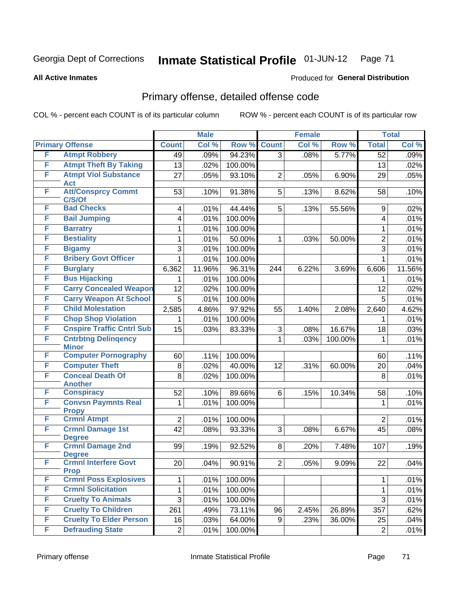### **All Active Inmates**

## Produced for **General Distribution**

## Primary offense, detailed offense code

|   |                                            |                 | <b>Male</b> |         |                | <b>Female</b> |         |                 | <b>Total</b> |
|---|--------------------------------------------|-----------------|-------------|---------|----------------|---------------|---------|-----------------|--------------|
|   | <b>Primary Offense</b>                     | <b>Count</b>    | Col %       | Row %   | <b>Count</b>   | Col %         | Row %   | <b>Total</b>    | Col %        |
| F | <b>Atmpt Robbery</b>                       | 49              | .09%        | 94.23%  | $\overline{3}$ | .08%          | 5.77%   | $\overline{52}$ | .09%         |
| F | <b>Atmpt Theft By Taking</b>               | 13              | .02%        | 100.00% |                |               |         | 13              | .02%         |
| F | <b>Atmpt Viol Substance</b><br>Act         | 27              | .05%        | 93.10%  | $\overline{2}$ | .05%          | 6.90%   | 29              | .05%         |
| F | <b>Att/Consprcy Commt</b><br>C/S/Of        | 53              | .10%        | 91.38%  | 5              | .13%          | 8.62%   | 58              | .10%         |
| F | <b>Bad Checks</b>                          | 4               | .01%        | 44.44%  | 5              | .13%          | 55.56%  | 9               | .02%         |
| F | <b>Bail Jumping</b>                        | 4               | .01%        | 100.00% |                |               |         | 4               | .01%         |
| F | <b>Barratry</b>                            | 1               | .01%        | 100.00% |                |               |         | 1               | .01%         |
| F | <b>Bestiality</b>                          | 1               | .01%        | 50.00%  | 1              | .03%          | 50.00%  | $\overline{2}$  | .01%         |
| F | <b>Bigamy</b>                              | 3               | .01%        | 100.00% |                |               |         | 3               | .01%         |
| F | <b>Bribery Govt Officer</b>                | 1               | .01%        | 100.00% |                |               |         | 1               | .01%         |
| F | <b>Burglary</b>                            | 6,362           | 11.96%      | 96.31%  | 244            | 6.22%         | 3.69%   | 6,606           | 11.56%       |
| F | <b>Bus Hijacking</b>                       | 1               | .01%        | 100.00% |                |               |         | 1               | .01%         |
| F | <b>Carry Concealed Weapon</b>              | 12              | .02%        | 100.00% |                |               |         | 12              | .02%         |
| F | <b>Carry Weapon At School</b>              | 5               | .01%        | 100.00% |                |               |         | 5               | .01%         |
| F | <b>Child Molestation</b>                   | 2,585           | 4.86%       | 97.92%  | 55             | 1.40%         | 2.08%   | 2,640           | 4.62%        |
| F | <b>Chop Shop Violation</b>                 | 1               | .01%        | 100.00% |                |               |         | 1               | .01%         |
| F | <b>Cnspire Traffic Cntrl Sub</b>           | 15              | .03%        | 83.33%  | 3              | .08%          | 16.67%  | 18              | .03%         |
| F | <b>Cntrbtng Delingency</b><br><b>Minor</b> |                 |             |         | 1              | .03%          | 100.00% | 1               | .01%         |
| F | <b>Computer Pornography</b>                | 60              | .11%        | 100.00% |                |               |         | 60              | .11%         |
| F | <b>Computer Theft</b>                      | 8               | .02%        | 40.00%  | 12             | .31%          | 60.00%  | 20              | .04%         |
| F | <b>Conceal Death Of</b><br><b>Another</b>  | 8               | .02%        | 100.00% |                |               |         | 8               | .01%         |
| F | <b>Conspiracy</b>                          | 52              | .10%        | 89.66%  | 6              | .15%          | 10.34%  | 58              | .10%         |
| F | <b>Convsn Paymnts Real</b><br><b>Propy</b> | 1               | .01%        | 100.00% |                |               |         | 1               | .01%         |
| F | <b>Crmnl Atmpt</b>                         | $\overline{2}$  | .01%        | 100.00% |                |               |         | $\overline{2}$  | .01%         |
| F | <b>Crmnl Damage 1st</b><br><b>Degree</b>   | 42              | .08%        | 93.33%  | 3              | .08%          | 6.67%   | 45              | .08%         |
| F | <b>Crmnl Damage 2nd</b><br><b>Degree</b>   | 99              | .19%        | 92.52%  | 8              | .20%          | 7.48%   | 107             | .19%         |
| F | <b>Crmnl Interfere Govt</b><br><b>Prop</b> | 20 <sup>°</sup> | .04%        | 90.91%  | $\overline{2}$ | .05%          | 9.09%   | 22              | .04%         |
| F | <b>Crmnl Poss Explosives</b>               | 1               | .01%        | 100.00% |                |               |         | 1               | .01%         |
| F | <b>Crmnl Solicitation</b>                  | 1               | .01%        | 100.00% |                |               |         | 1               | .01%         |
| F | <b>Cruelty To Animals</b>                  | 3               | .01%        | 100.00% |                |               |         | 3               | .01%         |
| F | <b>Cruelty To Children</b>                 | 261             | .49%        | 73.11%  | 96             | 2.45%         | 26.89%  | 357             | .62%         |
| F | <b>Cruelty To Elder Person</b>             | 16              | .03%        | 64.00%  | 9              | .23%          | 36.00%  | 25              | .04%         |
| F | <b>Defrauding State</b>                    | $\overline{2}$  | .01%        | 100.00% |                |               |         | $\overline{2}$  | .01%         |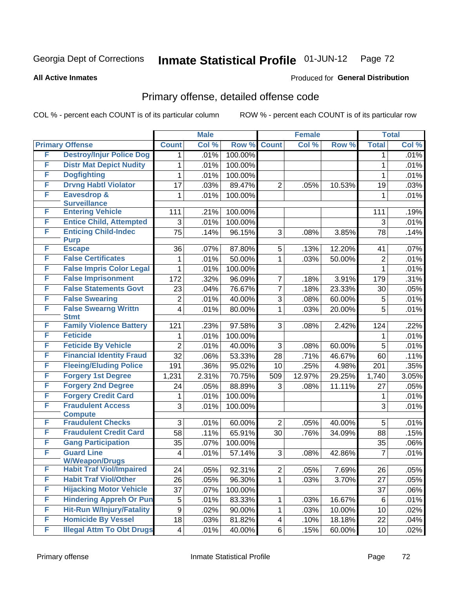**All Active Inmates**

## Produced for **General Distribution**

## Primary offense, detailed offense code

|   |                                            |                         | <b>Male</b> |         |                | <b>Female</b> |        |                | <b>Total</b>       |
|---|--------------------------------------------|-------------------------|-------------|---------|----------------|---------------|--------|----------------|--------------------|
|   | <b>Primary Offense</b>                     | <b>Count</b>            | Col %       | Row %   | <b>Count</b>   | Col %         | Row %  | <b>Total</b>   | Col %              |
| F | <b>Destroy/Injur Police Dog</b>            | 1                       | .01%        | 100.00% |                |               |        | 1              | .01%               |
| F | <b>Distr Mat Depict Nudity</b>             | 1                       | .01%        | 100.00% |                |               |        | 1              | .01%               |
| F | <b>Dogfighting</b>                         | 1                       | .01%        | 100.00% |                |               |        | 1              | .01%               |
| F | <b>Drvng Habtl Violator</b>                | 17                      | .03%        | 89.47%  | $\overline{2}$ | .05%          | 10.53% | 19             | .03%               |
| F | <b>Eavesdrop &amp;</b>                     | 1                       | .01%        | 100.00% |                |               |        | 1              | .01%               |
|   | <b>Surveillance</b>                        |                         |             |         |                |               |        |                |                    |
| F | <b>Entering Vehicle</b>                    | 111                     | .21%        | 100.00% |                |               |        | 111            | .19%               |
| F | <b>Entice Child, Attempted</b>             | 3                       | .01%        | 100.00% |                |               |        | 3              | .01%               |
| F | <b>Enticing Child-Indec</b><br><b>Purp</b> | $\overline{75}$         | .14%        | 96.15%  | 3              | .08%          | 3.85%  | 78             | .14%               |
| F | <b>Escape</b>                              | 36                      | .07%        | 87.80%  | 5              | .13%          | 12.20% | 41             | .07%               |
| F | <b>False Certificates</b>                  | 1                       | .01%        | 50.00%  | $\mathbf{1}$   | .03%          | 50.00% | $\overline{2}$ | .01%               |
| F | <b>False Impris Color Legal</b>            | 1                       | .01%        | 100.00% |                |               |        | $\mathbf 1$    | .01%               |
| F | <b>False Imprisonment</b>                  | 172                     | .32%        | 96.09%  | $\overline{7}$ | .18%          | 3.91%  | 179            | .31%               |
| F | <b>False Statements Govt</b>               | 23                      | .04%        | 76.67%  | $\overline{7}$ | .18%          | 23.33% | 30             | .05%               |
| F | <b>False Swearing</b>                      | $\overline{2}$          | .01%        | 40.00%  | 3              | .08%          | 60.00% | 5              | .01%               |
| F | <b>False Swearng Writtn</b>                | $\overline{\mathbf{4}}$ | .01%        | 80.00%  | $\mathbf{1}$   | .03%          | 20.00% | $\overline{5}$ | .01%               |
|   | <b>Stmt</b>                                |                         |             |         |                |               |        |                |                    |
| F | <b>Family Violence Battery</b>             | 121                     | .23%        | 97.58%  | 3              | .08%          | 2.42%  | 124            | $\overline{.22\%}$ |
| F | <b>Feticide</b>                            | 1                       | .01%        | 100.00% |                |               |        | 1              | .01%               |
| F | <b>Feticide By Vehicle</b>                 | $\overline{2}$          | .01%        | 40.00%  | 3              | .08%          | 60.00% | 5              | .01%               |
| F | <b>Financial Identity Fraud</b>            | 32                      | .06%        | 53.33%  | 28             | .71%          | 46.67% | 60             | .11%               |
| F | <b>Fleeing/Eluding Police</b>              | 191                     | .36%        | 95.02%  | 10             | .25%          | 4.98%  | 201            | .35%               |
| F | <b>Forgery 1st Degree</b>                  | 1,231                   | 2.31%       | 70.75%  | 509            | 12.97%        | 29.25% | 1,740          | 3.05%              |
| F | <b>Forgery 2nd Degree</b>                  | 24                      | .05%        | 88.89%  | 3              | .08%          | 11.11% | 27             | .05%               |
| F | <b>Forgery Credit Card</b>                 | 1                       | .01%        | 100.00% |                |               |        | 1              | .01%               |
| F | <b>Fraudulent Access</b>                   | 3                       | .01%        | 100.00% |                |               |        | 3              | .01%               |
| F | <b>Compute</b><br><b>Fraudulent Checks</b> | 3                       | .01%        | 60.00%  | $\overline{2}$ | .05%          | 40.00% | 5              | .01%               |
| F | <b>Fraudulent Credit Card</b>              | $\overline{58}$         | .11%        | 65.91%  | 30             | .76%          | 34.09% | 88             | .15%               |
| F | <b>Gang Participation</b>                  | 35                      | .07%        | 100.00% |                |               |        | 35             | .06%               |
| F | <b>Guard Line</b>                          | $\overline{\mathbf{4}}$ | .01%        | 57.14%  | 3              | .08%          | 42.86% | $\overline{7}$ | .01%               |
|   | <b>W/Weapon/Drugs</b>                      |                         |             |         |                |               |        |                |                    |
| F | <b>Habit Traf Viol/Impaired</b>            | 24                      | .05%        | 92.31%  | $\overline{2}$ | .05%          | 7.69%  | 26             | .05%               |
| F | <b>Habit Traf Viol/Other</b>               | 26                      | .05%        | 96.30%  | $\mathbf{1}$   | .03%          | 3.70%  | 27             | .05%               |
| F | <b>Hijacking Motor Vehicle</b>             | 37                      | .07%        | 100.00% |                |               |        | 37             | .06%               |
| F | <b>Hindering Appreh Or Pun</b>             | 5                       | .01%        | 83.33%  | $\mathbf 1$    | .03%          | 16.67% | 6              | .01%               |
| F | <b>Hit-Run W/Injury/Fatality</b>           | $\boldsymbol{9}$        | .02%        | 90.00%  | 1              | .03%          | 10.00% | 10             | .02%               |
| F | <b>Homicide By Vessel</b>                  | 18                      | .03%        | 81.82%  | $\overline{4}$ | .10%          | 18.18% | 22             | .04%               |
| F | <b>Illegal Attm To Obt Drugs</b>           | $\overline{\mathbf{4}}$ | .01%        | 40.00%  | 6 <sup>1</sup> | .15%          | 60.00% | 10             | .02%               |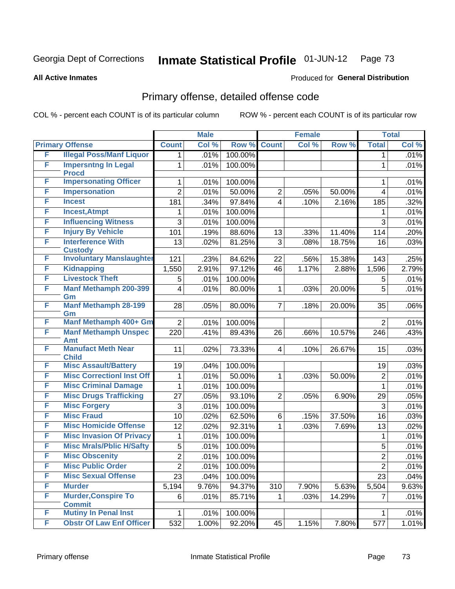**All Active Inmates**

#### Produced for **General Distribution**

# Primary offense, detailed offense code

|   |                                              |                         | <b>Male</b> |         |                | <b>Female</b> |        |                | <b>Total</b> |
|---|----------------------------------------------|-------------------------|-------------|---------|----------------|---------------|--------|----------------|--------------|
|   | <b>Primary Offense</b>                       | <b>Count</b>            | Col %       | Row %   | <b>Count</b>   | Col %         | Row %  | <b>Total</b>   | Col %        |
| F | <b>Illegal Poss/Manf Liquor</b>              | 1                       | .01%        | 100.00% |                |               |        | $\mathbf 1$    | .01%         |
| F | <b>Impersntng In Legal</b><br><b>Procd</b>   | 1                       | .01%        | 100.00% |                |               |        | 1              | .01%         |
| F | <b>Impersonating Officer</b>                 | 1                       | .01%        | 100.00% |                |               |        | 1              | .01%         |
| F | <b>Impersonation</b>                         | $\overline{2}$          | .01%        | 50.00%  | $\overline{2}$ | .05%          | 50.00% | $\overline{4}$ | .01%         |
| F | <b>Incest</b>                                | 181                     | .34%        | 97.84%  | $\overline{4}$ | .10%          | 2.16%  | 185            | .32%         |
| F | <b>Incest, Atmpt</b>                         | 1                       | .01%        | 100.00% |                |               |        | 1              | .01%         |
| F | <b>Influencing Witness</b>                   | 3                       | .01%        | 100.00% |                |               |        | 3              | .01%         |
| F | <b>Injury By Vehicle</b>                     | 101                     | .19%        | 88.60%  | 13             | .33%          | 11.40% | 114            | .20%         |
| F | <b>Interference With</b><br><b>Custody</b>   | 13                      | .02%        | 81.25%  | 3              | .08%          | 18.75% | 16             | .03%         |
| F | <b>Involuntary Manslaughter</b>              | 121                     | .23%        | 84.62%  | 22             | .56%          | 15.38% | 143            | .25%         |
| F | <b>Kidnapping</b>                            | 1,550                   | 2.91%       | 97.12%  | 46             | 1.17%         | 2.88%  | 1,596          | 2.79%        |
| F | <b>Livestock Theft</b>                       | 5                       | .01%        | 100.00% |                |               |        | 5              | .01%         |
| F | <b>Manf Methamph 200-399</b><br>Gm           | $\overline{\mathbf{4}}$ | .01%        | 80.00%  | $\mathbf{1}$   | .03%          | 20.00% | 5              | .01%         |
| F | <b>Manf Methamph 28-199</b><br>Gm            | 28                      | .05%        | 80.00%  | $\overline{7}$ | .18%          | 20.00% | 35             | .06%         |
| F | Manf Methamph 400+ Gm                        | $\overline{2}$          | .01%        | 100.00% |                |               |        | $\overline{2}$ | .01%         |
| F | <b>Manf Methamph Unspec</b><br><b>Amt</b>    | 220                     | .41%        | 89.43%  | 26             | .66%          | 10.57% | 246            | .43%         |
| F | <b>Manufact Meth Near</b><br><b>Child</b>    | 11                      | .02%        | 73.33%  | $\overline{4}$ | .10%          | 26.67% | 15             | .03%         |
| F | <b>Misc Assault/Battery</b>                  | 19                      | .04%        | 100.00% |                |               |        | 19             | .03%         |
| F | <b>Misc CorrectionI Inst Off</b>             | 1                       | .01%        | 50.00%  | $\mathbf{1}$   | .03%          | 50.00% | $\mathbf 2$    | .01%         |
| F | <b>Misc Criminal Damage</b>                  | 1                       | .01%        | 100.00% |                |               |        | $\mathbf{1}$   | .01%         |
| F | <b>Misc Drugs Trafficking</b>                | 27                      | .05%        | 93.10%  | $\overline{2}$ | .05%          | 6.90%  | 29             | .05%         |
| F | <b>Misc Forgery</b>                          | 3                       | .01%        | 100.00% |                |               |        | 3              | .01%         |
| F | <b>Misc Fraud</b>                            | 10                      | .02%        | 62.50%  | 6              | .15%          | 37.50% | 16             | .03%         |
| F | <b>Misc Homicide Offense</b>                 | 12                      | .02%        | 92.31%  | $\mathbf{1}$   | .03%          | 7.69%  | 13             | .02%         |
| F | <b>Misc Invasion Of Privacy</b>              | $\mathbf{1}$            | .01%        | 100.00% |                |               |        | $\mathbf{1}$   | .01%         |
| F | <b>Misc Mrals/Pblic H/Safty</b>              | 5                       | .01%        | 100.00% |                |               |        | 5              | .01%         |
| F | <b>Misc Obscenity</b>                        | $\overline{2}$          | .01%        | 100.00% |                |               |        | $\overline{2}$ | .01%         |
| F | <b>Misc Public Order</b>                     | $\overline{2}$          | .01%        | 100.00% |                |               |        | $\overline{2}$ | .01%         |
| F | <b>Misc Sexual Offense</b>                   | 23                      | .04%        | 100.00% |                |               |        | 23             | .04%         |
| F | <b>Murder</b>                                | 5,194                   | 9.76%       | 94.37%  | 310            | 7.90%         | 5.63%  | 5,504          | 9.63%        |
| F | <b>Murder, Conspire To</b>                   | 6                       | .01%        | 85.71%  | $\mathbf{1}$   | .03%          | 14.29% | $\overline{7}$ | .01%         |
| F | <b>Commit</b><br><b>Mutiny In Penal Inst</b> | 1                       | .01%        | 100.00% |                |               |        | 1              | .01%         |
| F | <b>Obstr Of Law Enf Officer</b>              | 532                     | 1.00%       | 92.20%  | 45             | 1.15%         | 7.80%  | 577            | 1.01%        |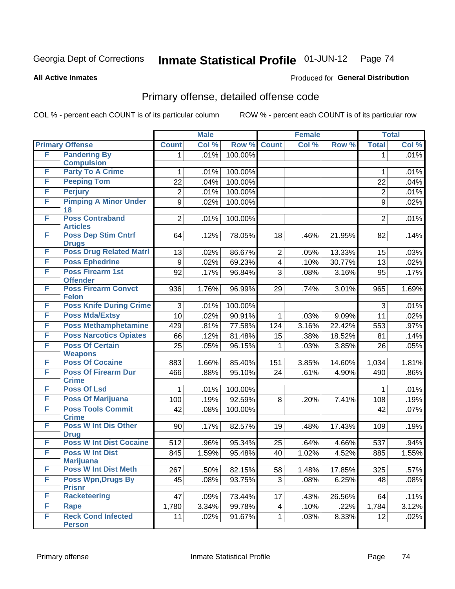Produced for **General Distribution**

#### **All Active Inmates**

# Primary offense, detailed offense code

|   |                                            |                | <b>Male</b> |         | <b>Female</b>  |       |        | <b>Total</b>   |       |
|---|--------------------------------------------|----------------|-------------|---------|----------------|-------|--------|----------------|-------|
|   | <b>Primary Offense</b>                     | <b>Count</b>   | Col %       | Row %   | <b>Count</b>   | Col % | Row %  | <b>Total</b>   | Col % |
| F | <b>Pandering By</b>                        | 1.             | .01%        | 100.00% |                |       |        | 1              | .01%  |
|   | <b>Compulsion</b>                          |                |             |         |                |       |        |                |       |
| F | <b>Party To A Crime</b>                    | 1              | .01%        | 100.00% |                |       |        | 1              | .01%  |
| F | <b>Peeping Tom</b>                         | 22             | .04%        | 100.00% |                |       |        | 22             | .04%  |
| F | <b>Perjury</b>                             | $\overline{2}$ | .01%        | 100.00% |                |       |        | $\overline{2}$ | .01%  |
| F | <b>Pimping A Minor Under</b><br>18         | 9              | .02%        | 100.00% |                |       |        | 9              | .02%  |
| F | <b>Poss Contraband</b><br><b>Articles</b>  | $\overline{2}$ | .01%        | 100.00% |                |       |        | $\overline{2}$ | .01%  |
| F | <b>Poss Dep Stim Cntrf</b><br><b>Drugs</b> | 64             | .12%        | 78.05%  | 18             | .46%  | 21.95% | 82             | .14%  |
| F | <b>Poss Drug Related Matri</b>             | 13             | .02%        | 86.67%  | $\overline{c}$ | .05%  | 13.33% | 15             | .03%  |
| F | <b>Poss Ephedrine</b>                      | 9              | .02%        | 69.23%  | 4              | .10%  | 30.77% | 13             | .02%  |
| F | <b>Poss Firearm 1st</b><br><b>Offender</b> | 92             | .17%        | 96.84%  | 3              | .08%  | 3.16%  | 95             | .17%  |
| F | <b>Poss Firearm Convct</b><br><b>Felon</b> | 936            | 1.76%       | 96.99%  | 29             | .74%  | 3.01%  | 965            | 1.69% |
| F | <b>Poss Knife During Crime</b>             | 3              | .01%        | 100.00% |                |       |        | 3              | .01%  |
| F | <b>Poss Mda/Extsy</b>                      | 10             | .02%        | 90.91%  | 1              | .03%  | 9.09%  | 11             | .02%  |
| F | <b>Poss Methamphetamine</b>                | 429            | .81%        | 77.58%  | 124            | 3.16% | 22.42% | 553            | .97%  |
| F | <b>Poss Narcotics Opiates</b>              | 66             | .12%        | 81.48%  | 15             | .38%  | 18.52% | 81             | .14%  |
| F | <b>Poss Of Certain</b>                     | 25             | .05%        | 96.15%  | 1              | .03%  | 3.85%  | 26             | .05%  |
|   | <b>Weapons</b>                             |                |             |         |                |       |        |                |       |
| F | <b>Poss Of Cocaine</b>                     | 883            | 1.66%       | 85.40%  | 151            | 3.85% | 14.60% | 1,034          | 1.81% |
| F | <b>Poss Of Firearm Dur</b><br><b>Crime</b> | 466            | .88%        | 95.10%  | 24             | .61%  | 4.90%  | 490            | .86%  |
| F | <b>Poss Of Lsd</b>                         | 1              | .01%        | 100.00% |                |       |        | 1              | .01%  |
| F | <b>Poss Of Marijuana</b>                   | 100            | .19%        | 92.59%  | 8              | .20%  | 7.41%  | 108            | .19%  |
| F | <b>Poss Tools Commit</b><br><b>Crime</b>   | 42             | .08%        | 100.00% |                |       |        | 42             | .07%  |
| F | <b>Poss W Int Dis Other</b><br><b>Drug</b> | 90             | .17%        | 82.57%  | 19             | .48%  | 17.43% | 109            | .19%  |
| F | <b>Poss W Int Dist Cocaine</b>             | 512            | .96%        | 95.34%  | 25             | .64%  | 4.66%  | 537            | .94%  |
| F | <b>Poss W Int Dist</b><br><b>Marijuana</b> | 845            | 1.59%       | 95.48%  | 40             | 1.02% | 4.52%  | 885            | 1.55% |
| F | <b>Poss W Int Dist Meth</b>                | 267            | .50%        | 82.15%  | 58             | 1.48% | 17.85% | 325            | .57%  |
| F | <b>Poss Wpn, Drugs By</b>                  | 45             | .08%        | 93.75%  | 3              | .08%  | 6.25%  | 48             | .08%  |
|   | <b>Prisnr</b>                              |                |             |         |                |       |        |                |       |
| F | <b>Racketeering</b>                        | 47             | .09%        | 73.44%  | 17             | .43%  | 26.56% | 64             | .11%  |
| F | Rape                                       | 1,780          | 3.34%       | 99.78%  | 4              | .10%  | .22%   | 1,784          | 3.12% |
| F | <b>Reck Cond Infected</b>                  | 11             | .02%        | 91.67%  | 1              | .03%  | 8.33%  | 12             | .02%  |
|   | <b>Person</b>                              |                |             |         |                |       |        |                |       |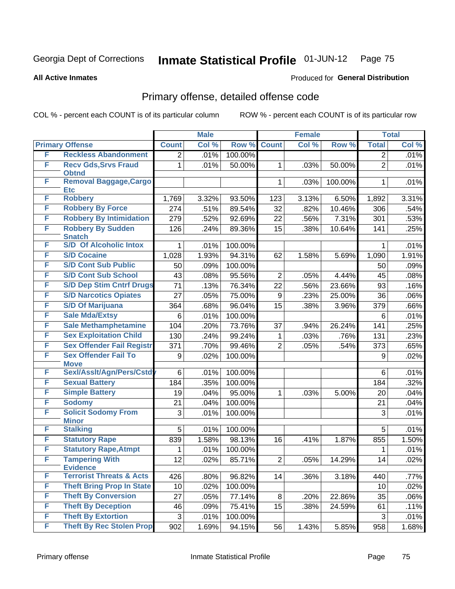**All Active Inmates**

#### Produced for **General Distribution**

# Primary offense, detailed offense code

|   |                                             |                  | <b>Male</b> |         | <b>Female</b>    |       |         | <b>Total</b>   |       |
|---|---------------------------------------------|------------------|-------------|---------|------------------|-------|---------|----------------|-------|
|   | <b>Primary Offense</b>                      | <b>Count</b>     | Col %       | Row %   | <b>Count</b>     | Col % | Row %   | <b>Total</b>   | Col % |
| F | <b>Reckless Abandonment</b>                 | $\overline{c}$   | .01%        | 100.00% |                  |       |         | $\overline{2}$ | .01%  |
| F | <b>Recv Gds, Srvs Fraud</b><br><b>Obtnd</b> | 1                | .01%        | 50.00%  | 1                | .03%  | 50.00%  | $\overline{2}$ | .01%  |
| F | Removal Baggage, Cargo<br><b>Etc</b>        |                  |             |         | $\mathbf{1}$     | .03%  | 100.00% | $\mathbf{1}$   | .01%  |
| F | <b>Robbery</b>                              | 1,769            | 3.32%       | 93.50%  | 123              | 3.13% | 6.50%   | 1,892          | 3.31% |
| F | <b>Robbery By Force</b>                     | 274              | .51%        | 89.54%  | 32               | .82%  | 10.46%  | 306            | .54%  |
| F | <b>Robbery By Intimidation</b>              | 279              | .52%        | 92.69%  | 22               | .56%  | 7.31%   | 301            | .53%  |
| F | <b>Robbery By Sudden</b><br><b>Snatch</b>   | 126              | .24%        | 89.36%  | 15               | .38%  | 10.64%  | 141            | .25%  |
| F | <b>S/D Of Alcoholic Intox</b>               | 1                | .01%        | 100.00% |                  |       |         | 1              | .01%  |
| F | <b>S/D Cocaine</b>                          | 1,028            | 1.93%       | 94.31%  | 62               | 1.58% | 5.69%   | 1,090          | 1.91% |
| F | <b>S/D Cont Sub Public</b>                  | 50               | .09%        | 100.00% |                  |       |         | 50             | .09%  |
| F | <b>S/D Cont Sub School</b>                  | 43               | .08%        | 95.56%  | $\overline{2}$   | .05%  | 4.44%   | 45             | .08%  |
| F | <b>S/D Dep Stim Cntrf Drugs</b>             | $\overline{71}$  | .13%        | 76.34%  | 22               | .56%  | 23.66%  | 93             | .16%  |
| F | <b>S/D Narcotics Opiates</b>                | 27               | .05%        | 75.00%  | $\boldsymbol{9}$ | .23%  | 25.00%  | 36             | .06%  |
| F | <b>S/D Of Marijuana</b>                     | 364              | .68%        | 96.04%  | 15               | .38%  | 3.96%   | 379            | .66%  |
| F | <b>Sale Mda/Extsy</b>                       | 6                | .01%        | 100.00% |                  |       |         | 6              | .01%  |
| F | <b>Sale Methamphetamine</b>                 | 104              | .20%        | 73.76%  | 37               | .94%  | 26.24%  | 141            | .25%  |
| F | <b>Sex Exploitation Child</b>               | 130              | .24%        | 99.24%  | 1                | .03%  | .76%    | 131            | .23%  |
| F | <b>Sex Offender Fail Registr</b>            | 371              | .70%        | 99.46%  | $\overline{2}$   | .05%  | .54%    | 373            | .65%  |
| F | <b>Sex Offender Fail To</b><br><b>Move</b>  | $\boldsymbol{9}$ | .02%        | 100.00% |                  |       |         | 9              | .02%  |
| F | Sexl/Asslt/Agn/Pers/Cstd                    | 6                | .01%        | 100.00% |                  |       |         | 6              | .01%  |
| F | <b>Sexual Battery</b>                       | 184              | .35%        | 100.00% |                  |       |         | 184            | .32%  |
| F | <b>Simple Battery</b>                       | 19               | .04%        | 95.00%  | 1                | .03%  | 5.00%   | 20             | .04%  |
| F | <b>Sodomy</b>                               | 21               | .04%        | 100.00% |                  |       |         | 21             | .04%  |
| F | <b>Solicit Sodomy From</b><br><b>Minor</b>  | 3                | .01%        | 100.00% |                  |       |         | 3              | .01%  |
| F | <b>Stalking</b>                             | 5                | .01%        | 100.00% |                  |       |         | 5              | .01%  |
| F | <b>Statutory Rape</b>                       | 839              | 1.58%       | 98.13%  | 16               | .41%  | 1.87%   | 855            | 1.50% |
| F | <b>Statutory Rape, Atmpt</b>                | 1                | .01%        | 100.00% |                  |       |         | 1              | .01%  |
| F | <b>Tampering With</b><br><b>Evidence</b>    | 12               | .02%        | 85.71%  | $\overline{2}$   | .05%  | 14.29%  | 14             | .02%  |
| F | <b>Terrorist Threats &amp; Acts</b>         | 426              | .80%        | 96.82%  | 14               | .36%  | 3.18%   | 440            | .77%  |
| F | <b>Theft Bring Prop In State</b>            | 10               | .02%        | 100.00% |                  |       |         | 10             | .02%  |
| F | <b>Theft By Conversion</b>                  | 27               | .05%        | 77.14%  | 8                | .20%  | 22.86%  | 35             | .06%  |
| F | <b>Theft By Deception</b>                   | 46               | .09%        | 75.41%  | 15               | .38%  | 24.59%  | 61             | .11%  |
| F | <b>Theft By Extortion</b>                   | $\sqrt{3}$       | .01%        | 100.00% |                  |       |         | 3              | .01%  |
| F | <b>Theft By Rec Stolen Prop</b>             | 902              | 1.69%       | 94.15%  | 56               | 1.43% | 5.85%   | 958            | 1.68% |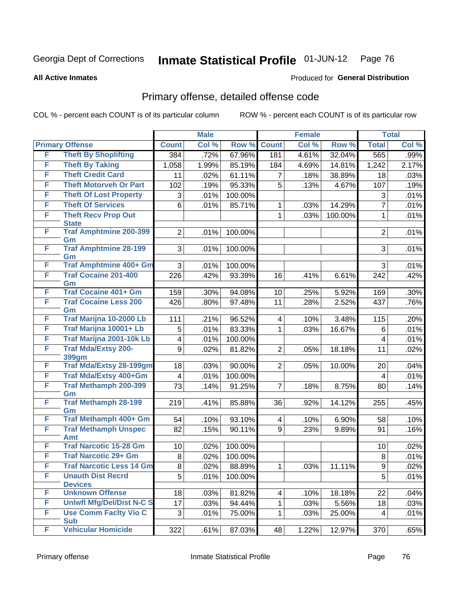Produced for **General Distribution**

#### **All Active Inmates**

# Primary offense, detailed offense code

|   |                                            |                | <b>Male</b> |                  |                | <b>Female</b> |         |                | <b>Total</b> |
|---|--------------------------------------------|----------------|-------------|------------------|----------------|---------------|---------|----------------|--------------|
|   | <b>Primary Offense</b>                     | <b>Count</b>   | Col %       | Row <sup>%</sup> | <b>Count</b>   | Col %         | Row %   | <b>Total</b>   | Col %        |
| F | <b>Theft By Shoplifting</b>                | 384            | .72%        | 67.96%           | 181            | 4.61%         | 32.04%  | 565            | .99%         |
| F | <b>Theft By Taking</b>                     | 1,058          | 1.99%       | 85.19%           | 184            | 4.69%         | 14.81%  | 1,242          | 2.17%        |
| F | <b>Theft Credit Card</b>                   | 11             | .02%        | 61.11%           | 7              | .18%          | 38.89%  | 18             | .03%         |
| F | <b>Theft Motorveh Or Part</b>              | 102            | .19%        | 95.33%           | 5              | .13%          | 4.67%   | 107            | .19%         |
| F | <b>Theft Of Lost Property</b>              | 3              | .01%        | 100.00%          |                |               |         | 3              | .01%         |
| F | <b>Theft Of Services</b>                   | 6              | .01%        | 85.71%           | 1              | .03%          | 14.29%  | $\overline{7}$ | .01%         |
| F | <b>Theft Recv Prop Out</b><br><b>State</b> |                |             |                  | 1              | .03%          | 100.00% | 1              | .01%         |
| F | <b>Traf Amphtmine 200-399</b><br>Gm        | $\overline{2}$ | .01%        | 100.00%          |                |               |         | $\overline{2}$ | .01%         |
| F | <b>Traf Amphtmine 28-199</b><br>Gm         | 3              | .01%        | 100.00%          |                |               |         | 3              | .01%         |
| F | <b>Traf Amphtmine 400+ Gm</b>              | 3              | .01%        | 100.00%          |                |               |         | 3              | .01%         |
| F | <b>Traf Cocaine 201-400</b><br>Gm          | 226            | .42%        | 93.39%           | 16             | .41%          | 6.61%   | 242            | .42%         |
| F | <b>Traf Cocaine 401+ Gm</b>                | 159            | .30%        | 94.08%           | 10             | .25%          | 5.92%   | 169            | .30%         |
| F | <b>Traf Cocaine Less 200</b><br>Gm         | 426            | .80%        | 97.48%           | 11             | .28%          | 2.52%   | 437            | .76%         |
| F | Traf Marijna 10-2000 Lb                    | 111            | .21%        | 96.52%           | $\overline{4}$ | .10%          | 3.48%   | 115            | .20%         |
| F | Traf Marijna 10001+ Lb                     | 5              | .01%        | 83.33%           | 1              | .03%          | 16.67%  | 6              | .01%         |
| F | Traf Marijna 2001-10k Lb                   | 4              | .01%        | 100.00%          |                |               |         | 4              | .01%         |
| F | <b>Traf Mda/Extsy 200-</b>                 | 9              | .02%        | 81.82%           | $\overline{2}$ | .05%          | 18.18%  | 11             | .02%         |
| F | 399gm<br><b>Traf Mda/Extsy 28-199gm</b>    |                |             |                  |                |               |         |                |              |
| F | Traf Mda/Extsy 400+Gm                      | 18             | .03%        | 90.00%           | $\overline{2}$ | .05%          | 10.00%  | 20             | .04%         |
| F | <b>Traf Methamph 200-399</b>               | 4<br>73        | .01%        | 100.00%          |                |               |         | 4              | .01%         |
|   | Gm                                         |                | .14%        | 91.25%           | 7              | .18%          | 8.75%   | 80             | .14%         |
| F | <b>Traf Methamph 28-199</b><br>Gm          | 219            | .41%        | 85.88%           | 36             | .92%          | 14.12%  | 255            | .45%         |
| F | Traf Methamph 400+ Gm                      | 54             | .10%        | 93.10%           | $\overline{4}$ | .10%          | 6.90%   | 58             | .10%         |
| F | <b>Traf Methamph Unspec</b><br>Amt         | 82             | .15%        | 90.11%           | 9              | .23%          | 9.89%   | 91             | .16%         |
| F | <b>Traf Narcotic 15-28 Gm</b>              | 10             | .02%        | 100.00%          |                |               |         | 10             | .02%         |
| F | <b>Traf Narcotic 29+ Gm</b>                | 8              | .02%        | 100.00%          |                |               |         | 8              | .01%         |
| F | <b>Traf Narcotic Less 14 Gm</b>            | 8              | .02%        | 88.89%           | 1              | .03%          | 11.11%  | 9              | .02%         |
| F | <b>Unauth Dist Recrd</b><br><b>Devices</b> | 5              | .01%        | 100.00%          |                |               |         | $\overline{5}$ | .01%         |
| F | <b>Unknown Offense</b>                     | 18             | .03%        | 81.82%           | 4              | .10%          | 18.18%  | 22             | .04%         |
| F | <b>Uniwfl Mfg/Del/Dist N-C S</b>           | 17             | .03%        | 94.44%           | 1              | .03%          | 5.56%   | 18             | .03%         |
| F | <b>Use Comm Facity Vio C</b><br><b>Sub</b> | 3              | .01%        | 75.00%           | 1              | .03%          | 25.00%  | 4              | .01%         |
| F | <b>Vehicular Homicide</b>                  | 322            | .61%        | 87.03%           | 48             | 1.22%         | 12.97%  | 370            | .65%         |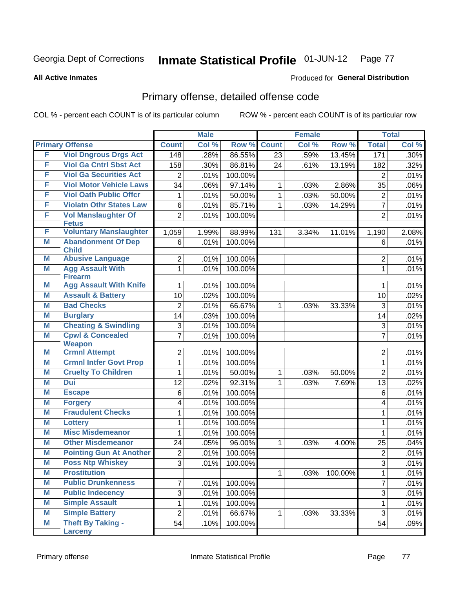#### **All Active Inmates**

#### Produced for **General Distribution**

# Primary offense, detailed offense code

|   |                                           |                | <b>Male</b> |         |              | <b>Female</b> |         |                | <b>Total</b> |
|---|-------------------------------------------|----------------|-------------|---------|--------------|---------------|---------|----------------|--------------|
|   | <b>Primary Offense</b>                    | <b>Count</b>   | Col %       | Row %   | <b>Count</b> | Col %         | Row %   | <b>Total</b>   | Col %        |
| F | <b>Viol Dngrous Drgs Act</b>              | 148            | .28%        | 86.55%  | 23           | .59%          | 13.45%  | 171            | $.30\%$      |
| F | <b>Viol Ga Cntrl Sbst Act</b>             | 158            | .30%        | 86.81%  | 24           | .61%          | 13.19%  | 182            | .32%         |
| F | <b>Viol Ga Securities Act</b>             | 2              | .01%        | 100.00% |              |               |         | $\overline{2}$ | .01%         |
| F | <b>Viol Motor Vehicle Laws</b>            | 34             | .06%        | 97.14%  | 1            | .03%          | 2.86%   | 35             | .06%         |
| F | <b>Viol Oath Public Offcr</b>             | 1              | .01%        | 50.00%  | 1            | .03%          | 50.00%  | $\overline{2}$ | .01%         |
| F | <b>Violatn Othr States Law</b>            | 6              | .01%        | 85.71%  | 1            | .03%          | 14.29%  | $\overline{7}$ | .01%         |
| F | <b>Vol Manslaughter Of</b>                | $\overline{2}$ | .01%        | 100.00% |              |               |         | $\overline{2}$ | .01%         |
|   | <b>Fetus</b>                              |                |             |         |              |               |         |                |              |
| F | <b>Voluntary Manslaughter</b>             | 1,059          | 1.99%       | 88.99%  | 131          | 3.34%         | 11.01%  | 1,190          | 2.08%        |
| M | <b>Abandonment Of Dep</b><br><b>Child</b> | 6              | .01%        | 100.00% |              |               |         | 6              | .01%         |
| M | <b>Abusive Language</b>                   | $\overline{2}$ | .01%        | 100.00% |              |               |         | $\overline{2}$ | .01%         |
| M | <b>Agg Assault With</b><br><b>Firearm</b> | $\mathbf{1}$   | .01%        | 100.00% |              |               |         | $\mathbf{1}$   | .01%         |
| M | <b>Agg Assault With Knife</b>             | 1              | .01%        | 100.00% |              |               |         | 1              | .01%         |
| M | <b>Assault &amp; Battery</b>              | 10             | .02%        | 100.00% |              |               |         | 10             | .02%         |
| M | <b>Bad Checks</b>                         | $\overline{2}$ | .01%        | 66.67%  | 1            | .03%          | 33.33%  | 3              | .01%         |
| M | <b>Burglary</b>                           | 14             | .03%        | 100.00% |              |               |         | 14             | .02%         |
| M | <b>Cheating &amp; Swindling</b>           | 3              | .01%        | 100.00% |              |               |         | 3              | .01%         |
| M | <b>Cpwl &amp; Concealed</b>               | 7              | .01%        | 100.00% |              |               |         | $\overline{7}$ | .01%         |
|   | <b>Weapon</b>                             |                |             |         |              |               |         |                |              |
| M | <b>Crmnl Attempt</b>                      | $\overline{2}$ | .01%        | 100.00% |              |               |         | $\overline{2}$ | .01%         |
| M | <b>Crmnl Intfer Govt Prop</b>             | 1              | .01%        | 100.00% |              |               |         | $\mathbf{1}$   | .01%         |
| M | <b>Cruelty To Children</b>                | 1              | .01%        | 50.00%  | 1            | .03%          | 50.00%  | $\overline{2}$ | .01%         |
| M | <b>Dui</b>                                | 12             | .02%        | 92.31%  | 1            | .03%          | 7.69%   | 13             | .02%         |
| M | <b>Escape</b>                             | 6              | .01%        | 100.00% |              |               |         | $6\phantom{1}$ | .01%         |
| M | <b>Forgery</b>                            | 4              | .01%        | 100.00% |              |               |         | 4              | .01%         |
| M | <b>Fraudulent Checks</b>                  | 1              | .01%        | 100.00% |              |               |         | 1              | .01%         |
| M | <b>Lottery</b>                            | 1              | .01%        | 100.00% |              |               |         | 1              | .01%         |
| M | <b>Misc Misdemeanor</b>                   | $\mathbf 1$    | .01%        | 100.00% |              |               |         | 1              | .01%         |
| M | <b>Other Misdemeanor</b>                  | 24             | .05%        | 96.00%  | 1            | .03%          | 4.00%   | 25             | .04%         |
| M | <b>Pointing Gun At Another</b>            | $\overline{2}$ | .01%        | 100.00% |              |               |         | $\overline{2}$ | .01%         |
| M | <b>Poss Ntp Whiskey</b>                   | વ<br>ັ         | .01%        | 100.00% |              |               |         | વ<br>◡         | .01%         |
| M | <b>Prostitution</b>                       |                |             |         | 1            | .03%          | 100.00% | 1              | .01%         |
| Μ | <b>Public Drunkenness</b>                 | 7              | .01%        | 100.00% |              |               |         | $\overline{7}$ | .01%         |
| M | <b>Public Indecency</b>                   | $\sqrt{3}$     | .01%        | 100.00% |              |               |         | $\overline{3}$ | .01%         |
| Μ | <b>Simple Assault</b>                     | 1              | .01%        | 100.00% |              |               |         | $\mathbf{1}$   | .01%         |
| M | <b>Simple Battery</b>                     | $\overline{2}$ | .01%        | 66.67%  | 1            | .03%          | 33.33%  | $\overline{3}$ | .01%         |
| M | <b>Theft By Taking -</b>                  | 54             | .10%        | 100.00% |              |               |         | 54             | .09%         |
|   | <b>Larceny</b>                            |                |             |         |              |               |         |                |              |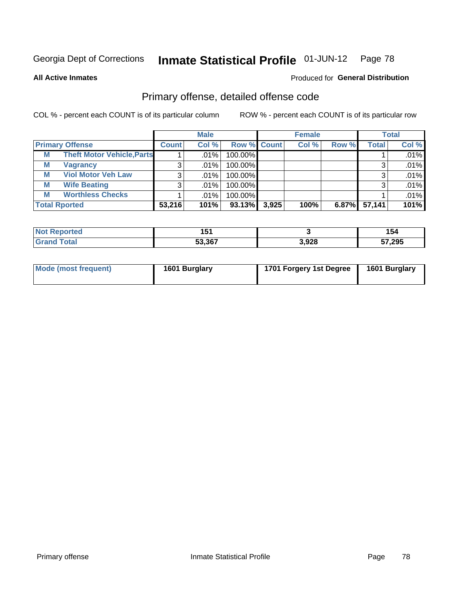**All Active Inmates**

#### Produced for **General Distribution**

# Primary offense, detailed offense code

|                      |                                   | <b>Male</b>  |        |             |       | <b>Female</b> |       | <b>Total</b> |       |
|----------------------|-----------------------------------|--------------|--------|-------------|-------|---------------|-------|--------------|-------|
|                      | <b>Primary Offense</b>            | <b>Count</b> | Col %  | Row % Count |       | Col %         | Row % | <b>Total</b> | Col % |
| M                    | <b>Theft Motor Vehicle, Parts</b> |              | .01%   | 100.00%     |       |               |       |              | .01%  |
| М                    | <b>Vagrancy</b>                   |              | .01%   | 100.00%     |       |               |       |              | .01%  |
| M                    | <b>Viol Motor Veh Law</b>         |              | .01%   | 100.00%     |       |               |       | 3            | .01%  |
| M                    | <b>Wife Beating</b>               |              | .01%   | 100.00%     |       |               |       | 3            | .01%  |
| M                    | <b>Worthless Checks</b>           |              | ا %01. | 100.00%     |       |               |       |              | .01%  |
| <b>Total Rported</b> |                                   | 53,216       | 101%   | $93.13\%$   | 3,925 | 100%          | 6.87% | 57,141       | 101%  |

| ported       | 4 E 4<br>וטו |       | 154    |
|--------------|--------------|-------|--------|
| ™otai<br>Gra | 53,367       | 3,928 | 57,295 |

| Mode (most frequent) | 1601 Burglary | 1701 Forgery 1st Degree | 1601 Burglary |
|----------------------|---------------|-------------------------|---------------|
|----------------------|---------------|-------------------------|---------------|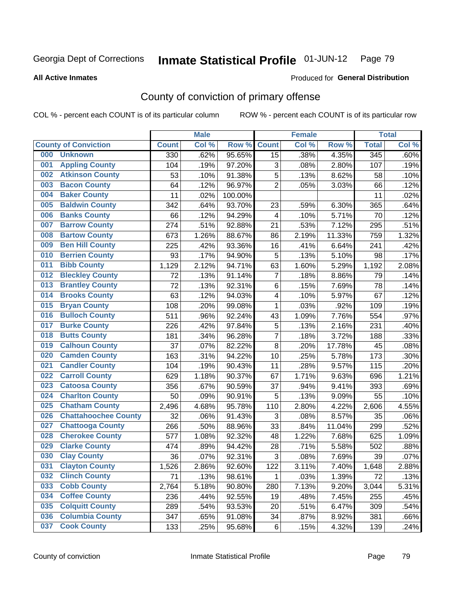Produced for **General Distribution**

#### **All Active Inmates**

# County of conviction of primary offense

|     |                             |              | <b>Male</b> |         |                | <b>Female</b> |        |              | <b>Total</b> |
|-----|-----------------------------|--------------|-------------|---------|----------------|---------------|--------|--------------|--------------|
|     | <b>County of Conviction</b> | <b>Count</b> | Col %       | Row %   | <b>Count</b>   | Col %         | Row %  | <b>Total</b> | Col %        |
| 000 | <b>Unknown</b>              | 330          | .62%        | 95.65%  | 15             | .38%          | 4.35%  | 345          | .60%         |
| 001 | <b>Appling County</b>       | 104          | .19%        | 97.20%  | 3              | .08%          | 2.80%  | 107          | .19%         |
| 002 | <b>Atkinson County</b>      | 53           | .10%        | 91.38%  | 5              | .13%          | 8.62%  | 58           | .10%         |
| 003 | <b>Bacon County</b>         | 64           | .12%        | 96.97%  | $\overline{2}$ | .05%          | 3.03%  | 66           | .12%         |
| 004 | <b>Baker County</b>         | 11           | .02%        | 100.00% |                |               |        | 11           | .02%         |
| 005 | <b>Baldwin County</b>       | 342          | .64%        | 93.70%  | 23             | .59%          | 6.30%  | 365          | .64%         |
| 006 | <b>Banks County</b>         | 66           | .12%        | 94.29%  | $\overline{4}$ | .10%          | 5.71%  | 70           | .12%         |
| 007 | <b>Barrow County</b>        | 274          | .51%        | 92.88%  | 21             | .53%          | 7.12%  | 295          | .51%         |
| 008 | <b>Bartow County</b>        | 673          | 1.26%       | 88.67%  | 86             | 2.19%         | 11.33% | 759          | 1.32%        |
| 009 | <b>Ben Hill County</b>      | 225          | .42%        | 93.36%  | 16             | .41%          | 6.64%  | 241          | .42%         |
| 010 | <b>Berrien County</b>       | 93           | .17%        | 94.90%  | 5              | .13%          | 5.10%  | 98           | .17%         |
| 011 | <b>Bibb County</b>          | 1,129        | 2.12%       | 94.71%  | 63             | 1.60%         | 5.29%  | 1,192        | 2.08%        |
| 012 | <b>Bleckley County</b>      | 72           | .13%        | 91.14%  | $\overline{7}$ | .18%          | 8.86%  | 79           | .14%         |
| 013 | <b>Brantley County</b>      | 72           | .13%        | 92.31%  | 6              | .15%          | 7.69%  | 78           | .14%         |
| 014 | <b>Brooks County</b>        | 63           | .12%        | 94.03%  | 4              | .10%          | 5.97%  | 67           | .12%         |
| 015 | <b>Bryan County</b>         | 108          | .20%        | 99.08%  | 1              | .03%          | .92%   | 109          | .19%         |
| 016 | <b>Bulloch County</b>       | 511          | .96%        | 92.24%  | 43             | 1.09%         | 7.76%  | 554          | .97%         |
| 017 | <b>Burke County</b>         | 226          | .42%        | 97.84%  | $\mathbf 5$    | .13%          | 2.16%  | 231          | .40%         |
| 018 | <b>Butts County</b>         | 181          | .34%        | 96.28%  | $\overline{7}$ | .18%          | 3.72%  | 188          | .33%         |
| 019 | <b>Calhoun County</b>       | 37           | .07%        | 82.22%  | 8              | .20%          | 17.78% | 45           | .08%         |
| 020 | <b>Camden County</b>        | 163          | .31%        | 94.22%  | 10             | .25%          | 5.78%  | 173          | .30%         |
| 021 | <b>Candler County</b>       | 104          | .19%        | 90.43%  | 11             | .28%          | 9.57%  | 115          | .20%         |
| 022 | <b>Carroll County</b>       | 629          | 1.18%       | 90.37%  | 67             | 1.71%         | 9.63%  | 696          | 1.21%        |
| 023 | <b>Catoosa County</b>       | 356          | .67%        | 90.59%  | 37             | .94%          | 9.41%  | 393          | .69%         |
| 024 | <b>Charlton County</b>      | 50           | .09%        | 90.91%  | 5              | .13%          | 9.09%  | 55           | .10%         |
| 025 | <b>Chatham County</b>       | 2,496        | 4.68%       | 95.78%  | 110            | 2.80%         | 4.22%  | 2,606        | 4.55%        |
| 026 | <b>Chattahoochee County</b> | 32           | .06%        | 91.43%  | 3              | .08%          | 8.57%  | 35           | .06%         |
| 027 | <b>Chattooga County</b>     | 266          | .50%        | 88.96%  | 33             | .84%          | 11.04% | 299          | .52%         |
| 028 | <b>Cherokee County</b>      | 577          | 1.08%       | 92.32%  | 48             | 1.22%         | 7.68%  | 625          | 1.09%        |
| 029 | <b>Clarke County</b>        | 474          | .89%        | 94.42%  | 28             | .71%          | 5.58%  | 502          | .88%         |
| 030 | <b>Clay County</b>          | 36           | .07%        | 92.31%  | 3              | .08%          | 7.69%  | 39           | .07%         |
| 031 | <b>Clayton County</b>       | 1,526        | 2.86%       | 92.60%  | 122            | 3.11%         | 7.40%  | 1,648        | 2.88%        |
| 032 | <b>Clinch County</b>        | 71           | .13%        | 98.61%  | 1              | .03%          | 1.39%  | 72           | .13%         |
| 033 | <b>Cobb County</b>          | 2,764        | 5.18%       | 90.80%  | 280            | 7.13%         | 9.20%  | 3,044        | 5.31%        |
| 034 | <b>Coffee County</b>        | 236          | .44%        | 92.55%  | 19             | .48%          | 7.45%  | 255          | .45%         |
| 035 | <b>Colquitt County</b>      | 289          | .54%        | 93.53%  | 20             | .51%          | 6.47%  | 309          | .54%         |
| 036 | <b>Columbia County</b>      | 347          | .65%        | 91.08%  | 34             | .87%          | 8.92%  | 381          | .66%         |
| 037 | <b>Cook County</b>          | 133          | .25%        | 95.68%  | 6              | .15%          | 4.32%  | 139          | .24%         |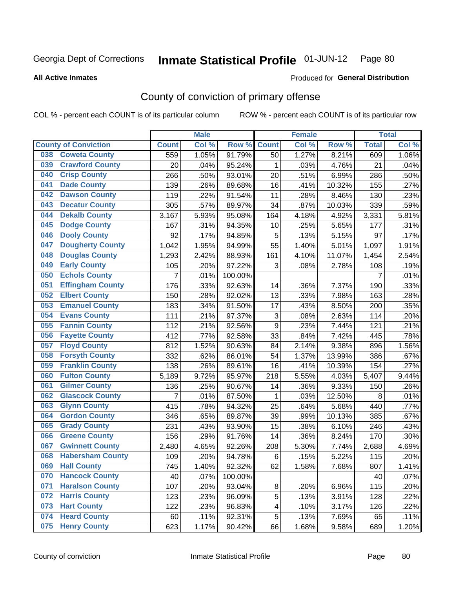#### **All Active Inmates**

#### Produced for **General Distribution**

# County of conviction of primary offense

|                                |              | <b>Male</b> |         |              | <b>Female</b> |        |                | <b>Total</b> |
|--------------------------------|--------------|-------------|---------|--------------|---------------|--------|----------------|--------------|
| <b>County of Conviction</b>    | <b>Count</b> | Col %       | Row %   | <b>Count</b> | Col %         | Row %  | <b>Total</b>   | Col %        |
| <b>Coweta County</b><br>038    | 559          | 1.05%       | 91.79%  | 50           | 1.27%         | 8.21%  | 609            | 1.06%        |
| <b>Crawford County</b><br>039  | 20           | .04%        | 95.24%  | 1            | .03%          | 4.76%  | 21             | .04%         |
| <b>Crisp County</b><br>040     | 266          | .50%        | 93.01%  | 20           | .51%          | 6.99%  | 286            | .50%         |
| <b>Dade County</b><br>041      | 139          | .26%        | 89.68%  | 16           | .41%          | 10.32% | 155            | .27%         |
| <b>Dawson County</b><br>042    | 119          | .22%        | 91.54%  | 11           | .28%          | 8.46%  | 130            | .23%         |
| <b>Decatur County</b><br>043   | 305          | .57%        | 89.97%  | 34           | .87%          | 10.03% | 339            | .59%         |
| <b>Dekalb County</b><br>044    | 3,167        | 5.93%       | 95.08%  | 164          | 4.18%         | 4.92%  | 3,331          | 5.81%        |
| <b>Dodge County</b><br>045     | 167          | .31%        | 94.35%  | 10           | .25%          | 5.65%  | 177            | .31%         |
| <b>Dooly County</b><br>046     | 92           | .17%        | 94.85%  | 5            | .13%          | 5.15%  | 97             | .17%         |
| <b>Dougherty County</b><br>047 | 1,042        | 1.95%       | 94.99%  | 55           | 1.40%         | 5.01%  | 1,097          | 1.91%        |
| <b>Douglas County</b><br>048   | 1,293        | 2.42%       | 88.93%  | 161          | 4.10%         | 11.07% | 1,454          | 2.54%        |
| <b>Early County</b><br>049     | 105          | .20%        | 97.22%  | 3            | .08%          | 2.78%  | 108            | .19%         |
| <b>Echols County</b><br>050    | 7            | .01%        | 100.00% |              |               |        | $\overline{7}$ | .01%         |
| 051<br><b>Effingham County</b> | 176          | .33%        | 92.63%  | 14           | .36%          | 7.37%  | 190            | .33%         |
| <b>Elbert County</b><br>052    | 150          | .28%        | 92.02%  | 13           | .33%          | 7.98%  | 163            | .28%         |
| <b>Emanuel County</b><br>053   | 183          | .34%        | 91.50%  | 17           | .43%          | 8.50%  | 200            | .35%         |
| <b>Evans County</b><br>054     | 111          | .21%        | 97.37%  | 3            | .08%          | 2.63%  | 114            | .20%         |
| <b>Fannin County</b><br>055    | 112          | .21%        | 92.56%  | 9            | .23%          | 7.44%  | 121            | .21%         |
| <b>Fayette County</b><br>056   | 412          | .77%        | 92.58%  | 33           | .84%          | 7.42%  | 445            | .78%         |
| <b>Floyd County</b><br>057     | 812          | 1.52%       | 90.63%  | 84           | 2.14%         | 9.38%  | 896            | 1.56%        |
| <b>Forsyth County</b><br>058   | 332          | .62%        | 86.01%  | 54           | 1.37%         | 13.99% | 386            | .67%         |
| <b>Franklin County</b><br>059  | 138          | .26%        | 89.61%  | 16           | .41%          | 10.39% | 154            | .27%         |
| <b>Fulton County</b><br>060    | 5,189        | 9.72%       | 95.97%  | 218          | 5.55%         | 4.03%  | 5,407          | 9.44%        |
| <b>Gilmer County</b><br>061    | 136          | .25%        | 90.67%  | 14           | .36%          | 9.33%  | 150            | .26%         |
| <b>Glascock County</b><br>062  | 7            | .01%        | 87.50%  | $\mathbf{1}$ | .03%          | 12.50% | 8              | .01%         |
| 063<br><b>Glynn County</b>     | 415          | .78%        | 94.32%  | 25           | .64%          | 5.68%  | 440            | .77%         |
| <b>Gordon County</b><br>064    | 346          | .65%        | 89.87%  | 39           | .99%          | 10.13% | 385            | .67%         |
| 065<br><b>Grady County</b>     | 231          | .43%        | 93.90%  | 15           | .38%          | 6.10%  | 246            | .43%         |
| <b>Greene County</b><br>066    | 156          | .29%        | 91.76%  | 14           | .36%          | 8.24%  | 170            | .30%         |
| <b>Gwinnett County</b><br>067  | 2,480        | 4.65%       | 92.26%  | 208          | 5.30%         | 7.74%  | 2,688          | 4.69%        |
| <b>Habersham County</b><br>068 | 109          | .20%        | 94.78%  | 6            | .15%          | 5.22%  | 115            | .20%         |
| 069<br><b>Hall County</b>      | 745          | 1.40%       | 92.32%  | 62           | 1.58%         | 7.68%  | 807            | 1.41%        |
| <b>Hancock County</b><br>070   | 40           | .07%        | 100.00% |              |               |        | 40             | .07%         |
| <b>Haralson County</b><br>071  | 107          | .20%        | 93.04%  | 8            | .20%          | 6.96%  | 115            | .20%         |
| <b>Harris County</b><br>072    | 123          | .23%        | 96.09%  | 5            | .13%          | 3.91%  | 128            | .22%         |
| <b>Hart County</b><br>073      | 122          | .23%        | 96.83%  | 4            | .10%          | 3.17%  | 126            | .22%         |
| <b>Heard County</b><br>074     | 60           | .11%        | 92.31%  | 5            | .13%          | 7.69%  | 65             | .11%         |
| <b>Henry County</b><br>075     | 623          | 1.17%       | 90.42%  | 66           | 1.68%         | 9.58%  | 689            | 1.20%        |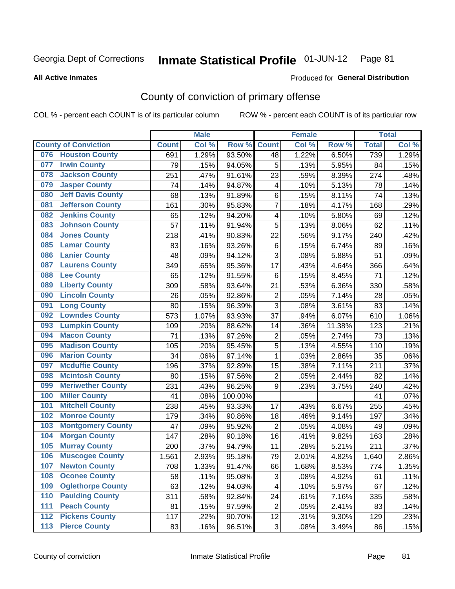**All Active Inmates**

#### Produced for **General Distribution**

# County of conviction of primary offense

|     |                             |              | <b>Male</b> |         |                         | <b>Female</b> |          |              | <b>Total</b> |
|-----|-----------------------------|--------------|-------------|---------|-------------------------|---------------|----------|--------------|--------------|
|     | <b>County of Conviction</b> | <b>Count</b> | Col %       | Row %   | <b>Count</b>            | Col %         | Row %    | <b>Total</b> | Col %        |
| 076 | <b>Houston County</b>       | 691          | 1.29%       | 93.50%  | 48                      | 1.22%         | 6.50%    | 739          | 1.29%        |
| 077 | <b>Irwin County</b>         | 79           | .15%        | 94.05%  | 5                       | .13%          | 5.95%    | 84           | .15%         |
| 078 | <b>Jackson County</b>       | 251          | .47%        | 91.61%  | 23                      | .59%          | 8.39%    | 274          | .48%         |
| 079 | <b>Jasper County</b>        | 74           | .14%        | 94.87%  | $\overline{\mathbf{4}}$ | .10%          | 5.13%    | 78           | .14%         |
| 080 | <b>Jeff Davis County</b>    | 68           | .13%        | 91.89%  | 6                       | .15%          | 8.11%    | 74           | .13%         |
| 081 | <b>Jefferson County</b>     | 161          | .30%        | 95.83%  | $\overline{7}$          | .18%          | 4.17%    | 168          | .29%         |
| 082 | <b>Jenkins County</b>       | 65           | .12%        | 94.20%  | $\overline{\mathbf{4}}$ | .10%          | 5.80%    | 69           | .12%         |
| 083 | <b>Johnson County</b>       | 57           | .11%        | 91.94%  | 5                       | .13%          | 8.06%    | 62           | .11%         |
| 084 | <b>Jones County</b>         | 218          | .41%        | 90.83%  | 22                      | .56%          | 9.17%    | 240          | .42%         |
| 085 | <b>Lamar County</b>         | 83           | .16%        | 93.26%  | 6                       | .15%          | 6.74%    | 89           | .16%         |
| 086 | <b>Lanier County</b>        | 48           | .09%        | 94.12%  | $\sqrt{3}$              | .08%          | 5.88%    | 51           | .09%         |
| 087 | <b>Laurens County</b>       | 349          | .65%        | 95.36%  | 17                      | .43%          | 4.64%    | 366          | .64%         |
| 088 | <b>Lee County</b>           | 65           | .12%        | 91.55%  | 6                       | .15%          | 8.45%    | 71           | .12%         |
| 089 | <b>Liberty County</b>       | 309          | .58%        | 93.64%  | 21                      | .53%          | 6.36%    | 330          | .58%         |
| 090 | <b>Lincoln County</b>       | 26           | .05%        | 92.86%  | $\overline{2}$          | .05%          | 7.14%    | 28           | .05%         |
| 091 | <b>Long County</b>          | 80           | .15%        | 96.39%  | 3                       | .08%          | 3.61%    | 83           | .14%         |
| 092 | <b>Lowndes County</b>       | 573          | 1.07%       | 93.93%  | 37                      | .94%          | 6.07%    | 610          | 1.06%        |
| 093 | <b>Lumpkin County</b>       | 109          | .20%        | 88.62%  | 14                      | .36%          | 11.38%   | 123          | .21%         |
| 094 | <b>Macon County</b>         | 71           | .13%        | 97.26%  | $\overline{2}$          | .05%          | 2.74%    | 73           | .13%         |
| 095 | <b>Madison County</b>       | 105          | .20%        | 95.45%  | 5                       | .13%          | 4.55%    | 110          | .19%         |
| 096 | <b>Marion County</b>        | 34           | .06%        | 97.14%  | $\mathbf{1}$            | .03%          | 2.86%    | 35           | .06%         |
| 097 | <b>Mcduffie County</b>      | 196          | .37%        | 92.89%  | 15                      | .38%          | 7.11%    | 211          | .37%         |
| 098 | <b>Mcintosh County</b>      | 80           | .15%        | 97.56%  | $\boldsymbol{2}$        | .05%          | 2.44%    | 82           | .14%         |
| 099 | <b>Meriwether County</b>    | 231          | .43%        | 96.25%  | 9                       | .23%          | 3.75%    | 240          | .42%         |
| 100 | <b>Miller County</b>        | 41           | .08%        | 100.00% |                         |               |          | 41           | .07%         |
| 101 | <b>Mitchell County</b>      | 238          | .45%        | 93.33%  | 17                      | .43%          | 6.67%    | 255          | .45%         |
| 102 | <b>Monroe County</b>        | 179          | .34%        | 90.86%  | 18                      | .46%          | 9.14%    | 197          | .34%         |
| 103 | <b>Montgomery County</b>    | 47           | .09%        | 95.92%  | $\overline{2}$          | .05%          | 4.08%    | 49           | .09%         |
| 104 | <b>Morgan County</b>        | 147          | .28%        | 90.18%  | 16                      | .41%          | 9.82%    | 163          | .28%         |
| 105 | <b>Murray County</b>        | 200          | .37%        | 94.79%  | 11                      | .28%          | 5.21%    | 211          | .37%         |
| 106 | <b>Muscogee County</b>      | 1,561        | 2.93%       | 95.18%  | 79                      | 2.01%         | 4.82%    | 1,640        | 2.86%        |
| 107 | <b>Newton County</b>        | 708          | 1.33%       | 91.47%  | 66                      | 1.68%         | 8.53%    | 774          | 1.35%        |
| 108 | <b>Oconee County</b>        | 58           | .11%        | 95.08%  | 3                       | .08%          | 4.92%    | 61           | .11%         |
| 109 | <b>Oglethorpe County</b>    | 63           | .12%        | 94.03%  | 4                       | .10%          | 5.97%    | 67           | .12%         |
| 110 | <b>Paulding County</b>      | 311          | .58%        | 92.84%  | 24                      | .61%          | 7.16%    | 335          | .58%         |
| 111 | <b>Peach County</b>         | 81           | .15%        | 97.59%  | $\overline{2}$          | .05%          | 2.41%    | 83           | .14%         |
| 112 | <b>Pickens County</b>       | 117          | .22%        | 90.70%  | 12                      | .31%          | $9.30\%$ | 129          | .23%         |
| 113 | <b>Pierce County</b>        | 83           | .16%        | 96.51%  | 3                       | .08%          | 3.49%    | 86           | .15%         |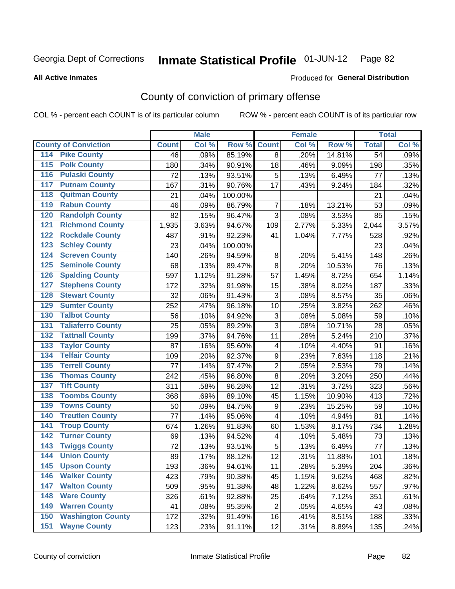Produced for **General Distribution**

#### **All Active Inmates**

# County of conviction of primary offense

|                                          |              | <b>Male</b> |         |                         | <b>Female</b> |        |                 | <b>Total</b> |
|------------------------------------------|--------------|-------------|---------|-------------------------|---------------|--------|-----------------|--------------|
| <b>County of Conviction</b>              | <b>Count</b> | Col %       | Row %   | <b>Count</b>            | Col %         | Row %  | <b>Total</b>    | Col %        |
| <b>Pike County</b><br>114                | 46           | .09%        | 85.19%  | 8                       | .20%          | 14.81% | $\overline{54}$ | .09%         |
| <b>Polk County</b><br>$\overline{115}$   | 180          | .34%        | 90.91%  | 18                      | .46%          | 9.09%  | 198             | .35%         |
| <b>Pulaski County</b><br>116             | 72           | .13%        | 93.51%  | 5                       | .13%          | 6.49%  | 77              | .13%         |
| <b>Putnam County</b><br>117              | 167          | .31%        | 90.76%  | 17                      | .43%          | 9.24%  | 184             | .32%         |
| <b>Quitman County</b><br>118             | 21           | .04%        | 100.00% |                         |               |        | 21              | .04%         |
| <b>Rabun County</b><br>119               | 46           | .09%        | 86.79%  | $\overline{7}$          | .18%          | 13.21% | 53              | .09%         |
| <b>Randolph County</b><br>120            | 82           | .15%        | 96.47%  | 3                       | .08%          | 3.53%  | 85              | .15%         |
| <b>Richmond County</b><br>121            | 1,935        | 3.63%       | 94.67%  | 109                     | 2.77%         | 5.33%  | 2,044           | 3.57%        |
| <b>Rockdale County</b><br>122            | 487          | .91%        | 92.23%  | 41                      | 1.04%         | 7.77%  | 528             | .92%         |
| <b>Schley County</b><br>123              | 23           | .04%        | 100.00% |                         |               |        | 23              | .04%         |
| <b>Screven County</b><br>124             | 140          | .26%        | 94.59%  | 8                       | .20%          | 5.41%  | 148             | .26%         |
| <b>Seminole County</b><br>125            | 68           | .13%        | 89.47%  | 8                       | .20%          | 10.53% | 76              | .13%         |
| <b>Spalding County</b><br>126            | 597          | 1.12%       | 91.28%  | 57                      | 1.45%         | 8.72%  | 654             | 1.14%        |
| <b>Stephens County</b><br>127            | 172          | .32%        | 91.98%  | 15                      | .38%          | 8.02%  | 187             | .33%         |
| <b>Stewart County</b><br>128             | 32           | .06%        | 91.43%  | 3                       | .08%          | 8.57%  | 35              | .06%         |
| <b>Sumter County</b><br>129              | 252          | .47%        | 96.18%  | 10                      | .25%          | 3.82%  | 262             | .46%         |
| <b>Talbot County</b><br>130              | 56           | .10%        | 94.92%  | 3                       | .08%          | 5.08%  | 59              | .10%         |
| <b>Taliaferro County</b><br>131          | 25           | .05%        | 89.29%  | 3                       | .08%          | 10.71% | 28              | .05%         |
| <b>Tattnall County</b><br>132            | 199          | .37%        | 94.76%  | 11                      | .28%          | 5.24%  | 210             | .37%         |
| <b>Taylor County</b><br>133              | 87           | .16%        | 95.60%  | 4                       | .10%          | 4.40%  | 91              | .16%         |
| <b>Telfair County</b><br>134             | 109          | .20%        | 92.37%  | 9                       | .23%          | 7.63%  | 118             | .21%         |
| <b>Terrell County</b><br>135             | 77           | .14%        | 97.47%  | $\overline{2}$          | .05%          | 2.53%  | 79              | .14%         |
| <b>Thomas County</b><br>136              | 242          | .45%        | 96.80%  | 8                       | .20%          | 3.20%  | 250             | .44%         |
| <b>Tift County</b><br>137                | 311          | .58%        | 96.28%  | 12                      | .31%          | 3.72%  | 323             | .56%         |
| <b>Toombs County</b><br>138              | 368          | .69%        | 89.10%  | 45                      | 1.15%         | 10.90% | 413             | .72%         |
| <b>Towns County</b><br>139               | 50           | .09%        | 84.75%  | 9                       | .23%          | 15.25% | 59              | .10%         |
| <b>Treutlen County</b><br>140            | 77           | .14%        | 95.06%  | 4                       | .10%          | 4.94%  | 81              | .14%         |
| <b>Troup County</b><br>141               | 674          | 1.26%       | 91.83%  | 60                      | 1.53%         | 8.17%  | 734             | 1.28%        |
| <b>Turner County</b><br>142              | 69           | .13%        | 94.52%  | $\overline{\mathbf{4}}$ | .10%          | 5.48%  | 73              | .13%         |
| <b>Twiggs County</b><br>$\overline{143}$ | 72           | .13%        | 93.51%  | 5                       | .13%          | 6.49%  | 77              | .13%         |
| <b>Union County</b><br>144               | 89           | .17%        | 88.12%  | 12                      | .31%          | 11.88% | 101             | .18%         |
| 145<br><b>Upson County</b>               | 193          | .36%        | 94.61%  | 11                      | .28%          | 5.39%  | 204             | $.36\%$      |
| <b>Walker County</b><br>146              | 423          | .79%        | 90.38%  | 45                      | 1.15%         | 9.62%  | 468             | .82%         |
| <b>Walton County</b><br>147              | 509          | .95%        | 91.38%  | 48                      | 1.22%         | 8.62%  | 557             | .97%         |
| <b>Ware County</b><br>148                | 326          | .61%        | 92.88%  | 25                      | .64%          | 7.12%  | 351             | .61%         |
| <b>Warren County</b><br>149              | 41           | .08%        | 95.35%  | $\overline{2}$          | .05%          | 4.65%  | 43              | .08%         |
| <b>Washington County</b><br>150          | 172          | .32%        | 91.49%  | 16                      | .41%          | 8.51%  | 188             | .33%         |
| <b>Wayne County</b><br>151               | 123          | .23%        | 91.11%  | 12                      | .31%          | 8.89%  | 135             | .24%         |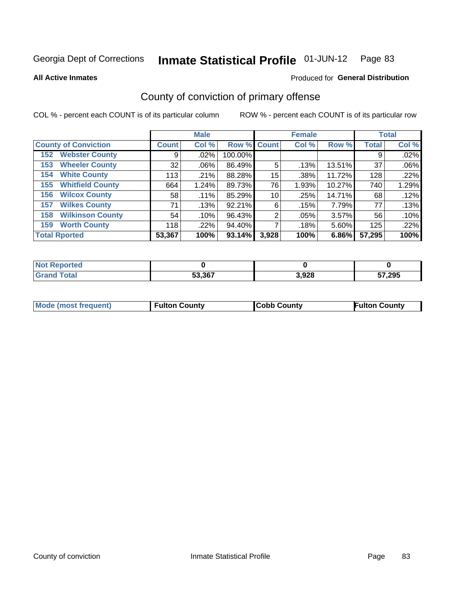**All Active Inmates**

#### Produced for **General Distribution**

# County of conviction of primary offense

|                                |              | <b>Male</b> |             |       | <b>Female</b> |        |              | <b>Total</b> |
|--------------------------------|--------------|-------------|-------------|-------|---------------|--------|--------------|--------------|
| <b>County of Conviction</b>    | <b>Count</b> | Col %       | Row % Count |       | Col %         | Row %  | <b>Total</b> | Col %        |
| <b>Webster County</b><br>152   | 9            | $.02\%$     | 100.00%     |       |               |        | 9            | .02%         |
| <b>Wheeler County</b><br>153   | 32           | $.06\%$     | 86.49%      | 5     | .13%          | 13.51% | 37           | .06%         |
| <b>White County</b><br>154     | 113          | .21%        | 88.28%      | 15    | .38%          | 11.72% | 128          | .22%         |
| <b>Whitfield County</b><br>155 | 664          | 1.24%       | 89.73%      | 76    | 1.93%         | 10.27% | 740          | 1.29%        |
| <b>Wilcox County</b><br>156    | 58           | .11%        | 85.29%      | 10    | .25%          | 14.71% | 68           | .12%         |
| <b>Wilkes County</b><br>157    | 71           | .13%        | 92.21%      | 6     | .15%          | 7.79%  | 77           | .13%         |
| <b>Wilkinson County</b><br>158 | 54           | .10%        | 96.43%      | 2     | .05%          | 3.57%  | 56           | .10%         |
| <b>Worth County</b><br>159     | 118          | .22%        | 94.40%      |       | .18%          | 5.60%  | 125          | .22%         |
| <b>Total Rported</b>           | 53,367       | 100%        | 93.14%      | 3,928 | 100%          | 6.86%  | 57,295       | 100%         |

| <b>Not Reported</b> |        |       |        |
|---------------------|--------|-------|--------|
| <b>Grand Total</b>  | 53,367 | 3,928 | 57,295 |

| Mode (most frequent) | <b>Fulton County</b> | <b>Cobb County</b> | <b>Fulton County</b> |
|----------------------|----------------------|--------------------|----------------------|
|                      |                      |                    |                      |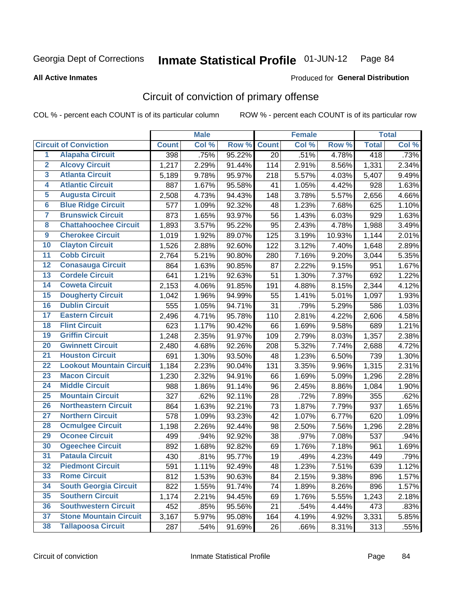#### **All Active Inmates**

#### Produced for **General Distribution**

# Circuit of conviction of primary offense

|                         |                                 |              | <b>Male</b> |        |              | <b>Female</b> |        |              | <b>Total</b> |
|-------------------------|---------------------------------|--------------|-------------|--------|--------------|---------------|--------|--------------|--------------|
|                         | <b>Circuit of Conviction</b>    | <b>Count</b> | Col %       | Row %  | <b>Count</b> | Col %         | Row %  | <b>Total</b> | Col %        |
| $\overline{1}$          | <b>Alapaha Circuit</b>          | 398          | .75%        | 95.22% | 20           | .51%          | 4.78%  | 418          | .73%         |
| $\overline{2}$          | <b>Alcovy Circuit</b>           | 1,217        | 2.29%       | 91.44% | 114          | 2.91%         | 8.56%  | 1,331        | 2.34%        |
| 3                       | <b>Atlanta Circuit</b>          | 5,189        | 9.78%       | 95.97% | 218          | 5.57%         | 4.03%  | 5,407        | 9.49%        |
| 4                       | <b>Atlantic Circuit</b>         | 887          | 1.67%       | 95.58% | 41           | 1.05%         | 4.42%  | 928          | 1.63%        |
| 5                       | <b>Augusta Circuit</b>          | 2,508        | 4.73%       | 94.43% | 148          | 3.78%         | 5.57%  | 2,656        | 4.66%        |
| $6\overline{6}$         | <b>Blue Ridge Circuit</b>       | 577          | 1.09%       | 92.32% | 48           | 1.23%         | 7.68%  | 625          | 1.10%        |
| $\overline{\mathbf{7}}$ | <b>Brunswick Circuit</b>        | 873          | 1.65%       | 93.97% | 56           | 1.43%         | 6.03%  | 929          | 1.63%        |
| 8                       | <b>Chattahoochee Circuit</b>    | 1,893        | 3.57%       | 95.22% | 95           | 2.43%         | 4.78%  | 1,988        | 3.49%        |
| $\overline{9}$          | <b>Cherokee Circuit</b>         | 1,019        | 1.92%       | 89.07% | 125          | 3.19%         | 10.93% | 1,144        | 2.01%        |
| 10                      | <b>Clayton Circuit</b>          | 1,526        | 2.88%       | 92.60% | 122          | 3.12%         | 7.40%  | 1,648        | 2.89%        |
| 11                      | <b>Cobb Circuit</b>             | 2,764        | 5.21%       | 90.80% | 280          | 7.16%         | 9.20%  | 3,044        | 5.35%        |
| 12                      | <b>Conasauga Circuit</b>        | 864          | 1.63%       | 90.85% | 87           | 2.22%         | 9.15%  | 951          | 1.67%        |
| 13                      | <b>Cordele Circuit</b>          | 641          | 1.21%       | 92.63% | 51           | 1.30%         | 7.37%  | 692          | 1.22%        |
| $\overline{14}$         | <b>Coweta Circuit</b>           | 2,153        | 4.06%       | 91.85% | 191          | 4.88%         | 8.15%  | 2,344        | 4.12%        |
| 15                      | <b>Dougherty Circuit</b>        | 1,042        | 1.96%       | 94.99% | 55           | 1.41%         | 5.01%  | 1,097        | 1.93%        |
| 16                      | <b>Dublin Circuit</b>           | 555          | 1.05%       | 94.71% | 31           | .79%          | 5.29%  | 586          | 1.03%        |
| 17                      | <b>Eastern Circuit</b>          | 2,496        | 4.71%       | 95.78% | 110          | 2.81%         | 4.22%  | 2,606        | 4.58%        |
| 18                      | <b>Flint Circuit</b>            | 623          | 1.17%       | 90.42% | 66           | 1.69%         | 9.58%  | 689          | 1.21%        |
| 19                      | <b>Griffin Circuit</b>          | 1,248        | 2.35%       | 91.97% | 109          | 2.79%         | 8.03%  | 1,357        | 2.38%        |
| 20                      | <b>Gwinnett Circuit</b>         | 2,480        | 4.68%       | 92.26% | 208          | 5.32%         | 7.74%  | 2,688        | 4.72%        |
| $\overline{21}$         | <b>Houston Circuit</b>          | 691          | 1.30%       | 93.50% | 48           | 1.23%         | 6.50%  | 739          | 1.30%        |
| $\overline{22}$         | <b>Lookout Mountain Circuit</b> | 1,184        | 2.23%       | 90.04% | 131          | 3.35%         | 9.96%  | 1,315        | 2.31%        |
| 23                      | <b>Macon Circuit</b>            | 1,230        | 2.32%       | 94.91% | 66           | 1.69%         | 5.09%  | 1,296        | 2.28%        |
| 24                      | <b>Middle Circuit</b>           | 988          | 1.86%       | 91.14% | 96           | 2.45%         | 8.86%  | 1,084        | 1.90%        |
| 25                      | <b>Mountain Circuit</b>         | 327          | .62%        | 92.11% | 28           | .72%          | 7.89%  | 355          | .62%         |
| 26                      | <b>Northeastern Circuit</b>     | 864          | 1.63%       | 92.21% | 73           | 1.87%         | 7.79%  | 937          | 1.65%        |
| $\overline{27}$         | <b>Northern Circuit</b>         | 578          | 1.09%       | 93.23% | 42           | 1.07%         | 6.77%  | 620          | 1.09%        |
| 28                      | <b>Ocmulgee Circuit</b>         | 1,198        | 2.26%       | 92.44% | 98           | 2.50%         | 7.56%  | 1,296        | 2.28%        |
| 29                      | <b>Oconee Circuit</b>           | 499          | .94%        | 92.92% | 38           | .97%          | 7.08%  | 537          | .94%         |
| 30                      | <b>Ogeechee Circuit</b>         | 892          | 1.68%       | 92.82% | 69           | 1.76%         | 7.18%  | 961          | 1.69%        |
| $\overline{31}$         | <b>Pataula Circuit</b>          | 430          | .81%        | 95.77% | 19           | .49%          | 4.23%  | 449          | .79%         |
| 32                      | <b>Piedmont Circuit</b>         | 591          | 1.11%       | 92.49% | 48           | 1.23%         | 7.51%  | 639          | 1.12%        |
| 33                      | <b>Rome Circuit</b>             | 812          | 1.53%       | 90.63% | 84           | 2.15%         | 9.38%  | 896          | 1.57%        |
| 34                      | <b>South Georgia Circuit</b>    | 822          | 1.55%       | 91.74% | 74           | 1.89%         | 8.26%  | 896          | 1.57%        |
| 35                      | <b>Southern Circuit</b>         | 1,174        | 2.21%       | 94.45% | 69           | 1.76%         | 5.55%  | 1,243        | 2.18%        |
| 36                      | <b>Southwestern Circuit</b>     | 452          | .85%        | 95.56% | 21           | .54%          | 4.44%  | 473          | .83%         |
| 37                      | <b>Stone Mountain Circuit</b>   | 3,167        | 5.97%       | 95.08% | 164          | 4.19%         | 4.92%  | 3,331        | 5.85%        |
| 38                      | <b>Tallapoosa Circuit</b>       | 287          | .54%        | 91.69% | 26           | .66%          | 8.31%  | 313          | .55%         |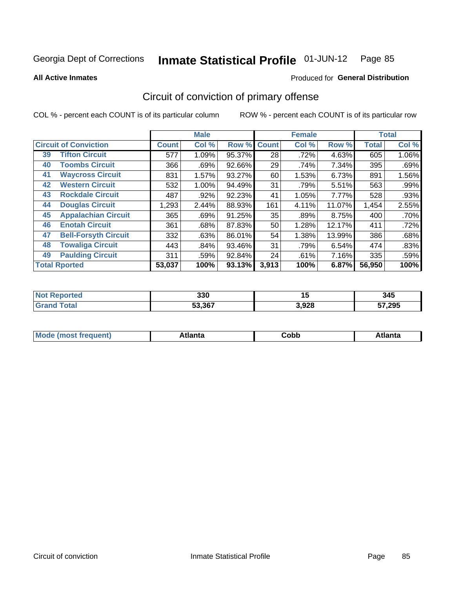**All Active Inmates**

#### Produced for **General Distribution**

# Circuit of conviction of primary offense

|    |                              |              | <b>Male</b> |        |              | <b>Female</b> |        |              | <b>Total</b> |
|----|------------------------------|--------------|-------------|--------|--------------|---------------|--------|--------------|--------------|
|    | <b>Circuit of Conviction</b> | <b>Count</b> | Col %       | Row %  | <b>Count</b> | Col %         | Row %  | <b>Total</b> | Col %        |
| 39 | <b>Tifton Circuit</b>        | 577          | 1.09%       | 95.37% | 28           | .72%          | 4.63%  | 605          | 1.06%        |
| 40 | <b>Toombs Circuit</b>        | 366          | .69%        | 92.66% | 29           | .74%          | 7.34%  | 395          | .69%         |
| 41 | <b>Waycross Circuit</b>      | 831          | 1.57%       | 93.27% | 60           | 1.53%         | 6.73%  | 891          | 1.56%        |
| 42 | <b>Western Circuit</b>       | 532          | 1.00%       | 94.49% | 31           | .79%          | 5.51%  | 563          | .99%         |
| 43 | <b>Rockdale Circuit</b>      | 487          | .92%        | 92.23% | 41           | 1.05%         | 7.77%  | 528          | .93%         |
| 44 | <b>Douglas Circuit</b>       | 1,293        | 2.44%       | 88.93% | 161          | 4.11%         | 11.07% | 1,454        | 2.55%        |
| 45 | <b>Appalachian Circuit</b>   | 365          | .69%        | 91.25% | 35           | .89%          | 8.75%  | 400          | .70%         |
| 46 | <b>Enotah Circuit</b>        | 361          | .68%        | 87.83% | 50           | 1.28%         | 12.17% | 411          | .72%         |
| 47 | <b>Bell-Forsyth Circuit</b>  | 332          | .63%        | 86.01% | 54           | 1.38%         | 13.99% | 386          | .68%         |
| 48 | <b>Towaliga Circuit</b>      | 443          | .84%        | 93.46% | 31           | .79%          | 6.54%  | 474          | .83%         |
| 49 | <b>Paulding Circuit</b>      | 311          | .59%        | 92.84% | 24           | .61%          | 7.16%  | 335          | .59%         |
|    | <b>Total Rported</b>         | 53,037       | 100%        | 93.13% | 3,913        | 100%          | 6.87%  | 56,950       | 100%         |

| eс | 330    | 1 J   | 345            |
|----|--------|-------|----------------|
|    | 53.367 | 3,928 | $^{\circ}$ 295 |

| M | . | -----<br>oг | ----<br>пLс |
|---|---|-------------|-------------|
|   |   | <b>OUNN</b> |             |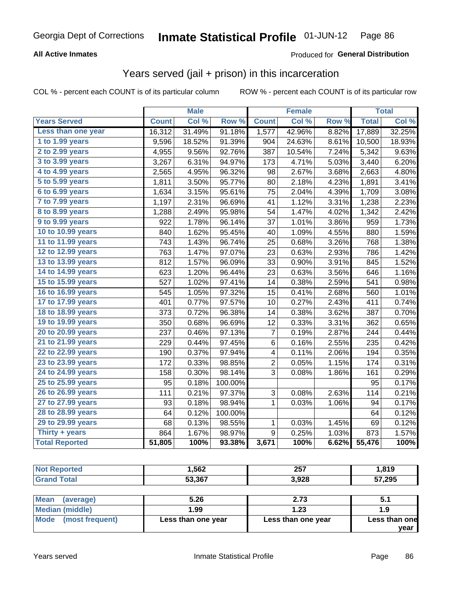#### **All Active Inmates**

#### Produced for **General Distribution**

#### Years served (jail + prison) in this incarceration

|                       |              | <b>Male</b> |         |                  | <b>Female</b> |       |              | <b>Total</b> |
|-----------------------|--------------|-------------|---------|------------------|---------------|-------|--------------|--------------|
| <b>Years Served</b>   | <b>Count</b> | Col %       | Row %   | <b>Count</b>     | Col %         | Row % | <b>Total</b> | Col %        |
| Less than one year    | 16,312       | 31.49%      | 91.18%  | 1,577            | 42.96%        | 8.82% | 17,889       | 32.25%       |
| 1 to 1.99 years       | 9,596        | 18.52%      | 91.39%  | 904              | 24.63%        | 8.61% | 10,500       | 18.93%       |
| 2 to 2.99 years       | 4,955        | 9.56%       | 92.76%  | 387              | 10.54%        | 7.24% | 5,342        | 9.63%        |
| 3 to 3.99 years       | 3,267        | 6.31%       | 94.97%  | 173              | 4.71%         | 5.03% | 3,440        | 6.20%        |
| 4 to 4.99 years       | 2,565        | 4.95%       | 96.32%  | 98               | 2.67%         | 3.68% | 2,663        | 4.80%        |
| 5 to 5.99 years       | 1,811        | 3.50%       | 95.77%  | 80               | 2.18%         | 4.23% | 1,891        | 3.41%        |
| $6$ to $6.99$ years   | 1,634        | 3.15%       | 95.61%  | 75               | 2.04%         | 4.39% | 1,709        | 3.08%        |
| 7 to 7.99 years       | 1,197        | 2.31%       | 96.69%  | 41               | 1.12%         | 3.31% | 1,238        | 2.23%        |
| 8 to 8.99 years       | 1,288        | 2.49%       | 95.98%  | 54               | 1.47%         | 4.02% | 1,342        | 2.42%        |
| 9 to 9.99 years       | 922          | 1.78%       | 96.14%  | 37               | 1.01%         | 3.86% | 959          | 1.73%        |
| 10 to 10.99 years     | 840          | 1.62%       | 95.45%  | 40               | 1.09%         | 4.55% | 880          | 1.59%        |
| 11 to 11.99 years     | 743          | 1.43%       | 96.74%  | 25               | 0.68%         | 3.26% | 768          | 1.38%        |
| 12 to 12.99 years     | 763          | 1.47%       | 97.07%  | 23               | 0.63%         | 2.93% | 786          | 1.42%        |
| 13 to 13.99 years     | 812          | 1.57%       | 96.09%  | 33               | 0.90%         | 3.91% | 845          | 1.52%        |
| 14 to 14.99 years     | 623          | 1.20%       | 96.44%  | 23               | 0.63%         | 3.56% | 646          | 1.16%        |
| 15 to 15.99 years     | 527          | 1.02%       | 97.41%  | 14               | 0.38%         | 2.59% | 541          | 0.98%        |
| 16 to 16.99 years     | 545          | 1.05%       | 97.32%  | 15               | 0.41%         | 2.68% | 560          | 1.01%        |
| 17 to 17.99 years     | 401          | 0.77%       | 97.57%  | 10               | 0.27%         | 2.43% | 411          | 0.74%        |
| 18 to 18.99 years     | 373          | 0.72%       | 96.38%  | 14               | 0.38%         | 3.62% | 387          | 0.70%        |
| 19 to 19.99 years     | 350          | 0.68%       | 96.69%  | 12               | 0.33%         | 3.31% | 362          | 0.65%        |
| 20 to 20.99 years     | 237          | 0.46%       | 97.13%  | 7                | 0.19%         | 2.87% | 244          | 0.44%        |
| 21 to 21.99 years     | 229          | 0.44%       | 97.45%  | 6                | 0.16%         | 2.55% | 235          | 0.42%        |
| 22 to 22.99 years     | 190          | 0.37%       | 97.94%  | 4                | 0.11%         | 2.06% | 194          | 0.35%        |
| 23 to 23.99 years     | 172          | 0.33%       | 98.85%  | $\overline{2}$   | 0.05%         | 1.15% | 174          | 0.31%        |
| 24 to 24.99 years     | 158          | 0.30%       | 98.14%  | 3                | 0.08%         | 1.86% | 161          | 0.29%        |
| 25 to 25.99 years     | 95           | 0.18%       | 100.00% |                  |               |       | 95           | 0.17%        |
| 26 to 26.99 years     | 111          | 0.21%       | 97.37%  | 3                | 0.08%         | 2.63% | 114          | 0.21%        |
| 27 to 27.99 years     | 93           | 0.18%       | 98.94%  | $\mathbf 1$      | 0.03%         | 1.06% | 94           | 0.17%        |
| 28 to 28.99 years     | 64           | 0.12%       | 100.00% |                  |               |       | 64           | 0.12%        |
| 29 to 29.99 years     | 68           | 0.13%       | 98.55%  | 1                | 0.03%         | 1.45% | 69           | 0.12%        |
| Thirty + years        | 864          | 1.67%       | 98.97%  | $\boldsymbol{9}$ | 0.25%         | 1.03% | 873          | 1.57%        |
| <b>Total Reported</b> | 51,805       | 100%        | 93.38%  | 3,671            | 100%          | 6.62% | 55,476       | 100%         |

|             | ,562   | 257<br>23 I   | 1,819            |
|-------------|--------|---------------|------------------|
| $5 - 6 - 1$ | 53.367 | . റാ<br>J,JZO | ,295<br>--<br>IJ |

| Mean<br>(average)    | 5.26               | 2.73               | ა.:           |
|----------------------|--------------------|--------------------|---------------|
| Median (middle)      | 1.99               | 1.23               |               |
| Mode (most frequent) | Less than one year | Less than one year | Less than one |
|                      |                    |                    | vear          |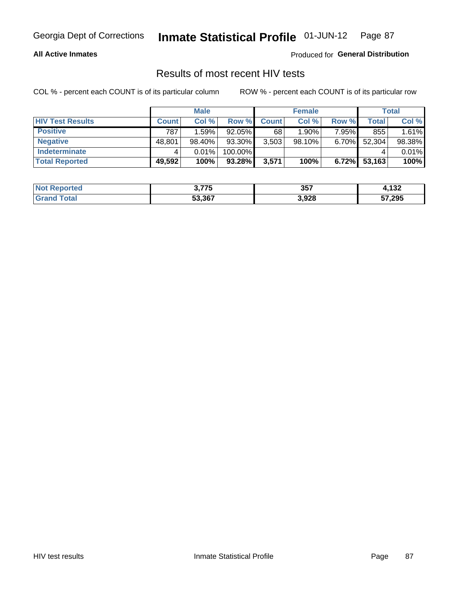#### **All Active Inmates**

Produced for **General Distribution**

# Results of most recent HIV tests

|                         |              | <b>Male</b> |         |              | <b>Female</b> |          |        | <b>Total</b> |
|-------------------------|--------------|-------------|---------|--------------|---------------|----------|--------|--------------|
| <b>HIV Test Results</b> | <b>Count</b> | Col %       | Row %I  | <b>Count</b> | Col %         | Row %    | Total  | Col %        |
| <b>Positive</b>         | 787          | 1.59%       | 92.05%  | 68           | 1.90%         | 7.95%    | 855    | 1.61%        |
| <b>Negative</b>         | 48,801       | 98.40%      | 93.30%  | 3,503        | $98.10\%$     | 6.70%    | 52,304 | 98.38%       |
| <b>Indeterminate</b>    |              | 0.01%       | 100.00% |              |               |          |        | 0.01%        |
| <b>Total Reported</b>   | 49,592       | 100%        | 93.28%  | 3,571        | 100%          | $6.72\%$ | 53,163 | 100%         |

| <b>Not Reported</b> | <b>775</b><br>79<br>◡ | 357   | 422<br>+, I JZ |
|---------------------|-----------------------|-------|----------------|
| Total<br>Gran       | 53,367                | 3,928 | 57,295         |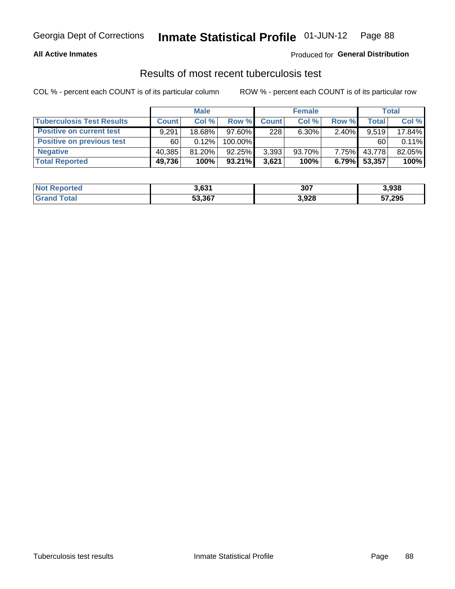#### **All Active Inmates**

#### Produced for **General Distribution**

#### Results of most recent tuberculosis test

|                                  | <b>Male</b>  |           |           | <b>Female</b> |           |          | Total  |        |
|----------------------------------|--------------|-----------|-----------|---------------|-----------|----------|--------|--------|
| <b>Tuberculosis Test Results</b> | <b>Count</b> | Col%      | Row %     | <b>Count</b>  | Col %     | Row %    | Total  | Col %  |
| <b>Positive on current test</b>  | 9,291        | 18.68%    | $97.60\%$ | 228           | $6.30\%$  | $2.40\%$ | 9,519  | 17.84% |
| <b>Positive on previous test</b> | 60           | 0.12%     | 100.00%   |               |           |          | 60     | 0.11%  |
| <b>Negative</b>                  | 40.385       | $81.20\%$ | $92.25\%$ | 3,393         | $93.70\%$ | $7.75\%$ | 43,778 | 82.05% |
| <b>Total Reported</b>            | 49,736       | 100%      | $93.21\%$ | 3,621         | 100%      | 6.79%    | 53,357 | 100%   |

| <b>Not Reported</b> | 3,631  | 307   | 3,938  |
|---------------------|--------|-------|--------|
| Total               | 53,367 | 3,928 | 57,295 |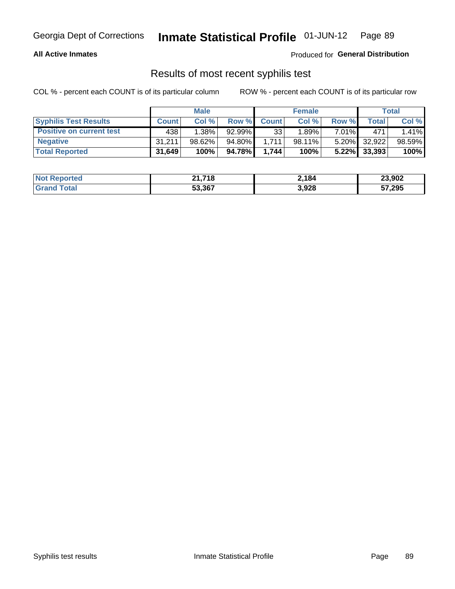#### **All Active Inmates**

Produced for **General Distribution**

#### Results of most recent syphilis test

|                                 | <b>Male</b>  |           |           | <b>Female</b> |           |          | Total        |        |
|---------------------------------|--------------|-----------|-----------|---------------|-----------|----------|--------------|--------|
| <b>Syphilis Test Results</b>    | <b>Count</b> | Col%      | Row %     | <b>Count</b>  | Col %     | Row %    | Total        | Col %  |
| <b>Positive on current test</b> | 438          | $1.38\%$  | $92.99\%$ | 33            | 1.89%     | $7.01\%$ | 471          | 1.41%  |
| <b>Negative</b>                 | 31.211       | $98.62\%$ | 94.80%    | 1.711         | $98.11\%$ |          | 5.20% 32,922 | 98.59% |
| <b>Total Reported</b>           | 31,649       | 100%      | 94.78%    | 1.744         | 100%      | $5.22\%$ | 33,393       | 100%   |

| <b>Not Reported</b> | 21,718 | 2,184 | 23,902 |
|---------------------|--------|-------|--------|
| <b>Grand Total</b>  | 53,367 | 3,928 | 57,295 |